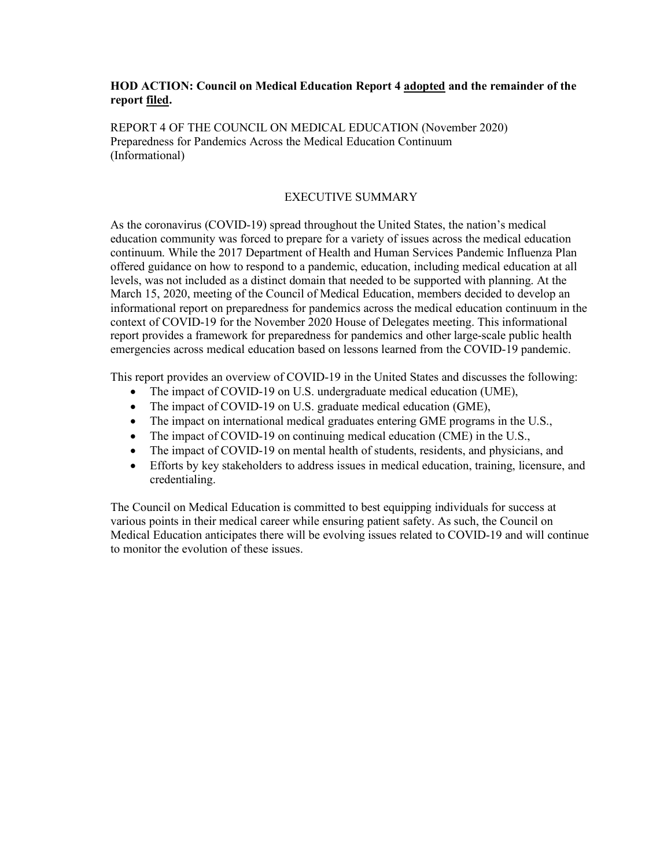### **HOD ACTION: Council on Medical Education Report 4 adopted and the remainder of the report filed.**

REPORT 4 OF THE COUNCIL ON MEDICAL EDUCATION (November 2020) Preparedness for Pandemics Across the Medical Education Continuum (Informational)

#### EXECUTIVE SUMMARY

As the coronavirus (COVID-19) spread throughout the United States, the nation's medical education community was forced to prepare for a variety of issues across the medical education continuum. While the 2017 Department of Health and Human Services Pandemic Influenza Plan offered guidance on how to respond to a pandemic, education, including medical education at all levels, was not included as a distinct domain that needed to be supported with planning. At the March 15, 2020, meeting of the Council of Medical Education, members decided to develop an informational report on preparedness for pandemics across the medical education continuum in the context of COVID-19 for the November 2020 House of Delegates meeting. This informational report provides a framework for preparedness for pandemics and other large-scale public health emergencies across medical education based on lessons learned from the COVID-19 pandemic.

This report provides an overview of COVID-19 in the United States and discusses the following:

- The impact of COVID-19 on U.S. undergraduate medical education (UME),
- The impact of COVID-19 on U.S. graduate medical education (GME),
- The impact on international medical graduates entering GME programs in the U.S.,
- The impact of COVID-19 on continuing medical education (CME) in the U.S.,
- The impact of COVID-19 on mental health of students, residents, and physicians, and
- Efforts by key stakeholders to address issues in medical education, training, licensure, and credentialing.

The Council on Medical Education is committed to best equipping individuals for success at various points in their medical career while ensuring patient safety. As such, the Council on Medical Education anticipates there will be evolving issues related to COVID-19 and will continue to monitor the evolution of these issues.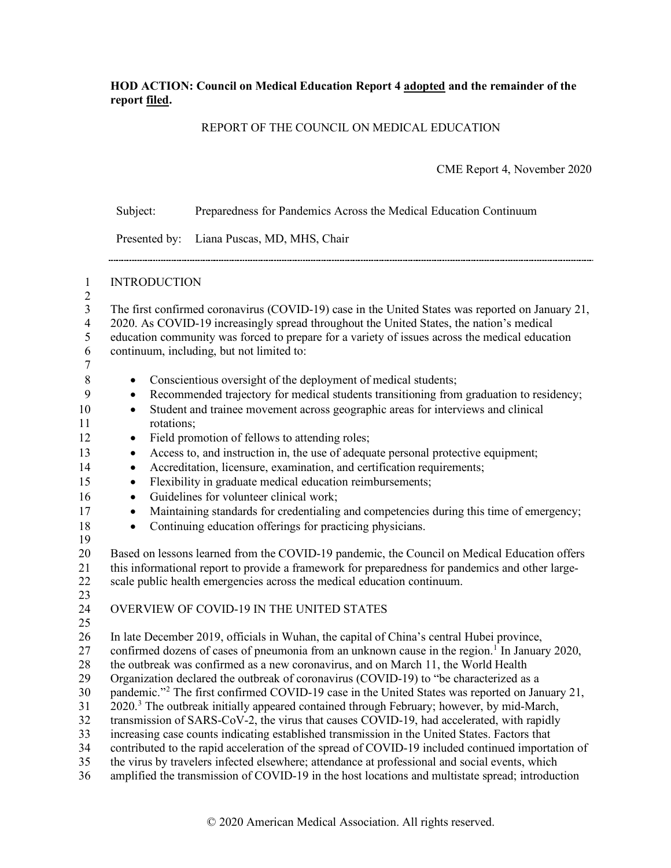### **HOD ACTION: Council on Medical Education Report 4 adopted and the remainder of the report filed.**

REPORT OF THE COUNCIL ON MEDICAL EDUCATION

CME Report 4, November 2020

Subject: Preparedness for Pandemics Across the Medical Education Continuum

Presented by: Liana Puscas, MD, MHS, Chair

INTRODUCTION

 $\frac{2}{3}$ 

The first confirmed coronavirus (COVID-19) case in the United States was reported on January 21,

- 2020. As COVID-19 increasingly spread throughout the United States, the nation's medical
- education community was forced to prepare for a variety of issues across the medical education continuum, including, but not limited to:
- 
- 8 Conscientious oversight of the deployment of medical students;
- Recommended trajectory for medical students transitioning from graduation to residency;
- Student and trainee movement across geographic areas for interviews and clinical rotations;
- 12 Field promotion of fellows to attending roles;
- 13 Access to, and instruction in, the use of adequate personal protective equipment;
- 14 Accreditation, licensure, examination, and certification requirements;
- Flexibility in graduate medical education reimbursements;
- 16 Guidelines for volunteer clinical work;
- Maintaining standards for credentialing and competencies during this time of emergency;
- Continuing education offerings for practicing physicians.
- 

 Based on lessons learned from the COVID-19 pandemic, the Council on Medical Education offers this informational report to provide a framework for preparedness for pandemics and other large-scale public health emergencies across the medical education continuum.

### OVERVIEW OF COVID-19 IN THE UNITED STATES

In late December 2019, officials in Wuhan, the capital of China's central Hubei province,

27 confirmed dozens of cases of pneumonia from an unknown cause in the region.<sup>[1](#page-49-0)</sup> In January 2020,

- 28 the outbreak was confirmed as a new coronavirus, and on March 11, the World Health<br>29 Creanization declared the outbreak of coronavirus (COVID-19) to "be characterized as
- Organization declared the outbreak of coronavirus (COVID-19) to "be characterized as a
- 30 pandemic."<sup>[2](#page-49-1)</sup> The first confirmed COVID-19 case in the United States was reported on January 21,
- 1 2020.<sup>3</sup> The outbreak initially appeared contained through February; however, by mid-March,
- transmission of SARS-CoV-2, the virus that causes COVID-19, had accelerated, with rapidly
- increasing case counts indicating established transmission in the United States. Factors that
- contributed to the rapid acceleration of the spread of COVID-19 included continued importation of
- the virus by travelers infected elsewhere; attendance at professional and social events, which
- amplified the transmission of COVID-19 in the host locations and multistate spread; introduction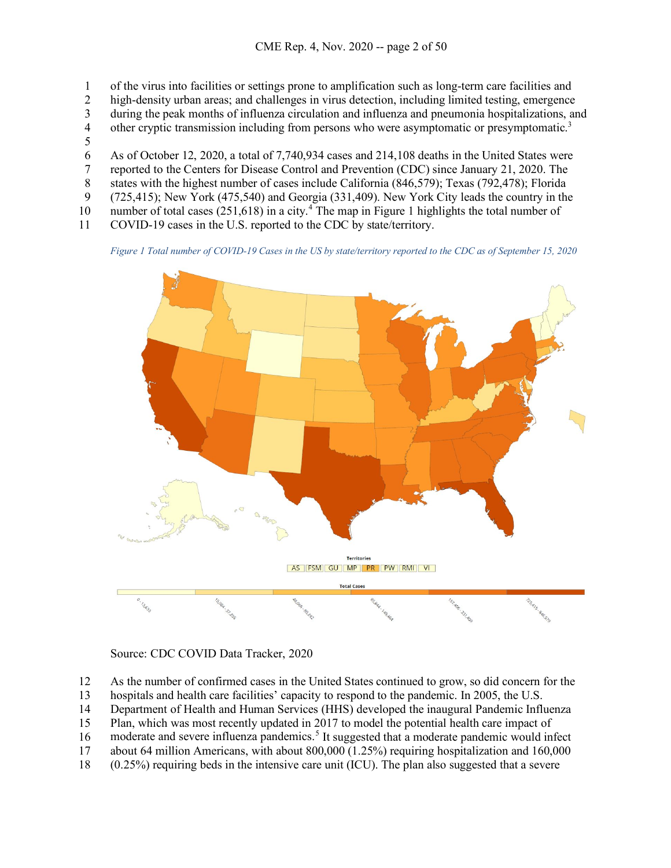- 1 of the virus into facilities or settings prone to amplification such as long-term care facilities and<br>2 high-density urban areas; and challenges in virus detection, including limited testing, emergence
- high-density urban areas; and challenges in virus detection, including limited testing, emergence
- 3 during the peak months of influenza circulation and influenza and pneumonia hospitalizations, and<br>4 other cryptic transmission including from persons who were asymptomatic or presymptomatic.<sup>3</sup>
- 4 other cryptic transmission including from persons who were asymptomatic or presymptomatic.<sup>3</sup>
- 5
- 6 As of October 12, 2020, a total of 7,740,934 cases and 214,108 deaths in the United States were<br>7 reported to the Centers for Disease Control and Prevention (CDC) since January 21, 2020. The
- 7 reported to the Centers for Disease Control and Prevention (CDC) since January 21, 2020. The
- 8 states with the highest number of cases include California (846,579); Texas (792,478); Florida<br>9 (725.415): New York (475.540) and Georgia (331.409). New York City leads the country in the
- (725,415); New York (475,540) and Georgia (331,409). New York City leads the country in the
- 10 number of total cases (251,618) in a city.<sup>[4](#page-49-3)</sup> The map in Figure 1 highlights the total number of
- 11 COVID-19 cases in the U.S. reported to the CDC by state/territory.

*Figure 1 Total number of COVID-19 Cases in the US by state/territory reported to the CDC as of September 15, 2020*



Source: CDC COVID Data Tracker, 2020

- 12 As the number of confirmed cases in the United States continued to grow, so did concern for the
- 13 hospitals and health care facilities' capacity to respond to the pandemic. In 2005, the U.S.
- 14 Department of Health and Human Services (HHS) developed the inaugural Pandemic Influenza
- 15 Plan, which was most recently updated in 2017 to model the potential health care impact of
- 16 moderate and severe influenza pandemics.<sup>[5](#page-49-4)</sup> It suggested that a moderate pandemic would infect
- 17 about 64 million Americans, with about 800,000 (1.25%) requiring hospitalization and 160,000
- 18 (0.25%) requiring beds in the intensive care unit (ICU). The plan also suggested that a severe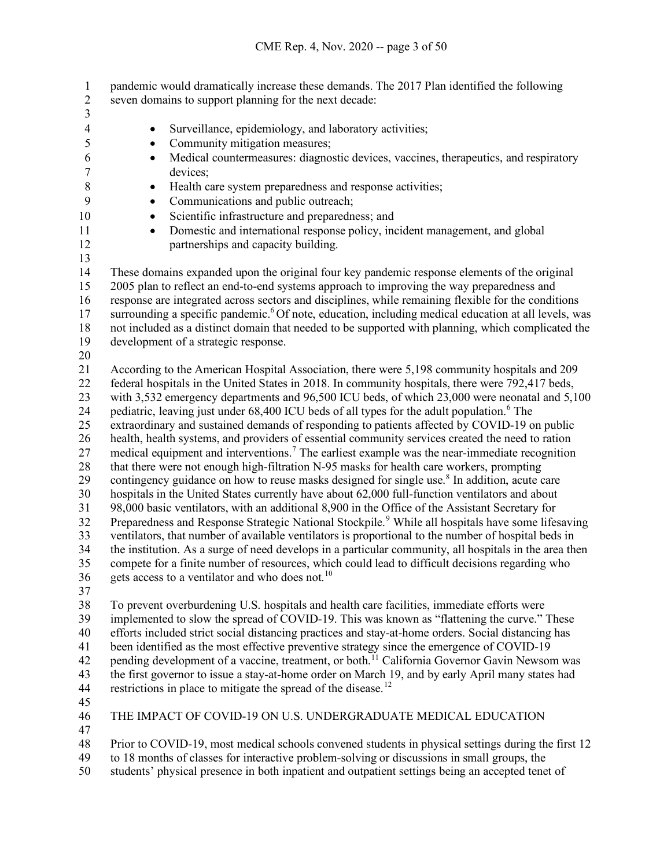1 pandemic would dramatically increase these demands. The 2017 Plan identified the following<br>2 seven domains to support planning for the next decade: seven domains to support planning for the next decade: • Surveillance, epidemiology, and laboratory activities; • Community mitigation measures; • Medical countermeasures: diagnostic devices, vaccines, therapeutics, and respiratory devices; 8 • Health care system preparedness and response activities; • Communications and public outreach; 10 • Scientific infrastructure and preparedness; and • Domestic and international response policy, incident management, and global 12 partnerships and capacity building. These domains expanded upon the original four key pandemic response elements of the original 2005 plan to reflect an end-to-end systems approach to improving the way preparedness and response are integrated across sectors and disciplines, while remaining flexible for the conditions 17 surrounding a specific pandemic.<sup>6</sup> Of note, education, including medical education at all levels, was 18 not included as a distinct domain that needed to be supported with planning, which complicated the development of a strategic response. development of a strategic response. According to the American Hospital Association, there were 5,198 community hospitals and 209 federal hospitals in the United States in 2018. In community hospitals, there were 792,417 beds, with 3,532 emergency departments and 96,500 ICU beds, of which 23,000 were neonatal and 5,100 24 pediatric, leaving just under [6](#page-49-5)8,400 ICU beds of all types for the adult population.<sup>6</sup> The extraordinary and sustained demands of responding to patients affected by COVID-19 on public health, health systems, and providers of essential community services created the need to ration [7](#page-49-6) medical equipment and interventions.<sup>7</sup> The earliest example was the near-immediate recognition that there were not enough high-filtration N-95 masks for health care workers, prompting 29 contingency guidance on how to reuse masks designed for single use.<sup>[8](#page-49-7)</sup> In addition, acute care hospitals in the United States currently have about 62,000 full-function ventilators and about 98,000 basic ventilators, with an additional 8,900 in the Office of the Assistant Secretary for 32 Preparedness and Response Strategic National Stockpile.<sup>[9](#page-49-8)</sup> While all hospitals have some lifesaving ventilators, that number of available ventilators is proportional to the number of hospital beds in the institution. As a surge of need develops in a particular community, all hospitals in the area then compete for a finite number of resources, which could lead to difficult decisions regarding who 36 gets access to a ventilator and who does not.<sup>[10](#page-49-9)</sup> To prevent overburdening U.S. hospitals and health care facilities, immediate efforts were 39 implemented to slow the spread of COVID-19. This was known as "flattening the curve." These<br>40 efforts included strict social distancing practices and stay-at-home orders. Social distancing has efforts included strict social distancing practices and stay-at-home orders. Social distancing has been identified as the most effective preventive strategy since the emergence of COVID-19 42 pending development of a vaccine, treatment, or both.<sup>[11](#page-49-10)</sup> California Governor Gavin Newsom was the first governor to issue a stay-at-home order on March 19, and by early April many states had 44 restrictions in place to mitigate the spread of the disease.<sup>[12](#page-49-11)</sup> THE IMPACT OF COVID-19 ON U.S. UNDERGRADUATE MEDICAL EDUCATION Prior to COVID-19, most medical schools convened students in physical settings during the first 12

49 to 18 months of classes for interactive problem-solving or discussions in small groups, the<br>50 students' physical presence in both inpatient and outpatient settings being an accepted tene students' physical presence in both inpatient and outpatient settings being an accepted tenet of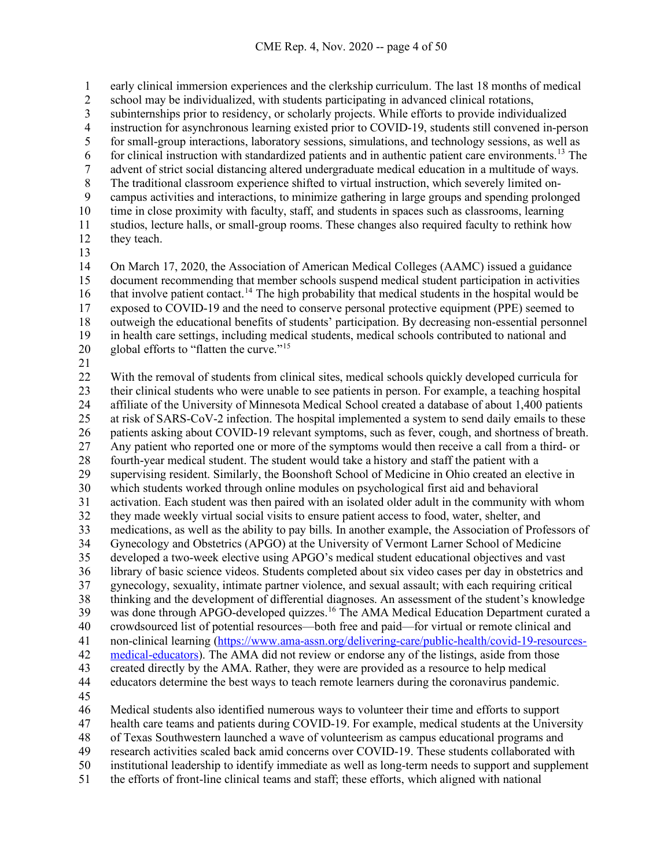1 early clinical immersion experiences and the clerkship curriculum. The last 18 months of medical<br>2 school may be individualized, with students participating in advanced clinical rotations. school may be individualized, with students participating in advanced clinical rotations, 3 subinternships prior to residency, or scholarly projects. While efforts to provide individualized<br>4 instruction for asynchronous learning existed prior to COVID-19, students still convened in-per 4 instruction for asynchronous learning existed prior to COVID-19, students still convened in-person<br>5 for small-group interactions, laboratory sessions, simulations, and technology sessions, as well as for small-group interactions, laboratory sessions, simulations, and technology sessions, as well as 6 for clinical instruction with standardized patients and in authentic patient care environments.<sup>[13](#page-49-12)</sup> The advent of strict social distancing altered undergraduate medical education in a multitude of ways. 8 The traditional classroom experience shifted to virtual instruction, which severely limited on-<br>9 campus activities and interactions, to minimize gathering in large groups and spending prolon campus activities and interactions, to minimize gathering in large groups and spending prolonged time in close proximity with faculty, staff, and students in spaces such as classrooms, learning studios, lecture halls, or small-group rooms. These changes also required faculty to rethink how they teach.

 On March 17, 2020, the Association of American Medical Colleges (AAMC) issued a guidance document recommending that member schools suspend medical student participation in activities 16 that involve patient contact.<sup>[14](#page-49-13)</sup> The high probability that medical students in the hospital would be exposed to COVID-19 and the need to conserve personal protective equipment (PPE) seemed to outweigh the educational benefits of students' participation. By decreasing non-essential personnel in health care settings, including medical students, medical schools contributed to national and 20 global efforts to "flatten the curve."<sup>[15](#page-49-14)</sup>

 With the removal of students from clinical sites, medical schools quickly developed curricula for their clinical students who were unable to see patients in person. For example, a teaching hospital affiliate of the University of Minnesota Medical School created a database of about 1,400 patients at risk of SARS-CoV-2 infection. The hospital implemented a system to send daily emails to these patients asking about COVID-19 relevant symptoms, such as fever, cough, and shortness of breath. Any patient who reported one or more of the symptoms would then receive a call from a third- or fourth-year medical student. The student would take a history and staff the patient with a supervising resident. Similarly, the Boonshoft School of Medicine in Ohio created an elective in which students worked through online modules on psychological first aid and behavioral activation. Each student was then paired with an isolated older adult in the community with whom they made weekly virtual social visits to ensure patient access to food, water, shelter, and medications, as well as the ability to pay bills. In another example, the Association of Professors of Gynecology and Obstetrics (APGO) at the University of Vermont Larner School of Medicine developed a two-week elective using APGO's medical student educational objectives and vast library of basic science videos. Students completed about six video cases per day in obstetrics and gynecology, sexuality, intimate partner violence, and sexual assault; with each requiring critical 38 thinking and the development of differential diagnoses. An assessment of the student's knowledge<br>39 was done through APGO-developed quizzes.<sup>16</sup> The AMA Medical Education Department curated a 39 was done through APGO-developed quizzes.<sup>[16](#page-49-15)</sup> The AMA Medical Education Department curated a crowdsourced list of potential resources—both free and paid—for virtual or remote clinical and non-clinical learning [\(https://www.ama-assn.org/delivering-care/public-health/covid-19-resources-](https://www.ama-assn.org/delivering-care/public-health/covid-19-resources-medical-educators) [medical-educators\)](https://www.ama-assn.org/delivering-care/public-health/covid-19-resources-medical-educators). The AMA did not review or endorse any of the listings, aside from those created directly by the AMA. Rather, they were are provided as a resource to help medical educators determine the best ways to teach remote learners during the coronavirus pandemic. Medical students also identified numerous ways to volunteer their time and efforts to support

health care teams and patients during COVID-19. For example, medical students at the University

of Texas Southwestern launched a wave of volunteerism as campus educational programs and

research activities scaled back amid concerns over COVID-19. These students collaborated with

institutional leadership to identify immediate as well as long-term needs to support and supplement

the efforts of front-line clinical teams and staff; these efforts, which aligned with national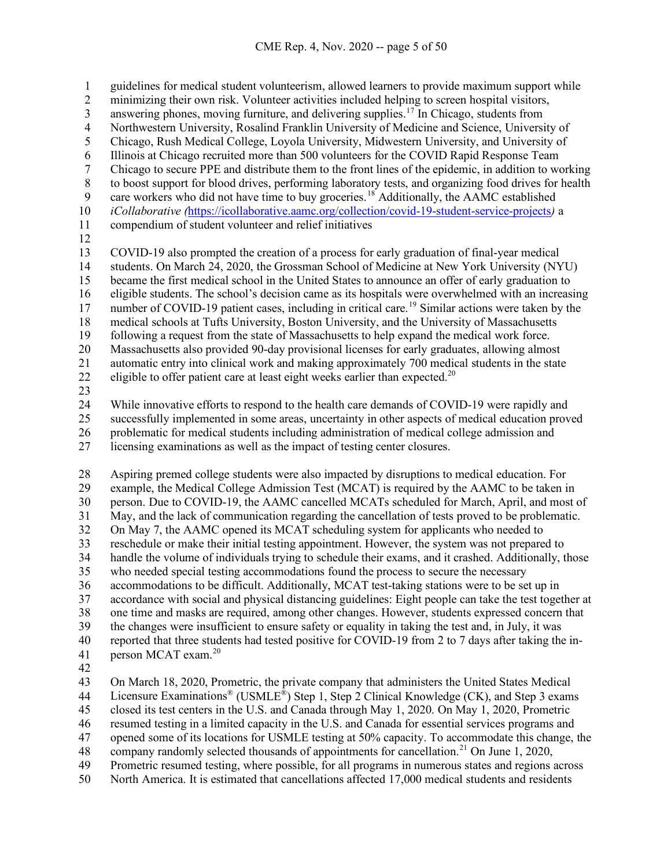1 guidelines for medical student volunteerism, allowed learners to provide maximum support while<br>2 minimizing their own risk. Volunteer activities included helping to screen hospital visitors,

minimizing their own risk. Volunteer activities included helping to screen hospital visitors,

3 answering phones, moving furniture, and delivering supplies.<sup>[17](#page-50-0)</sup> In Chicago, students from

4 Northwestern University, Rosalind Franklin University of Medicine and Science, University of<br>5 Chicago, Rush Medical College, Loyola University, Midwestern University, and University of

Chicago, Rush Medical College, Loyola University, Midwestern University, and University of

6 Illinois at Chicago recruited more than 500 volunteers for the COVID Rapid Response Team<br>7 Chicago to secure PPE and distribute them to the front lines of the epidemic, in addition to wo

7 Chicago to secure PPE and distribute them to the front lines of the epidemic, in addition to working<br>8 to boost support for blood drives, performing laboratory tests, and organizing food drives for health

8 to boost support for blood drives, performing laboratory tests, and organizing food drives for health<br>9 care workers who did not have time to buv groceries.<sup>18</sup> Additionally, the AAMC established

9 care workers who did not have time to buy groceries.<sup>[18](#page-50-1)</sup> Additionally, the AAMC established

*iCollaborative (*<https://icollaborative.aamc.org/collection/covid-19-student-service-projects>*)* a

compendium of student volunteer and relief initiatives

 COVID-19 also prompted the creation of a process for early graduation of final-year medical students. On March 24, 2020, the Grossman School of Medicine at New York University (NYU) became the first medical school in the United States to announce an offer of early graduation to

eligible students. The school's decision came as its hospitals were overwhelmed with an increasing

17 number of COVID-[19](#page-50-2) patient cases, including in critical care.<sup>19</sup> Similar actions were taken by the

medical schools at Tufts University, Boston University, and the University of Massachusetts

following a request from the state of Massachusetts to help expand the medical work force.

Massachusetts also provided 90-day provisional licenses for early graduates, allowing almost

automatic entry into clinical work and making approximately 700 medical students in the state

22 eligible to offer patient care at least eight weeks earlier than expected.<sup>20</sup>

While innovative efforts to respond to the health care demands of COVID-19 were rapidly and

successfully implemented in some areas, uncertainty in other aspects of medical education proved

problematic for medical students including administration of medical college admission and

licensing examinations as well as the impact of testing center closures.

 Aspiring premed college students were also impacted by disruptions to medical education. For example, the Medical College Admission Test (MCAT) is required by the AAMC to be taken in person. Due to COVID-19, the AAMC cancelled MCATs scheduled for March, April, and most of May, and the lack of communication regarding the cancellation of tests proved to be problematic. On May 7, the AAMC opened its MCAT scheduling system for applicants who needed to reschedule or make their initial testing appointment. However, the system was not prepared to handle the volume of individuals trying to schedule their exams, and it crashed. Additionally, those who needed special testing accommodations found the process to secure the necessary accommodations to be difficult. Additionally, MCAT test-taking stations were to be set up in accordance with social and physical distancing guidelines: Eight people can take the test together at one time and masks are required, among other changes. However, students expressed concern that the changes were insufficient to ensure safety or equality in taking the test and, in July, it was reported that three students had tested positive for COVID-19 from 2 to 7 days after taking the in-

- 41 person MCAT exam.<sup>[20](#page-50-3)</sup>
- 

 On March 18, 2020, Prometric, the private company that administers the United States Medical 44 Licensure Examinations<sup>®</sup> (USMLE<sup>®</sup>) Step 1, Step 2 Clinical Knowledge (CK), and Step 3 exams closed its test centers in the U.S. and Canada through May 1, 2020. On May 1, 2020, Prometric

resumed testing in a limited capacity in the U.S. and Canada for essential services programs and

opened some of its locations for USMLE testing at 50% capacity. To accommodate this change, the

48 company randomly selected thousands of appointments for cancellation.<sup>[21](#page-50-4)</sup> On June 1, 2020,

Prometric resumed testing, where possible, for all programs in numerous states and regions across

North America. It is estimated that cancellations affected 17,000 medical students and residents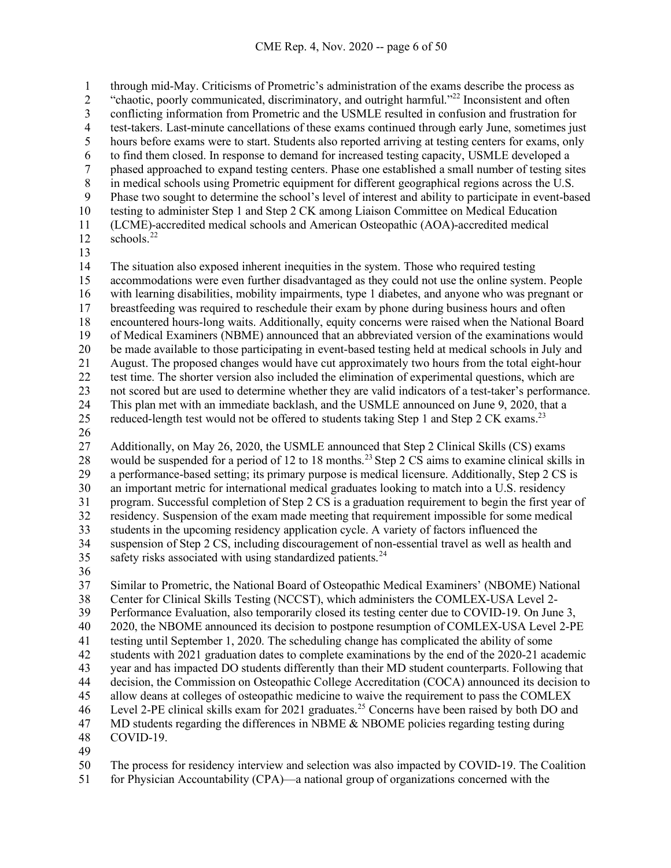1 through mid-May. Criticisms of Prometric's administration of the exams describe the process as<br>2 "chaotic, poorly communicated, discriminatory, and outright harmful."<sup>22</sup> Inconsistent and often "chaotic, poorly communicated, discriminatory, and outright harmful."<sup>22</sup> Inconsistent and often conflicting information from Prometric and the USMLE resulted in confusion and frustration for 4 test-takers. Last-minute cancellations of these exams continued through early June, sometimes just<br>5 hours before exams were to start. Students also reported arriving at testing centers for exams, only hours before exams were to start. Students also reported arriving at testing centers for exams, only to find them closed. In response to demand for increased testing capacity, USMLE developed a phased approached to expand testing centers. Phase one established a small number of testing sites 8 in medical schools using Prometric equipment for different geographical regions across the U.S.<br>9 Phase two sought to determine the school's level of interest and ability to participate in event-base Phase two sought to determine the school's level of interest and ability to participate in event-based testing to administer Step 1 and Step 2 CK among Liaison Committee on Medical Education

(LCME)-accredited medical schools and American Osteopathic (AOA)-accredited medical

12 schools.<sup>[22](#page-50-5)</sup>

 The situation also exposed inherent inequities in the system. Those who required testing accommodations were even further disadvantaged as they could not use the online system. People with learning disabilities, mobility impairments, type 1 diabetes, and anyone who was pregnant or breastfeeding was required to reschedule their exam by phone during business hours and often encountered hours-long waits. Additionally, equity concerns were raised when the National Board of Medical Examiners (NBME) announced that an abbreviated version of the examinations would be made available to those participating in event-based testing held at medical schools in July and August. The proposed changes would have cut approximately two hours from the total eight-hour test time. The shorter version also included the elimination of experimental questions, which are not scored but are used to determine whether they are valid indicators of a test-taker's performance. This plan met with an immediate backlash, and the USMLE announced on June 9, 2020, that a 25 reduced-length test would not be offered to students taking Step 1 and Step 2 CK exams.<sup>23</sup>

 $\frac{26}{27}$ Additionally, on May 26, 2020, the USMLE announced that Step 2 Clinical Skills (CS) exams 28 would be suspended for a period of 12 to 18 months.<sup>[23](#page-50-6)</sup> Step 2 CS aims to examine clinical skills in a performance-based setting; its primary purpose is medical licensure. Additionally, Step 2 CS is an important metric for international medical graduates looking to match into a U.S. residency program. Successful completion of Step 2 CS is a graduation requirement to begin the first year of residency. Suspension of the exam made meeting that requirement impossible for some medical students in the upcoming residency application cycle. A variety of factors influenced the suspension of Step 2 CS, including discouragement of non-essential travel as well as health and 35 safety risks associated with using standardized patients.<sup>[24](#page-50-7)</sup>

 Similar to Prometric, the National Board of Osteopathic Medical Examiners' (NBOME) National 38 Center for Clinical Skills Testing (NCCST), which administers the COMLEX-USA Level 2-<br>39 Performance Evaluation, also temporarily closed its testing center due to COVID-19. On June Performance Evaluation, also temporarily closed its testing center due to COVID-19. On June 3, 2020, the NBOME announced its decision to postpone resumption of COMLEX-USA Level 2-PE testing until September 1, 2020. The scheduling change has complicated the ability of some students with 2021 graduation dates to complete examinations by the end of the 2020-21 academic year and has impacted DO students differently than their MD student counterparts. Following that decision, the Commission on Osteopathic College Accreditation (COCA) announced its decision to allow deans at colleges of osteopathic medicine to waive the requirement to pass the COMLEX 46 Level 2-PE clinical skills exam for 2021 graduates.<sup>[25](#page-50-8)</sup> Concerns have been raised by both DO and MD students regarding the differences in NBME & NBOME policies regarding testing during COVID-19.

The process for residency interview and selection was also impacted by COVID-19. The Coalition

for Physician Accountability (CPA)—a national group of organizations concerned with the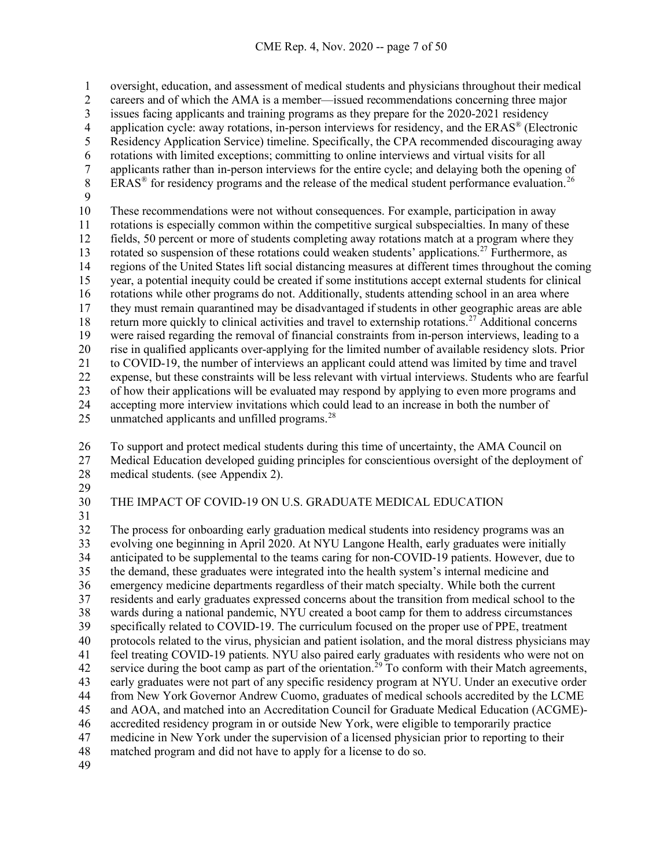1 oversight, education, and assessment of medical students and physicians throughout their medical<br>2 careers and of which the AMA is a member—issued recommendations concerning three maior careers and of which the AMA is a member—issued recommendations concerning three major 3 issues facing applicants and training programs as they prepare for the 2020-2021 residency<br>4 application cycle: away rotations, in-person interviews for residency, and the ERAS<sup>®</sup> (Elect 4 application cycle: away rotations, in-person interviews for residency, and the ERAS<sup>®</sup> (Electronic<br>5 Residency Application Service) timeline. Specifically, the CPA recommended discouraging away Residency Application Service) timeline. Specifically, the CPA recommended discouraging away rotations with limited exceptions; committing to online interviews and virtual visits for all 7 applicants rather than in-person interviews for the entire cycle; and delaying both the opening of ERAS<sup>®</sup> for residency programs and the release of the medical student performance evaluation.<sup>26</sup> 8 ERAS<sup>®</sup> for residency programs and the release of the medical student performance evaluation.<sup>[26](#page-50-9)</sup> These recommendations were not without consequences. For example, participation in away rotations is especially common within the competitive surgical subspecialties. In many of these fields, 50 percent or more of students completing away rotations match at a program where they 13 rotated so suspension of these rotations could weaken students' applications.<sup>27</sup> Furthermore, as regions of the United States lift social distancing measures at different times throughout the coming year, a potential inequity could be created if some institutions accept external students for clinical rotations while other programs do not. Additionally, students attending school in an area where they must remain quarantined may be disadvantaged if students in other geographic areas are able 18 return more quickly to clinical activities and travel to externship rotations.<sup>[27](#page-50-10)</sup> Additional concerns were raised regarding the removal of financial constraints from in-person interviews, leading to a rise in qualified applicants over-applying for the limited number of available residency slots. Prior to COVID-19, the number of interviews an applicant could attend was limited by time and travel expense, but these constraints will be less relevant with virtual interviews. Students who are fearful of how their applications will be evaluated may respond by applying to even more programs and accepting more interview invitations which could lead to an increase in both the number of 25 unmatched applicants and unfilled programs. $^{28}$  $^{28}$  $^{28}$ 

 To support and protect medical students during this time of uncertainty, the AMA Council on Medical Education developed guiding principles for conscientious oversight of the deployment of medical students. (see Appendix 2).

# THE IMPACT OF COVID-19 ON U.S. GRADUATE MEDICAL EDUCATION

 The process for onboarding early graduation medical students into residency programs was an evolving one beginning in April 2020. At NYU Langone Health, early graduates were initially anticipated to be supplemental to the teams caring for non-COVID-19 patients. However, due to the demand, these graduates were integrated into the health system's internal medicine and emergency medicine departments regardless of their match specialty. While both the current residents and early graduates expressed concerns about the transition from medical school to the wards during a national pandemic, NYU created a boot camp for them to address circumstances specifically related to COVID-19. The curriculum focused on the proper use of PPE, treatment protocols related to the virus, physician and patient isolation, and the moral distress physicians may feel treating COVID-19 patients. NYU also paired early graduates with residents who were not on 42 service during the boot camp as part of the orientation.<sup>[29](#page-50-12)</sup> To conform with their Match agreements, early graduates were not part of any specific residency program at NYU. Under an executive order from New York Governor Andrew Cuomo, graduates of medical schools accredited by the LCME and AOA, and matched into an Accreditation Council for Graduate Medical Education (ACGME)- accredited residency program in or outside New York, were eligible to temporarily practice medicine in New York under the supervision of a licensed physician prior to reporting to their matched program and did not have to apply for a license to do so.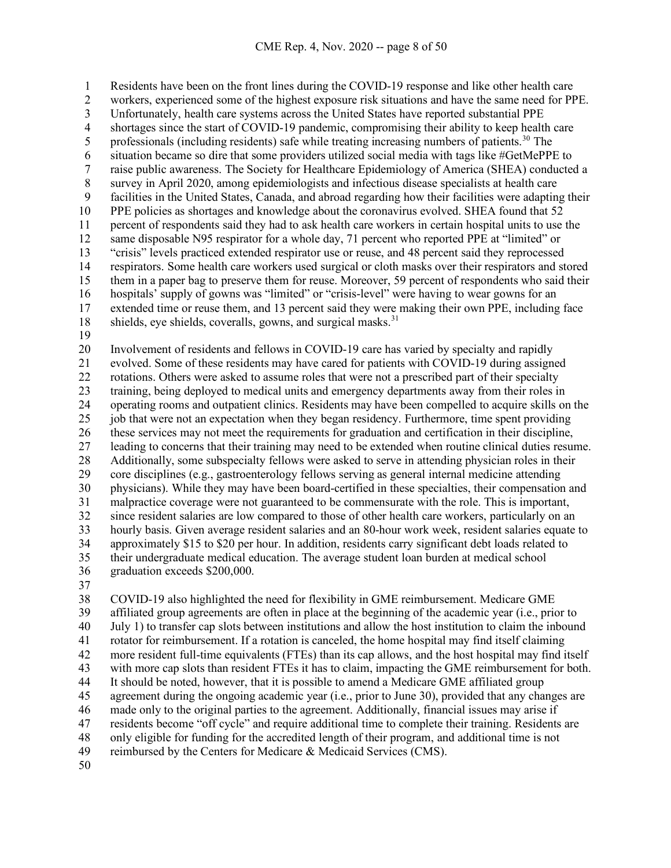1 Residents have been on the front lines during the COVID-19 response and like other health care<br>2 workers, experienced some of the highest exposure risk situations and have the same need for PF workers, experienced some of the highest exposure risk situations and have the same need for PPE. 3 Unfortunately, health care systems across the United States have reported substantial PPE<br>4 shortages since the start of COVID-19 pandemic, compromising their ability to keep health 4 shortages since the start of COVID-19 pandemic, compromising their ability to keep health care<br>5 professionals (including residents) safe while treating increasing numbers of patients.<sup>30</sup> The 5 professionals (including residents) safe while treating increasing numbers of patients.<sup>[30](#page-50-13)</sup> The situation became so dire that some providers utilized social media with tags like #GetMePPE to raise public awareness. The Society for Healthcare Epidemiology of America (SHEA) conducted a 8 survey in April 2020, among epidemiologists and infectious disease specialists at health care<br>9 facilities in the United States. Canada, and abroad regarding how their facilities were adapting facilities in the United States, Canada, and abroad regarding how their facilities were adapting their PPE policies as shortages and knowledge about the coronavirus evolved. SHEA found that 52 percent of respondents said they had to ask health care workers in certain hospital units to use the same disposable N95 respirator for a whole day, 71 percent who reported PPE at "limited" or "crisis" levels practiced extended respirator use or reuse, and 48 percent said they reprocessed respirators. Some health care workers used surgical or cloth masks over their respirators and stored them in a paper bag to preserve them for reuse. Moreover, 59 percent of respondents who said their hospitals' supply of gowns was "limited" or "crisis-level" were having to wear gowns for an extended time or reuse them, and 13 percent said they were making their own PPE, including face 18 shields, eye shields, coveralls, gowns, and surgical masks.<sup>[31](#page-50-14)</sup> 

 Involvement of residents and fellows in COVID-19 care has varied by specialty and rapidly evolved. Some of these residents may have cared for patients with COVID-19 during assigned rotations. Others were asked to assume roles that were not a prescribed part of their specialty training, being deployed to medical units and emergency departments away from their roles in operating rooms and outpatient clinics. Residents may have been compelled to acquire skills on the job that were not an expectation when they began residency. Furthermore, time spent providing these services may not meet the requirements for graduation and certification in their discipline, leading to concerns that their training may need to be extended when routine clinical duties resume. Additionally, some subspecialty fellows were asked to serve in attending physician roles in their core disciplines (e.g., gastroenterology fellows serving as general internal medicine attending physicians). While they may have been board-certified in these specialties, their compensation and malpractice coverage were not guaranteed to be commensurate with the role. This is important, since resident salaries are low compared to those of other health care workers, particularly on an hourly basis. Given average resident salaries and an 80-hour work week, resident salaries equate to approximately \$15 to \$20 per hour. In addition, residents carry significant debt loads related to their undergraduate medical education. The average student loan burden at medical school graduation exceeds \$200,000.

38 COVID-19 also highlighted the need for flexibility in GME reimbursement. Medicare GME<br>39 affiliated group agreements are often in place at the beginning of the academic year (i.e., pric affiliated group agreements are often in place at the beginning of the academic year (i.e., prior to July 1) to transfer cap slots between institutions and allow the host institution to claim the inbound rotator for reimbursement. If a rotation is canceled, the home hospital may find itself claiming more resident full-time equivalents (FTEs) than its cap allows, and the host hospital may find itself with more cap slots than resident FTEs it has to claim, impacting the GME reimbursement for both. It should be noted, however, that it is possible to amend a Medicare GME affiliated group agreement during the ongoing academic year (i.e., prior to June 30), provided that any changes are made only to the original parties to the agreement. Additionally, financial issues may arise if residents become "off cycle" and require additional time to complete their training. Residents are only eligible for funding for the accredited length of their program, and additional time is not reimbursed by the Centers for Medicare & Medicaid Services (CMS).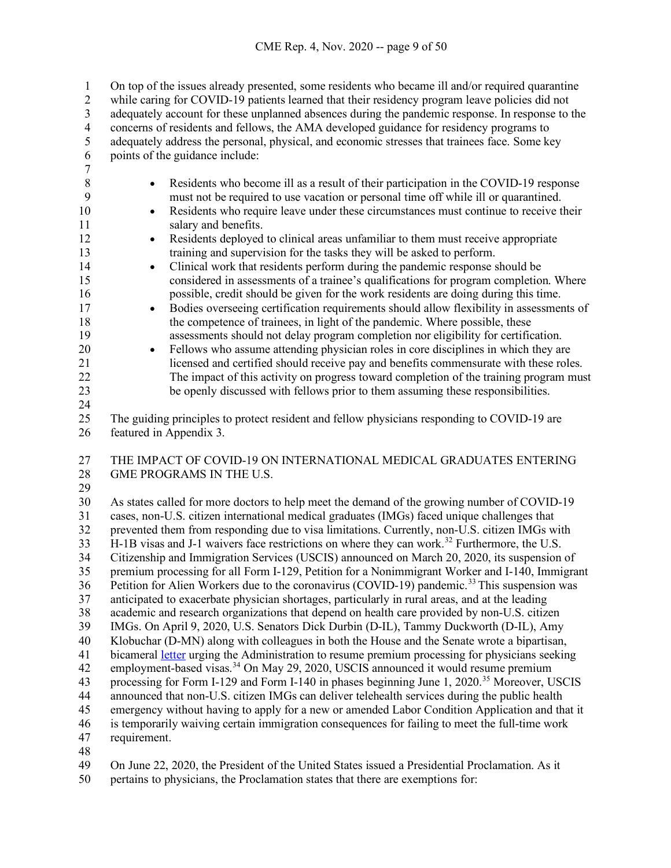1 On top of the issues already presented, some residents who became ill and/or required quarantine<br>2 while caring for COVID-19 patients learned that their residency program leave policies did not while caring for COVID-19 patients learned that their residency program leave policies did not 3 adequately account for these unplanned absences during the pandemic response. In response to the concerns of residents and fellows, the AMA developed guidance for residency programs to 4 concerns of residents and fellows, the AMA developed guidance for residency programs to<br>5 adequately address the personal, physical, and economic stresses that trainees face. Some ke adequately address the personal, physical, and economic stresses that trainees face. Some key points of the guidance include:  $\begin{array}{c} 7 \\ 8 \end{array}$ 8 • Residents who become ill as a result of their participation in the COVID-19 response must not be required to use vacation or personal time off while ill or quarantined. must not be required to use vacation or personal time off while ill or quarantined. • Residents who require leave under these circumstances must continue to receive their 11 salary and benefits. • Residents deployed to clinical areas unfamiliar to them must receive appropriate training and supervision for the tasks they will be asked to perform. • Clinical work that residents perform during the pandemic response should be considered in assessments of a trainee's qualifications for program completion. Where possible, credit should be given for the work residents are doing during this time. • Bodies overseeing certification requirements should allow flexibility in assessments of the competence of trainees, in light of the pandemic. Where possible, these assessments should not delay program completion nor eligibility for certification. 20 • Fellows who assume attending physician roles in core disciplines in which they are licensed and certified should receive pay and benefits commensurate with these roles. The impact of this activity on progress toward completion of the training program must be openly discussed with fellows prior to them assuming these responsibilities. The guiding principles to protect resident and fellow physicians responding to COVID-19 are featured in Appendix 3. THE IMPACT OF COVID-19 ON INTERNATIONAL MEDICAL GRADUATES ENTERING GME PROGRAMS IN THE U.S. As states called for more doctors to help meet the demand of the growing number of COVID-19 cases, non-U.S. citizen international medical graduates (IMGs) faced unique challenges that prevented them from responding due to visa limitations. Currently, non-U.S. citizen IMGs with 33 H-1B visas and J-1 waivers face restrictions on where they can work.<sup>[32](#page-50-15)</sup> Furthermore, the U.S. Citizenship and Immigration Services (USCIS) announced on March 20, 2020, its suspension of premium processing for all Form I-129, Petition for a Nonimmigrant Worker and I-140, Immigrant 36 Petition for Alien Workers due to the coronavirus (COVID-19) pandemic.<sup>[33](#page-50-16)</sup> This suspension was anticipated to exacerbate physician shortages, particularly in rural areas, and at the leading academic and research organizations that depend on health care provided by non-U.S. citizen IMGs. On April 9, 2020, U.S. Senators Dick Durbin (D-IL), Tammy Duckworth (D-IL), Amy Klobuchar (D-MN) along with colleagues in both the House and the Senate wrote a bipartisan, bicameral [letter](https://www.durbin.senate.gov/imo/media/doc/2020-04-06%20Letter%20to%20USCIS.pdf) urging the Administration to resume premium processing for physicians seeking 42 employment-based visas.<sup>[34](#page-50-17)</sup> On May 29, 2020, USCIS announced it would resume premium 43 processing for Form I-129 and Form I-140 in phases beginning June 1, 2020.<sup>[35](#page-50-3)</sup> Moreover, USCIS announced that non-U.S. citizen IMGs can deliver telehealth services during the public health emergency without having to apply for a new or amended Labor Condition Application and that it is temporarily waiving certain immigration consequences for failing to meet the full-time work

- requirement.
- 

On June 22, 2020, the President of the United States issued a Presidential Proclamation. As it

pertains to physicians, the Proclamation states that there are exemptions for: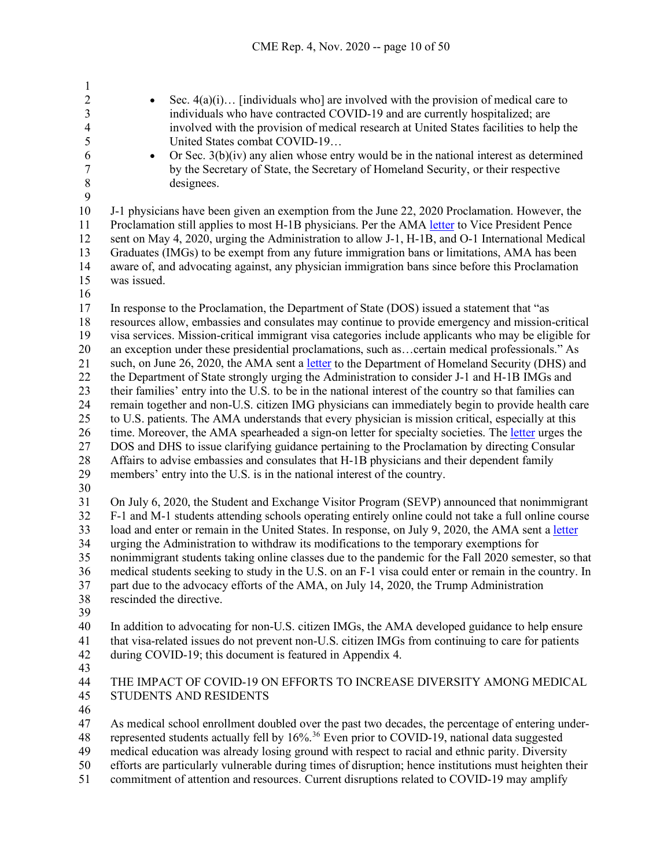$\frac{1}{2}$ • Sec.  $4(a)(i)$ ... [individuals who] are involved with the provision of medical care to 3 individuals who have contracted COVID-19 and are currently hospitalized; are<br>4 involved with the provision of medical research at United States facilities to hel 4 involved with the provision of medical research at United States facilities to help the<br>5 United States combat COVID-19... United States combat COVID-19… 6 • Or Sec.  $3(b)(iv)$  any alien whose entry would be in the national interest as determined<br>by the Secretary of State, the Secretary of Homeland Security, or their respective 7 by the Secretary of State, the Secretary of Homeland Security, or their respective designees. designees. J-1 physicians have been given an exemption from the June 22, 2020 Proclamation. However, the Proclamation still applies to most H-1B physicians. Per the AMA [letter](https://searchlf.ama-assn.org/letter/documentDownload?uri=%2Funstructured%2Fbinary%2Fletter%2FLETTERS%2F2020-5-4-Letter-to-Pence-re-Presidential-Proclamation-Non-Immigrants.pdf) to Vice President Pence sent on May 4, 2020, urging the Administration to allow J-1, H-1B, and O-1 International Medical Graduates (IMGs) to be exempt from any future immigration bans or limitations, AMA has been aware of, and advocating against, any physician immigration bans since before this Proclamation was issued. In response to the Proclamation, the Department of State (DOS) issued a statement that "as resources allow, embassies and consulates may continue to provide emergency and mission-critical visa services. Mission-critical immigrant visa categories include applicants who may be eligible for an exception under these presidential proclamations, such as…certain medical professionals." As such, on June 26, 2020, the AMA sent a [letter](https://searchlf.ama-assn.org/letter/documentDownload?uri=%2Funstructured%2Fbinary%2Fletter%2FLETTERS%2F2020-6-26-Letter-to-Wolf-and-Pompeo-re-Presidential-EO-Entry-Ban.pdf) to the Department of Homeland Security (DHS) and the Department of State strongly urging the Administration to consider J-1 and H-1B IMGs and their families' entry into the U.S. to be in the national interest of the country so that families can remain together and non-U.S. citizen IMG physicians can immediately begin to provide health care to U.S. patients. The AMA understands that every physician is mission critical, especially at this 26 time. Moreover, the AMA spearheaded a sign-on [letter](https://searchlf.ama-assn.org/letter/documentDownload?uri=%2Funstructured%2Fbinary%2Fletter%2FLETTERS%2F2020-7-8-AMA-Sign-On-Letter-re-H-1B-IMG_.pdf) for specialty societies. The letter urges the DOS and DHS to issue clarifying guidance pertaining to the Proclamation by directing Consular Affairs to advise embassies and consulates that H-1B physicians and their dependent family members' entry into the U.S. is in the national interest of the country. On July 6, 2020, the Student and Exchange Visitor Program (SEVP) announced that nonimmigrant F-1 and M-1 students attending schools operating entirely online could not take a full online course 33 load and enter or remain in the United States. In response, on July 9, 2020, the AMA sent a [letter](https://searchlf.ama-assn.org/letter/documentDownload?uri=%2Funstructured%2Fbinary%2Fletter%2FLETTERS%2F2020-7-9-Letter-to-Wolf-and-Albence-re-ICE-and-Online-Learning.pdf) urging the Administration to withdraw its modifications to the temporary exemptions for nonimmigrant students taking online classes due to the pandemic for the Fall 2020 semester, so that medical students seeking to study in the U.S. on an F-1 visa could enter or remain in the country. In part due to the advocacy efforts of the AMA, on July 14, 2020, the Trump Administration rescinded the directive. In addition to advocating for non-U.S. citizen IMGs, the AMA developed guidance to help ensure that visa-related issues do not prevent non-U.S. citizen IMGs from continuing to care for patients during COVID-19; this document is featured in Appendix 4. THE IMPACT OF COVID-19 ON EFFORTS TO INCREASE DIVERSITY AMONG MEDICAL STUDENTS AND RESIDENTS As medical school enrollment doubled over the past two decades, the percentage of entering under-48 represented students actually fell by  $16\%$ <sup>[36](#page-50-18)</sup> Even prior to COVID-19, national data suggested medical education was already losing ground with respect to racial and ethnic parity. Diversity efforts are particularly vulnerable during times of disruption; hence institutions must heighten their

commitment of attention and resources. Current disruptions related to COVID-19 may amplify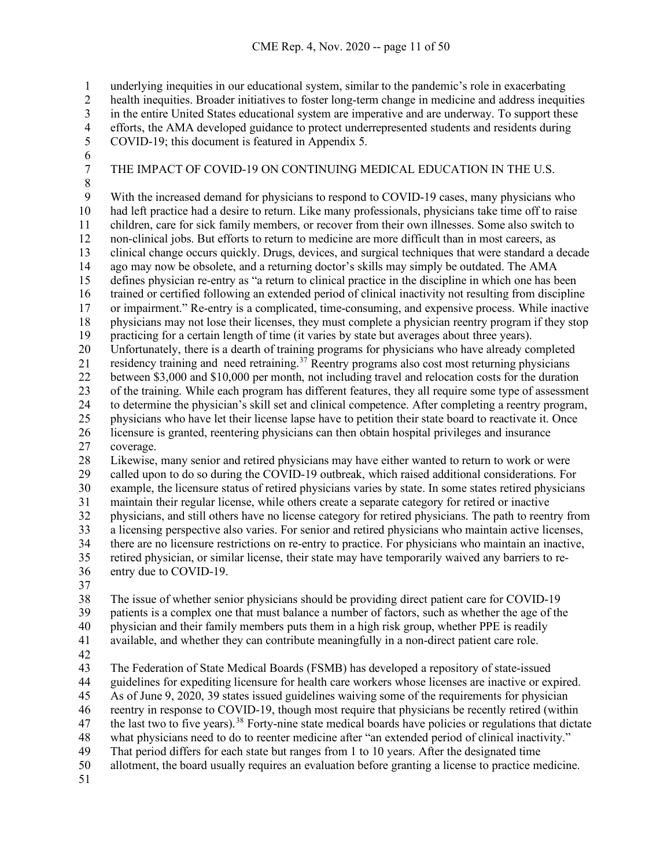1 underlying inequities in our educational system, similar to the pandemic's role in exacerbating<br>2 health inequities. Broader initiatives to foster long-term change in medicine and address inequi health inequities. Broader initiatives to foster long-term change in medicine and address inequities 3 in the entire United States educational system are imperative and are underway. To support these<br>4 efforts, the AMA developed guidance to protect underrepresented students and residents during 4 efforts, the AMA developed guidance to protect underrepresented students and residents during<br>5 COVID-19; this document is featured in Appendix 5. COVID-19; this document is featured in Appendix 5.

6<br>7

THE IMPACT OF COVID-19 ON CONTINUING MEDICAL EDUCATION IN THE U.S.

 With the increased demand for physicians to respond to COVID-19 cases, many physicians who had left practice had a desire to return. Like many professionals, physicians take time off to raise children, care for sick family members, or recover from their own illnesses. Some also switch to non-clinical jobs. But efforts to return to medicine are more difficult than in most careers, as clinical change occurs quickly. Drugs, devices, and surgical techniques that were standard a decade ago may now be obsolete, and a returning doctor's skills may simply be outdated. The AMA defines physician re-entry as "a return to clinical practice in the discipline in which one has been trained or certified following an extended period of clinical inactivity not resulting from discipline or impairment." Re-entry is a complicated, time-consuming, and expensive process. While inactive physicians may not lose their licenses, they must complete a physician reentry program if they stop practicing for a certain length of time (it varies by state but averages about three years). Unfortunately, there is a dearth of training programs for physicians who have already completed 21 residency training and need retraining.<sup>[37](#page-50-19)</sup> Reentry programs also cost most returning physicians between \$3,000 and \$10,000 per month, not including travel and relocation costs for the duration of the training. While each program has different features, they all require some type of assessment to determine the physician's skill set and clinical competence. After completing a reentry program, physicians who have let their license lapse have to petition their state board to reactivate it. Once licensure is granted, reentering physicians can then obtain hospital privileges and insurance coverage. Likewise, many senior and retired physicians may have either wanted to return to work or were called upon to do so during the COVID-19 outbreak, which raised additional considerations. For example, the licensure status of retired physicians varies by state. In some states retired physicians maintain their regular license, while others create a separate category for retired or inactive physicians, and still others have no license category for retired physicians. The path to reentry from a licensing perspective also varies. For senior and retired physicians who maintain active licenses, there are no licensure restrictions on re-entry to practice. For physicians who maintain an inactive, retired physician, or similar license, their state may have temporarily waived any barriers to re- entry due to COVID-19. 

38 The issue of whether senior physicians should be providing direct patient care for COVID-19<br>39 patients is a complex one that must balance a number of factors, such as whether the age of the patients is a complex one that must balance a number of factors, such as whether the age of the physician and their family members puts them in a high risk group, whether PPE is readily available, and whether they can contribute meaningfully in a non-direct patient care role.

The Federation of State Medical Boards (FSMB) has developed a repository of state-issued

guidelines for expediting licensure for health care workers whose licenses are inactive or expired.

As of June 9, 2020, 39 states issued guidelines waiving some of the requirements for physician

reentry in response to COVID-19, though most require that physicians be recently retired (within

47 the last two to five years).<sup>[38](#page-50-20)</sup> Forty-nine state medical boards have policies or regulations that dictate

what physicians need to do to reenter medicine after "an extended period of clinical inactivity."

That period differs for each state but ranges from 1 to 10 years. After the designated time

allotment, the board usually requires an evaluation before granting a license to practice medicine.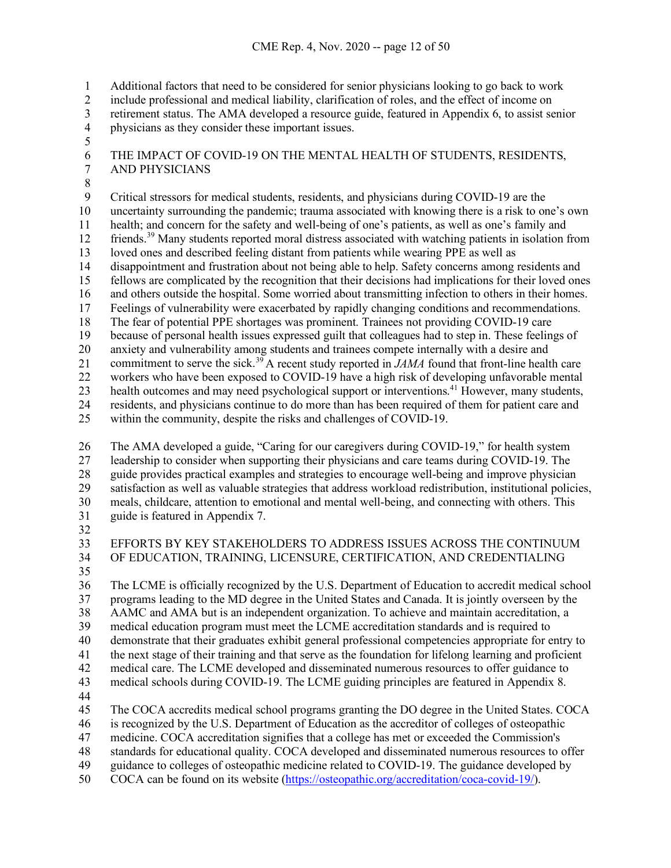1 Additional factors that need to be considered for senior physicians looking to go back to work<br>2 include professional and medical liability, clarification of roles, and the effect of income on

include professional and medical liability, clarification of roles, and the effect of income on

3 retirement status. The AMA developed a resource guide, featured in Appendix 6, to assist senior<br>4 physicians as they consider these important issues.

physicians as they consider these important issues.

6 THE IMPACT OF COVID-19 ON THE MENTAL HEALTH OF STUDENTS, RESIDENTS, AND PHYSICIANS AND PHYSICIANS

8<br>9 Critical stressors for medical students, residents, and physicians during COVID-19 are the uncertainty surrounding the pandemic; trauma associated with knowing there is a risk to one's own health; and concern for the safety and well-being of one's patients, as well as one's family and 12 friends.<sup>39</sup> Many students reported moral distress associated with watching patients in isolation from loved ones and described feeling distant from patients while wearing PPE as well as disappointment and frustration about not being able to help. Safety concerns among residents and fellows are complicated by the recognition that their decisions had implications for their loved ones and others outside the hospital. Some worried about transmitting infection to others in their homes. Feelings of vulnerability were exacerbated by rapidly changing conditions and recommendations. The fear of potential PPE shortages was prominent. Trainees not providing COVID-19 care because of personal health issues expressed guilt that colleagues had to step in. These feelings of anxiety and vulnerability among students and trainees compete internally with a desire and 21 commitment to serve the sick.<sup>[39](#page-50-8)</sup> A recent study reported in  $JAMA$  found that front-line health care workers who have been exposed to COVID-19 have a high risk of developing unfavorable mental 23 health outcomes and may need psychological support or interventions.<sup>41</sup> However, many students, residents, and physicians continue to do more than has been required of them for patient care and within the community, despite the risks and challenges of COVID-19. The AMA developed a guide, "Caring for our caregivers during COVID-19," for health system leadership to consider when supporting their physicians and care teams during COVID-19. The guide provides practical examples and strategies to encourage well-being and improve physician

 satisfaction as well as valuable strategies that address workload redistribution, institutional policies, meals, childcare, attention to emotional and mental well-being, and connecting with others. This guide is featured in Appendix 7.

- 
- 

 EFFORTS BY KEY STAKEHOLDERS TO ADDRESS ISSUES ACROSS THE CONTINUUM OF EDUCATION, TRAINING, LICENSURE, CERTIFICATION, AND CREDENTIALING

 The LCME is officially recognized by the U.S. Department of Education to accredit medical school programs leading to the MD degree in the United States and Canada. It is jointly overseen by the AAMC and AMA but is an independent organization. To achieve and maintain accreditation, a medical education program must meet the LCME accreditation standards and is required to demonstrate that their graduates exhibit general professional competencies appropriate for entry to the next stage of their training and that serve as the foundation for lifelong learning and proficient medical care. The LCME developed and disseminated numerous resources to offer guidance to medical schools during COVID-19. The LCME guiding principles are featured in Appendix 8.

 The COCA accredits medical school programs granting the DO degree in the United States. COCA is recognized by the U.S. Department of Education as the accreditor of colleges of osteopathic medicine. COCA accreditation signifies that a college has met or exceeded the Commission's standards for educational quality. COCA developed and disseminated numerous resources to offer

49 guidance to colleges of osteopathic medicine related to COVID-19. The guidance developed by

COCA can be found on its website [\(https://osteopathic.org/accreditation/coca-covid-19/\)](https://osteopathic.org/accreditation/coca-covid-19/).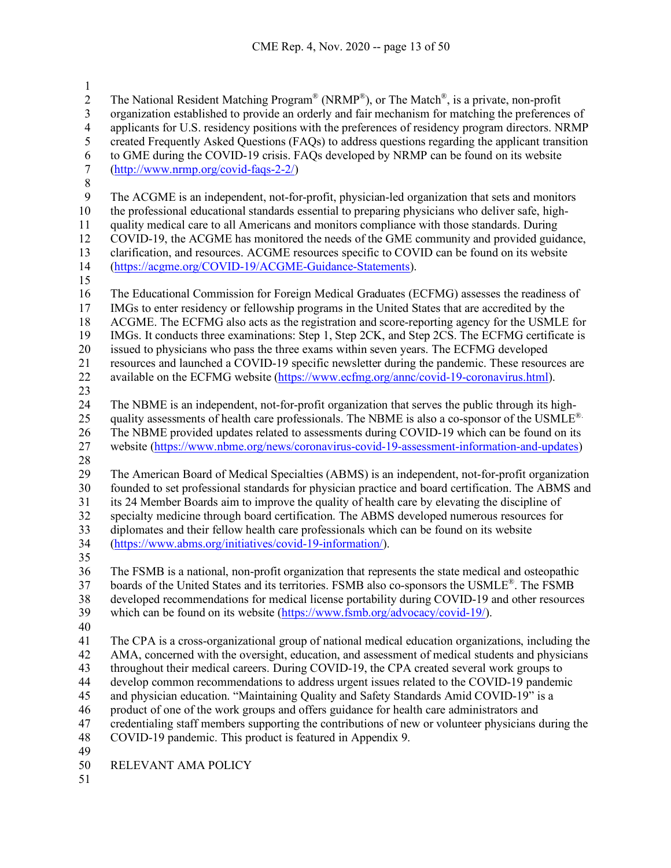$\frac{1}{2}$ The National Resident Matching Program<sup>®</sup> (NRMP<sup>®</sup>), or The Match<sup>®</sup>, is a private, non-profit 3 organization established to provide an orderly and fair mechanism for matching the preferences of applicants for U.S. residency positions with the preferences of residency program directors. NRMP 4 applicants for U.S. residency positions with the preferences of residency program directors. NRMP<br>5 created Frequently Asked Questions (FAQs) to address questions regarding the applicant transition created Frequently Asked Questions (FAQs) to address questions regarding the applicant transition 6 to GME during the COVID-19 crisis. FAQs developed by NRMP can be found on its website<br>  $\frac{7}{100}$  (http://www.nrmp.org/covid-faqs-2-2/) [\(http://www.nrmp.org/covid-faqs-2-2/\)](http://www.nrmp.org/covid-faqs-2-2/) The ACGME is an independent, not-for-profit, physician-led organization that sets and monitors the professional educational standards essential to preparing physicians who deliver safe, high- quality medical care to all Americans and monitors compliance with those standards. During COVID-19, the ACGME has monitored the needs of the GME community and provided guidance, clarification, and resources. ACGME resources specific to COVID can be found on its website [\(https://acgme.org/COVID-19/ACGME-Guidance-Statements\)](https://acgme.org/COVID-19/ACGME-Guidance-Statements). The Educational Commission for Foreign Medical Graduates (ECFMG) assesses the readiness of IMGs to enter residency or fellowship programs in the United States that are accredited by the ACGME. The ECFMG also acts as the registration and score-reporting agency for the USMLE for IMGs. It conducts three examinations: Step 1, Step 2CK, and Step 2CS. The ECFMG certificate is issued to physicians who pass the three exams within seven years. The ECFMG developed resources and launched a COVID-19 specific newsletter during the pandemic. These resources are available on the ECFMG website [\(https://www.ecfmg.org/annc/covid-19-coronavirus.html\)](https://www.ecfmg.org/annc/covid-19-coronavirus.html). The NBME is an independent, not-for-profit organization that serves the public through its high-25 quality assessments of health care professionals. The NBME is also a co-sponsor of the USMLE<sup>®.</sup> 26 The NBME provided updates related to assessments during COVID-19 which can be found on its 27 website [\(https://www.nbme.org/news/coronavirus-covid-19-assessment-information-and-updates\)](https://www.nbme.org/news/coronavirus-covid-19-assessment-information-and-updates) The American Board of Medical Specialties (ABMS) is an independent, not-for-profit organization founded to set professional standards for physician practice and board certification. The ABMS and its 24 Member Boards aim to improve the quality of health care by elevating the discipline of specialty medicine through board certification. The ABMS developed numerous resources for diplomates and their fellow health care professionals which can be found on its website [\(https://www.abms.org/initiatives/covid-19-information/\)](https://www.abms.org/initiatives/covid-19-information/). The FSMB is a national, non-profit organization that represents the state medical and osteopathic 37 boards of the United States and its territories. FSMB also co-sponsors the USMLE®. The FSMB 38 developed recommendations for medical license portability during COVID-19 and other resources<br>39 which can be found on its website (https://www.fsmb.org/advocacy/covid-19/). which can be found on its website [\(https://www.fsmb.org/advocacy/covid-19/\)](https://www.fsmb.org/advocacy/covid-19/). The CPA is a cross-organizational group of national medical education organizations, including the AMA, concerned with the oversight, education, and assessment of medical students and physicians throughout their medical careers. During COVID-19, the CPA created several work groups to develop common recommendations to address urgent issues related to the COVID-19 pandemic and physician education. "Maintaining Quality and Safety Standards Amid COVID-19" is a product of one of the work groups and offers guidance for health care administrators and credentialing staff members supporting the contributions of new or volunteer physicians during the COVID-19 pandemic. This product is featured in Appendix 9. RELEVANT AMA POLICY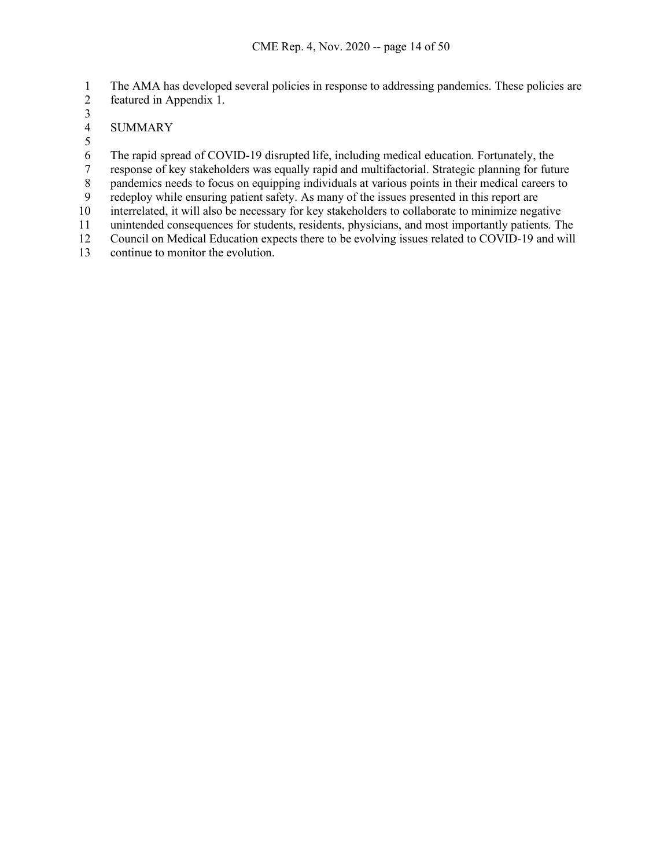1 The AMA has developed several policies in response to addressing pandemics. These policies are featured in Appendix 1. featured in Appendix 1.

 $\frac{3}{4}$ 

#### **SUMMARY**

5

6 The rapid spread of COVID-19 disrupted life, including medical education. Fortunately, the response of key stakeholders was equally rapid and multifactorial. Strategic planning for future

7 response of key stakeholders was equally rapid and multifactorial. Strategic planning for future<br>8 pandemics needs to focus on equipping individuals at various points in their medical careers to

8 pandemics needs to focus on equipping individuals at various points in their medical careers to redeploy while ensuring patient safety. As many of the issues presented in this report are

redeploy while ensuring patient safety. As many of the issues presented in this report are

10 interrelated, it will also be necessary for key stakeholders to collaborate to minimize negative

11 unintended consequences for students, residents, physicians, and most importantly patients. The

12 Council on Medical Education expects there to be evolving issues related to COVID-19 and will

13 continue to monitor the evolution.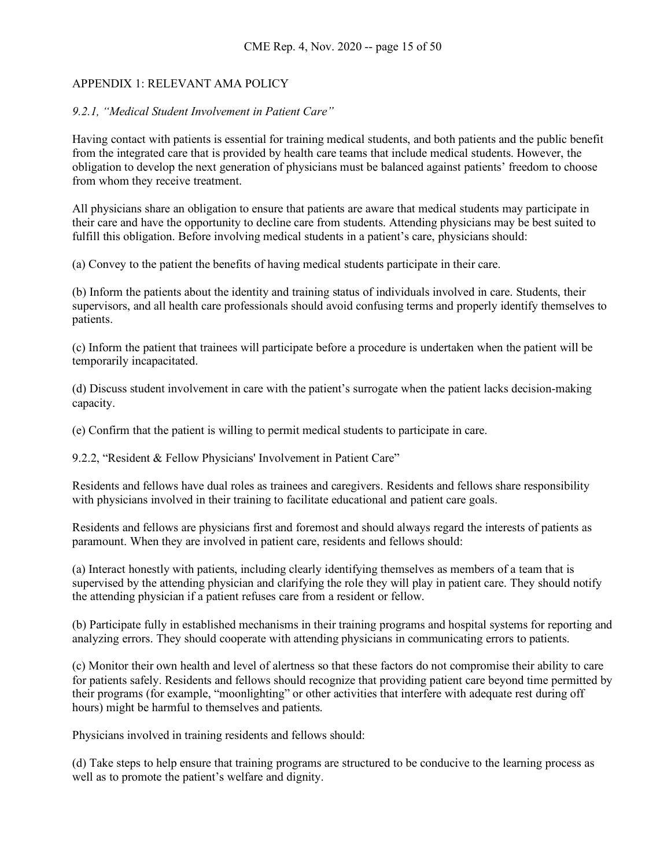### APPENDIX 1: RELEVANT AMA POLICY

#### *9.2.1, "Medical Student Involvement in Patient Care"*

Having contact with patients is essential for training medical students, and both patients and the public benefit from the integrated care that is provided by health care teams that include medical students. However, the obligation to develop the next generation of physicians must be balanced against patients' freedom to choose from whom they receive treatment.

All physicians share an obligation to ensure that patients are aware that medical students may participate in their care and have the opportunity to decline care from students. Attending physicians may be best suited to fulfill this obligation. Before involving medical students in a patient's care, physicians should:

(a) Convey to the patient the benefits of having medical students participate in their care.

(b) Inform the patients about the identity and training status of individuals involved in care. Students, their supervisors, and all health care professionals should avoid confusing terms and properly identify themselves to patients.

(c) Inform the patient that trainees will participate before a procedure is undertaken when the patient will be temporarily incapacitated.

(d) Discuss student involvement in care with the patient's surrogate when the patient lacks decision-making capacity.

(e) Confirm that the patient is willing to permit medical students to participate in care.

9.2.2, "Resident & Fellow Physicians' Involvement in Patient Care"

Residents and fellows have dual roles as trainees and caregivers. Residents and fellows share responsibility with physicians involved in their training to facilitate educational and patient care goals.

Residents and fellows are physicians first and foremost and should always regard the interests of patients as paramount. When they are involved in patient care, residents and fellows should:

(a) Interact honestly with patients, including clearly identifying themselves as members of a team that is supervised by the attending physician and clarifying the role they will play in patient care. They should notify the attending physician if a patient refuses care from a resident or fellow.

(b) Participate fully in established mechanisms in their training programs and hospital systems for reporting and analyzing errors. They should cooperate with attending physicians in communicating errors to patients.

(c) Monitor their own health and level of alertness so that these factors do not compromise their ability to care for patients safely. Residents and fellows should recognize that providing patient care beyond time permitted by their programs (for example, "moonlighting" or other activities that interfere with adequate rest during off hours) might be harmful to themselves and patients.

Physicians involved in training residents and fellows should:

(d) Take steps to help ensure that training programs are structured to be conducive to the learning process as well as to promote the patient's welfare and dignity.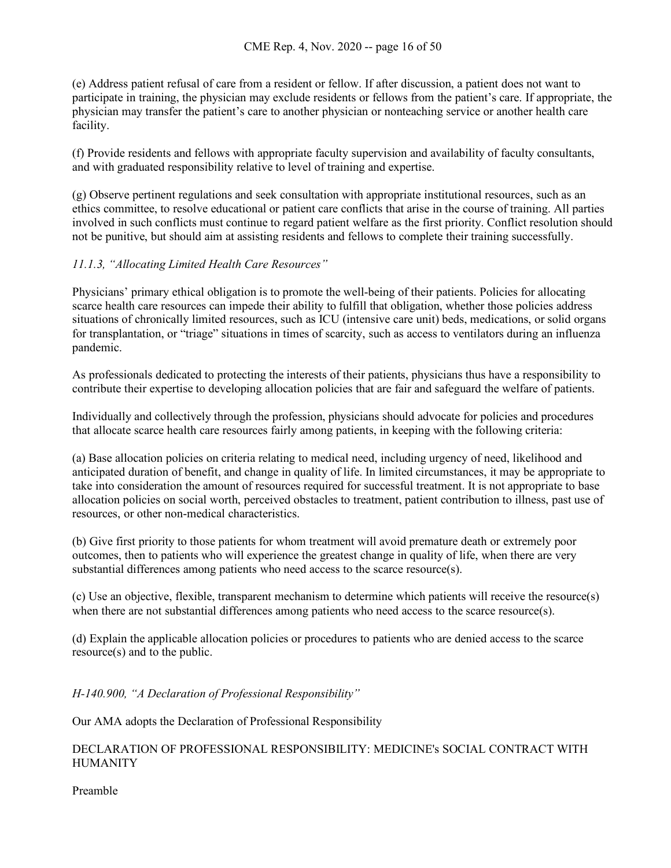(e) Address patient refusal of care from a resident or fellow. If after discussion, a patient does not want to participate in training, the physician may exclude residents or fellows from the patient's care. If appropriate, the physician may transfer the patient's care to another physician or nonteaching service or another health care facility.

(f) Provide residents and fellows with appropriate faculty supervision and availability of faculty consultants, and with graduated responsibility relative to level of training and expertise.

(g) Observe pertinent regulations and seek consultation with appropriate institutional resources, such as an ethics committee, to resolve educational or patient care conflicts that arise in the course of training. All parties involved in such conflicts must continue to regard patient welfare as the first priority. Conflict resolution should not be punitive, but should aim at assisting residents and fellows to complete their training successfully.

### *11.1.3, "Allocating Limited Health Care Resources"*

Physicians' primary ethical obligation is to promote the well-being of their patients. Policies for allocating scarce health care resources can impede their ability to fulfill that obligation, whether those policies address situations of chronically limited resources, such as ICU (intensive care unit) beds, medications, or solid organs for transplantation, or "triage" situations in times of scarcity, such as access to ventilators during an influenza pandemic.

As professionals dedicated to protecting the interests of their patients, physicians thus have a responsibility to contribute their expertise to developing allocation policies that are fair and safeguard the welfare of patients.

Individually and collectively through the profession, physicians should advocate for policies and procedures that allocate scarce health care resources fairly among patients, in keeping with the following criteria:

(a) Base allocation policies on criteria relating to medical need, including urgency of need, likelihood and anticipated duration of benefit, and change in quality of life. In limited circumstances, it may be appropriate to take into consideration the amount of resources required for successful treatment. It is not appropriate to base allocation policies on social worth, perceived obstacles to treatment, patient contribution to illness, past use of resources, or other non-medical characteristics.

(b) Give first priority to those patients for whom treatment will avoid premature death or extremely poor outcomes, then to patients who will experience the greatest change in quality of life, when there are very substantial differences among patients who need access to the scarce resource(s).

(c) Use an objective, flexible, transparent mechanism to determine which patients will receive the resource(s) when there are not substantial differences among patients who need access to the scarce resource(s).

(d) Explain the applicable allocation policies or procedures to patients who are denied access to the scarce resource(s) and to the public.

*H-140.900, "A Declaration of Professional Responsibility"*

Our AMA adopts the Declaration of Professional Responsibility

### DECLARATION OF PROFESSIONAL RESPONSIBILITY: MEDICINE's SOCIAL CONTRACT WITH HUMANITY

Preamble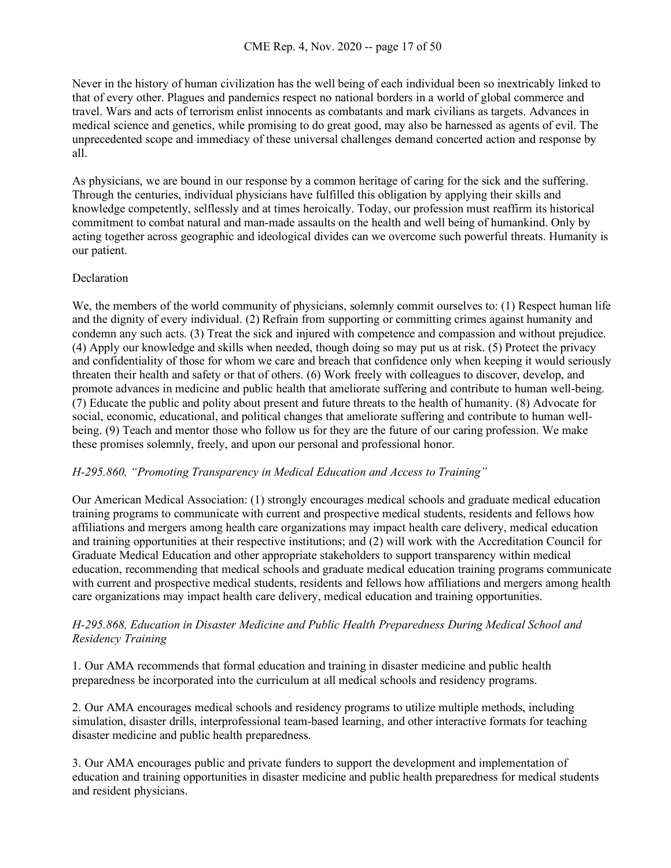Never in the history of human civilization has the well being of each individual been so inextricably linked to that of every other. Plagues and pandemics respect no national borders in a world of global commerce and travel. Wars and acts of terrorism enlist innocents as combatants and mark civilians as targets. Advances in medical science and genetics, while promising to do great good, may also be harnessed as agents of evil. The unprecedented scope and immediacy of these universal challenges demand concerted action and response by all.

As physicians, we are bound in our response by a common heritage of caring for the sick and the suffering. Through the centuries, individual physicians have fulfilled this obligation by applying their skills and knowledge competently, selflessly and at times heroically. Today, our profession must reaffirm its historical commitment to combat natural and man-made assaults on the health and well being of humankind. Only by acting together across geographic and ideological divides can we overcome such powerful threats. Humanity is our patient.

### Declaration

We, the members of the world community of physicians, solemnly commit ourselves to: (1) Respect human life and the dignity of every individual. (2) Refrain from supporting or committing crimes against humanity and condemn any such acts. (3) Treat the sick and injured with competence and compassion and without prejudice. (4) Apply our knowledge and skills when needed, though doing so may put us at risk. (5) Protect the privacy and confidentiality of those for whom we care and breach that confidence only when keeping it would seriously threaten their health and safety or that of others. (6) Work freely with colleagues to discover, develop, and promote advances in medicine and public health that ameliorate suffering and contribute to human well-being. (7) Educate the public and polity about present and future threats to the health of humanity. (8) Advocate for social, economic, educational, and political changes that ameliorate suffering and contribute to human wellbeing. (9) Teach and mentor those who follow us for they are the future of our caring profession. We make these promises solemnly, freely, and upon our personal and professional honor.

### *H-295.860, "Promoting Transparency in Medical Education and Access to Training"*

Our American Medical Association: (1) strongly encourages medical schools and graduate medical education training programs to communicate with current and prospective medical students, residents and fellows how affiliations and mergers among health care organizations may impact health care delivery, medical education and training opportunities at their respective institutions; and (2) will work with the Accreditation Council for Graduate Medical Education and other appropriate stakeholders to support transparency within medical education, recommending that medical schools and graduate medical education training programs communicate with current and prospective medical students, residents and fellows how affiliations and mergers among health care organizations may impact health care delivery, medical education and training opportunities.

### *H-295.868, Education in Disaster Medicine and Public Health Preparedness During Medical School and Residency Training*

1. Our AMA recommends that formal education and training in disaster medicine and public health preparedness be incorporated into the curriculum at all medical schools and residency programs.

2. Our AMA encourages medical schools and residency programs to utilize multiple methods, including simulation, disaster drills, interprofessional team-based learning, and other interactive formats for teaching disaster medicine and public health preparedness.

3. Our AMA encourages public and private funders to support the development and implementation of education and training opportunities in disaster medicine and public health preparedness for medical students and resident physicians.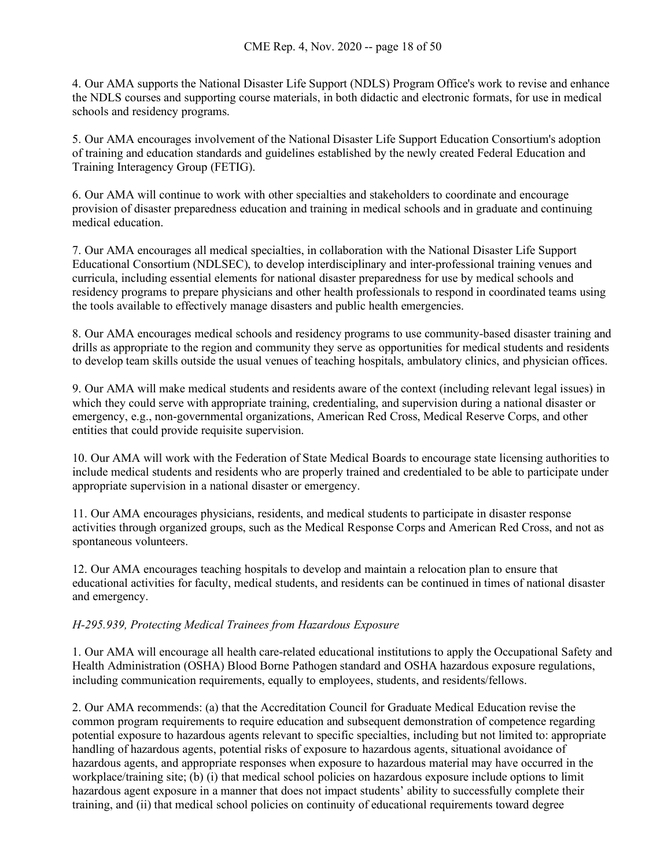4. Our AMA supports the National Disaster Life Support (NDLS) Program Office's work to revise and enhance the NDLS courses and supporting course materials, in both didactic and electronic formats, for use in medical schools and residency programs.

5. Our AMA encourages involvement of the National Disaster Life Support Education Consortium's adoption of training and education standards and guidelines established by the newly created Federal Education and Training Interagency Group (FETIG).

6. Our AMA will continue to work with other specialties and stakeholders to coordinate and encourage provision of disaster preparedness education and training in medical schools and in graduate and continuing medical education.

7. Our AMA encourages all medical specialties, in collaboration with the National Disaster Life Support Educational Consortium (NDLSEC), to develop interdisciplinary and inter-professional training venues and curricula, including essential elements for national disaster preparedness for use by medical schools and residency programs to prepare physicians and other health professionals to respond in coordinated teams using the tools available to effectively manage disasters and public health emergencies.

8. Our AMA encourages medical schools and residency programs to use community-based disaster training and drills as appropriate to the region and community they serve as opportunities for medical students and residents to develop team skills outside the usual venues of teaching hospitals, ambulatory clinics, and physician offices.

9. Our AMA will make medical students and residents aware of the context (including relevant legal issues) in which they could serve with appropriate training, credentialing, and supervision during a national disaster or emergency, e.g., non-governmental organizations, American Red Cross, Medical Reserve Corps, and other entities that could provide requisite supervision.

10. Our AMA will work with the Federation of State Medical Boards to encourage state licensing authorities to include medical students and residents who are properly trained and credentialed to be able to participate under appropriate supervision in a national disaster or emergency.

11. Our AMA encourages physicians, residents, and medical students to participate in disaster response activities through organized groups, such as the Medical Response Corps and American Red Cross, and not as spontaneous volunteers.

12. Our AMA encourages teaching hospitals to develop and maintain a relocation plan to ensure that educational activities for faculty, medical students, and residents can be continued in times of national disaster and emergency.

### *H-295.939, Protecting Medical Trainees from Hazardous Exposure*

1. Our AMA will encourage all health care-related educational institutions to apply the Occupational Safety and Health Administration (OSHA) Blood Borne Pathogen standard and OSHA hazardous exposure regulations, including communication requirements, equally to employees, students, and residents/fellows.

2. Our AMA recommends: (a) that the Accreditation Council for Graduate Medical Education revise the common program requirements to require education and subsequent demonstration of competence regarding potential exposure to hazardous agents relevant to specific specialties, including but not limited to: appropriate handling of hazardous agents, potential risks of exposure to hazardous agents, situational avoidance of hazardous agents, and appropriate responses when exposure to hazardous material may have occurred in the workplace/training site; (b) (i) that medical school policies on hazardous exposure include options to limit hazardous agent exposure in a manner that does not impact students' ability to successfully complete their training, and (ii) that medical school policies on continuity of educational requirements toward degree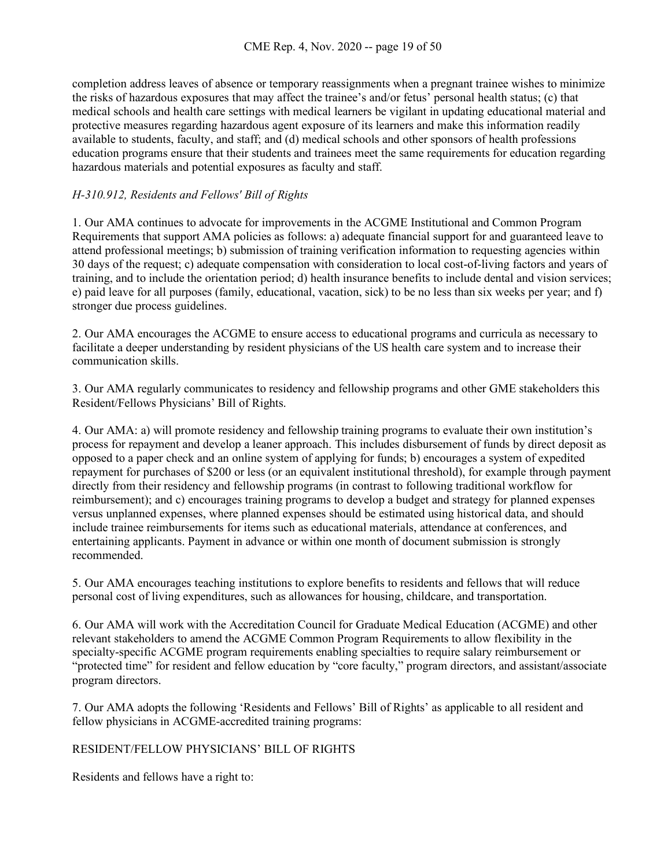completion address leaves of absence or temporary reassignments when a pregnant trainee wishes to minimize the risks of hazardous exposures that may affect the trainee's and/or fetus' personal health status; (c) that medical schools and health care settings with medical learners be vigilant in updating educational material and protective measures regarding hazardous agent exposure of its learners and make this information readily available to students, faculty, and staff; and (d) medical schools and other sponsors of health professions education programs ensure that their students and trainees meet the same requirements for education regarding hazardous materials and potential exposures as faculty and staff.

## *H-310.912, Residents and Fellows' Bill of Rights*

1. Our AMA continues to advocate for improvements in the ACGME Institutional and Common Program Requirements that support AMA policies as follows: a) adequate financial support for and guaranteed leave to attend professional meetings; b) submission of training verification information to requesting agencies within 30 days of the request; c) adequate compensation with consideration to local cost-of-living factors and years of training, and to include the orientation period; d) health insurance benefits to include dental and vision services; e) paid leave for all purposes (family, educational, vacation, sick) to be no less than six weeks per year; and f) stronger due process guidelines.

2. Our AMA encourages the ACGME to ensure access to educational programs and curricula as necessary to facilitate a deeper understanding by resident physicians of the US health care system and to increase their communication skills.

3. Our AMA regularly communicates to residency and fellowship programs and other GME stakeholders this Resident/Fellows Physicians' Bill of Rights.

4. Our AMA: a) will promote residency and fellowship training programs to evaluate their own institution's process for repayment and develop a leaner approach. This includes disbursement of funds by direct deposit as opposed to a paper check and an online system of applying for funds; b) encourages a system of expedited repayment for purchases of \$200 or less (or an equivalent institutional threshold), for example through payment directly from their residency and fellowship programs (in contrast to following traditional workflow for reimbursement); and c) encourages training programs to develop a budget and strategy for planned expenses versus unplanned expenses, where planned expenses should be estimated using historical data, and should include trainee reimbursements for items such as educational materials, attendance at conferences, and entertaining applicants. Payment in advance or within one month of document submission is strongly recommended.

5. Our AMA encourages teaching institutions to explore benefits to residents and fellows that will reduce personal cost of living expenditures, such as allowances for housing, childcare, and transportation.

6. Our AMA will work with the Accreditation Council for Graduate Medical Education (ACGME) and other relevant stakeholders to amend the ACGME Common Program Requirements to allow flexibility in the specialty-specific ACGME program requirements enabling specialties to require salary reimbursement or "protected time" for resident and fellow education by "core faculty," program directors, and assistant/associate program directors.

7. Our AMA adopts the following 'Residents and Fellows' Bill of Rights' as applicable to all resident and fellow physicians in ACGME-accredited training programs:

### RESIDENT/FELLOW PHYSICIANS' BILL OF RIGHTS

Residents and fellows have a right to: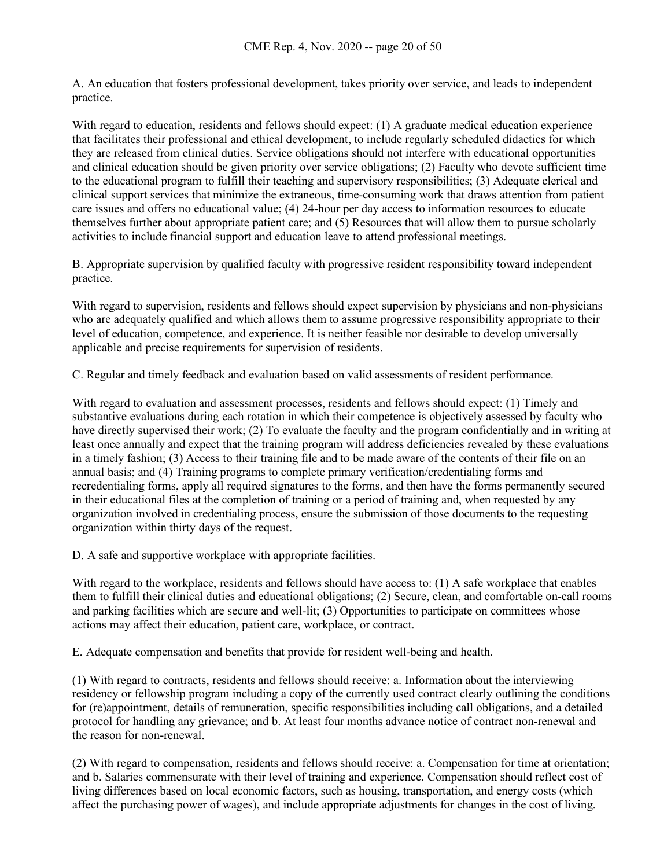A. An education that fosters professional development, takes priority over service, and leads to independent practice.

With regard to education, residents and fellows should expect: (1) A graduate medical education experience that facilitates their professional and ethical development, to include regularly scheduled didactics for which they are released from clinical duties. Service obligations should not interfere with educational opportunities and clinical education should be given priority over service obligations; (2) Faculty who devote sufficient time to the educational program to fulfill their teaching and supervisory responsibilities; (3) Adequate clerical and clinical support services that minimize the extraneous, time-consuming work that draws attention from patient care issues and offers no educational value; (4) 24-hour per day access to information resources to educate themselves further about appropriate patient care; and  $(5)$  Resources that will allow them to pursue scholarly activities to include financial support and education leave to attend professional meetings.

B. Appropriate supervision by qualified faculty with progressive resident responsibility toward independent practice.

With regard to supervision, residents and fellows should expect supervision by physicians and non-physicians who are adequately qualified and which allows them to assume progressive responsibility appropriate to their level of education, competence, and experience. It is neither feasible nor desirable to develop universally applicable and precise requirements for supervision of residents.

C. Regular and timely feedback and evaluation based on valid assessments of resident performance.

With regard to evaluation and assessment processes, residents and fellows should expect: (1) Timely and substantive evaluations during each rotation in which their competence is objectively assessed by faculty who have directly supervised their work; (2) To evaluate the faculty and the program confidentially and in writing at least once annually and expect that the training program will address deficiencies revealed by these evaluations in a timely fashion; (3) Access to their training file and to be made aware of the contents of their file on an annual basis; and (4) Training programs to complete primary verification/credentialing forms and recredentialing forms, apply all required signatures to the forms, and then have the forms permanently secured in their educational files at the completion of training or a period of training and, when requested by any organization involved in credentialing process, ensure the submission of those documents to the requesting organization within thirty days of the request.

D. A safe and supportive workplace with appropriate facilities.

With regard to the workplace, residents and fellows should have access to: (1) A safe workplace that enables them to fulfill their clinical duties and educational obligations; (2) Secure, clean, and comfortable on-call rooms and parking facilities which are secure and well-lit; (3) Opportunities to participate on committees whose actions may affect their education, patient care, workplace, or contract.

E. Adequate compensation and benefits that provide for resident well-being and health.

(1) With regard to contracts, residents and fellows should receive: a. Information about the interviewing residency or fellowship program including a copy of the currently used contract clearly outlining the conditions for (re)appointment, details of remuneration, specific responsibilities including call obligations, and a detailed protocol for handling any grievance; and b. At least four months advance notice of contract non-renewal and the reason for non-renewal.

(2) With regard to compensation, residents and fellows should receive: a. Compensation for time at orientation; and b. Salaries commensurate with their level of training and experience. Compensation should reflect cost of living differences based on local economic factors, such as housing, transportation, and energy costs (which affect the purchasing power of wages), and include appropriate adjustments for changes in the cost of living.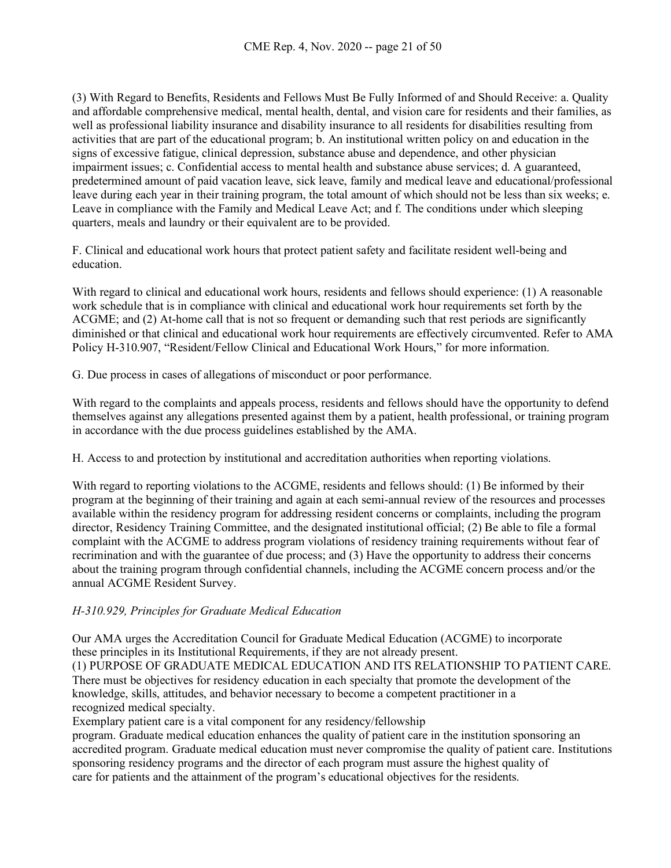(3) With Regard to Benefits, Residents and Fellows Must Be Fully Informed of and Should Receive: a. Quality and affordable comprehensive medical, mental health, dental, and vision care for residents and their families, as well as professional liability insurance and disability insurance to all residents for disabilities resulting from activities that are part of the educational program; b. An institutional written policy on and education in the signs of excessive fatigue, clinical depression, substance abuse and dependence, and other physician impairment issues; c. Confidential access to mental health and substance abuse services; d. A guaranteed, predetermined amount of paid vacation leave, sick leave, family and medical leave and educational/professional leave during each year in their training program, the total amount of which should not be less than six weeks; e. Leave in compliance with the Family and Medical Leave Act; and f. The conditions under which sleeping quarters, meals and laundry or their equivalent are to be provided.

F. Clinical and educational work hours that protect patient safety and facilitate resident well-being and education.

With regard to clinical and educational work hours, residents and fellows should experience: (1) A reasonable work schedule that is in compliance with clinical and educational work hour requirements set forth by the ACGME; and (2) At-home call that is not so frequent or demanding such that rest periods are significantly diminished or that clinical and educational work hour requirements are effectively circumvented. Refer to AMA Policy H-310.907, "Resident/Fellow Clinical and Educational Work Hours," for more information.

G. Due process in cases of allegations of misconduct or poor performance.

With regard to the complaints and appeals process, residents and fellows should have the opportunity to defend themselves against any allegations presented against them by a patient, health professional, or training program in accordance with the due process guidelines established by the AMA.

H. Access to and protection by institutional and accreditation authorities when reporting violations.

With regard to reporting violations to the ACGME, residents and fellows should: (1) Be informed by their program at the beginning of their training and again at each semi-annual review of the resources and processes available within the residency program for addressing resident concerns or complaints, including the program director, Residency Training Committee, and the designated institutional official; (2) Be able to file a formal complaint with the ACGME to address program violations of residency training requirements without fear of recrimination and with the guarantee of due process; and (3) Have the opportunity to address their concerns about the training program through confidential channels, including the ACGME concern process and/or the annual ACGME Resident Survey.

### *H-310.929, Principles for Graduate Medical Education*

Our AMA urges the Accreditation Council for Graduate Medical Education (ACGME) to incorporate these principles in its Institutional Requirements, if they are not already present.

(1) PURPOSE OF GRADUATE MEDICAL EDUCATION AND ITS RELATIONSHIP TO PATIENT CARE. There must be objectives for residency education in each specialty that promote the development of the knowledge, skills, attitudes, and behavior necessary to become a competent practitioner in a recognized medical specialty.

Exemplary patient care is a vital component for any residency/fellowship

program. Graduate medical education enhances the quality of patient care in the institution sponsoring an accredited program. Graduate medical education must never compromise the quality of patient care. Institutions sponsoring residency programs and the director of each program must assure the highest quality of care for patients and the attainment of the program's educational objectives for the residents.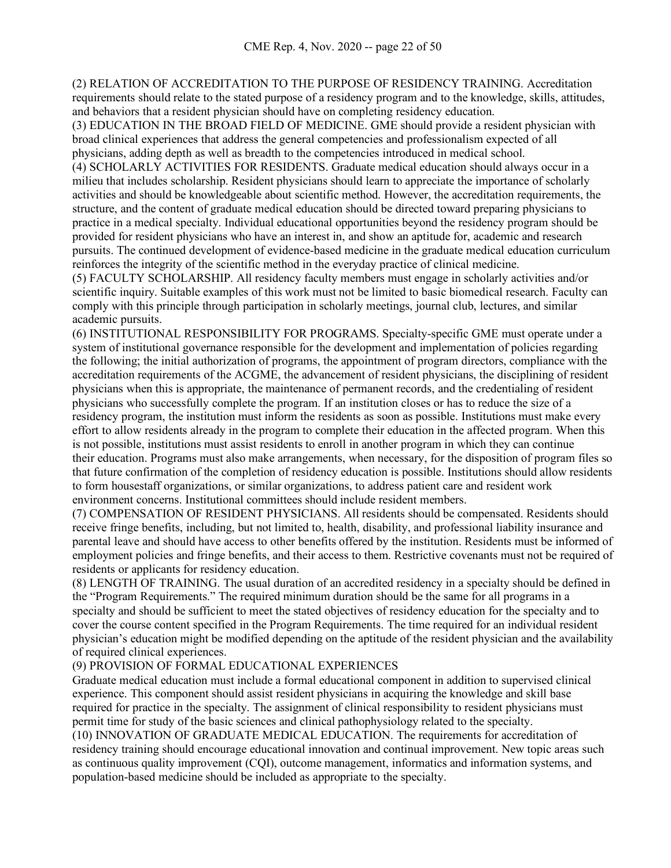(2) RELATION OF ACCREDITATION TO THE PURPOSE OF RESIDENCY TRAINING. Accreditation requirements should relate to the stated purpose of a residency program and to the knowledge, skills, attitudes, and behaviors that a resident physician should have on completing residency education.

(3) EDUCATION IN THE BROAD FIELD OF MEDICINE. GME should provide a resident physician with broad clinical experiences that address the general competencies and professionalism expected of all physicians, adding depth as well as breadth to the competencies introduced in medical school.

(4) SCHOLARLY ACTIVITIES FOR RESIDENTS. Graduate medical education should always occur in a milieu that includes scholarship. Resident physicians should learn to appreciate the importance of scholarly activities and should be knowledgeable about scientific method. However, the accreditation requirements, the structure, and the content of graduate medical education should be directed toward preparing physicians to practice in a medical specialty. Individual educational opportunities beyond the residency program should be provided for resident physicians who have an interest in, and show an aptitude for, academic and research pursuits. The continued development of evidence-based medicine in the graduate medical education curriculum reinforces the integrity of the scientific method in the everyday practice of clinical medicine.

(5) FACULTY SCHOLARSHIP. All residency faculty members must engage in scholarly activities and/or scientific inquiry. Suitable examples of this work must not be limited to basic biomedical research. Faculty can comply with this principle through participation in scholarly meetings, journal club, lectures, and similar academic pursuits.

(6) INSTITUTIONAL RESPONSIBILITY FOR PROGRAMS. Specialty-specific GME must operate under a system of institutional governance responsible for the development and implementation of policies regarding the following; the initial authorization of programs, the appointment of program directors, compliance with the accreditation requirements of the ACGME, the advancement of resident physicians, the disciplining of resident physicians when this is appropriate, the maintenance of permanent records, and the credentialing of resident physicians who successfully complete the program. If an institution closes or has to reduce the size of a residency program, the institution must inform the residents as soon as possible. Institutions must make every effort to allow residents already in the program to complete their education in the affected program. When this is not possible, institutions must assist residents to enroll in another program in which they can continue their education. Programs must also make arrangements, when necessary, for the disposition of program files so that future confirmation of the completion of residency education is possible. Institutions should allow residents to form housestaff organizations, or similar organizations, to address patient care and resident work environment concerns. Institutional committees should include resident members.

(7) COMPENSATION OF RESIDENT PHYSICIANS. All residents should be compensated. Residents should receive fringe benefits, including, but not limited to, health, disability, and professional liability insurance and parental leave and should have access to other benefits offered by the institution. Residents must be informed of employment policies and fringe benefits, and their access to them. Restrictive covenants must not be required of residents or applicants for residency education.

(8) LENGTH OF TRAINING. The usual duration of an accredited residency in a specialty should be defined in the "Program Requirements." The required minimum duration should be the same for all programs in a specialty and should be sufficient to meet the stated objectives of residency education for the specialty and to cover the course content specified in the Program Requirements. The time required for an individual resident physician's education might be modified depending on the aptitude of the resident physician and the availability of required clinical experiences.

### (9) PROVISION OF FORMAL EDUCATIONAL EXPERIENCES

Graduate medical education must include a formal educational component in addition to supervised clinical experience. This component should assist resident physicians in acquiring the knowledge and skill base required for practice in the specialty. The assignment of clinical responsibility to resident physicians must permit time for study of the basic sciences and clinical pathophysiology related to the specialty. (10) INNOVATION OF GRADUATE MEDICAL EDUCATION. The requirements for accreditation of residency training should encourage educational innovation and continual improvement. New topic areas such as continuous quality improvement (CQI), outcome management, informatics and information systems, and population-based medicine should be included as appropriate to the specialty.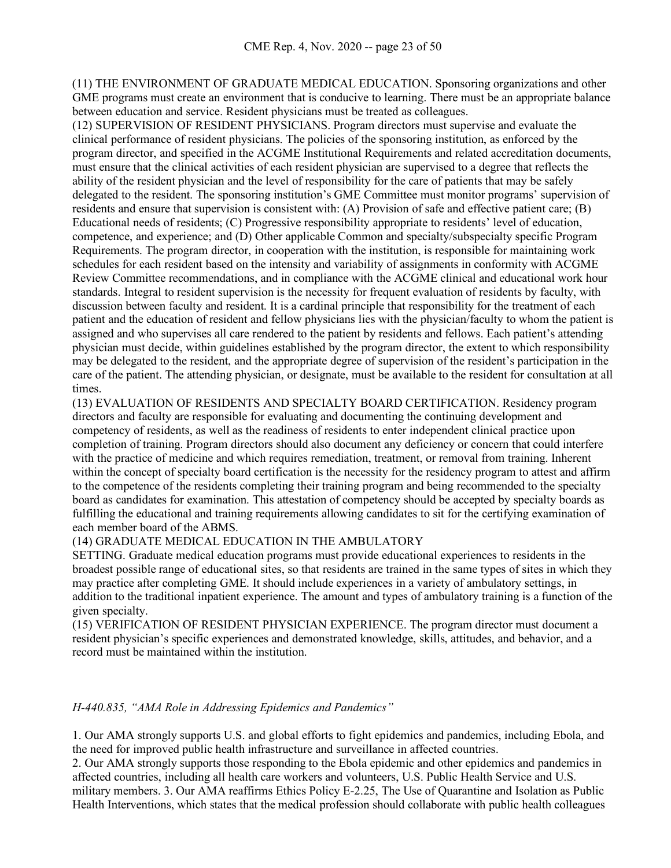(11) THE ENVIRONMENT OF GRADUATE MEDICAL EDUCATION. Sponsoring organizations and other GME programs must create an environment that is conducive to learning. There must be an appropriate balance between education and service. Resident physicians must be treated as colleagues.

(12) SUPERVISION OF RESIDENT PHYSICIANS. Program directors must supervise and evaluate the clinical performance of resident physicians. The policies of the sponsoring institution, as enforced by the program director, and specified in the ACGME Institutional Requirements and related accreditation documents, must ensure that the clinical activities of each resident physician are supervised to a degree that reflects the ability of the resident physician and the level of responsibility for the care of patients that may be safely delegated to the resident. The sponsoring institution's GME Committee must monitor programs' supervision of residents and ensure that supervision is consistent with: (A) Provision of safe and effective patient care; (B) Educational needs of residents; (C) Progressive responsibility appropriate to residents' level of education, competence, and experience; and (D) Other applicable Common and specialty/subspecialty specific Program Requirements. The program director, in cooperation with the institution, is responsible for maintaining work schedules for each resident based on the intensity and variability of assignments in conformity with ACGME Review Committee recommendations, and in compliance with the ACGME clinical and educational work hour standards. Integral to resident supervision is the necessity for frequent evaluation of residents by faculty, with discussion between faculty and resident. It is a cardinal principle that responsibility for the treatment of each patient and the education of resident and fellow physicians lies with the physician/faculty to whom the patient is assigned and who supervises all care rendered to the patient by residents and fellows. Each patient's attending physician must decide, within guidelines established by the program director, the extent to which responsibility may be delegated to the resident, and the appropriate degree of supervision of the resident's participation in the care of the patient. The attending physician, or designate, must be available to the resident for consultation at all times.

(13) EVALUATION OF RESIDENTS AND SPECIALTY BOARD CERTIFICATION. Residency program directors and faculty are responsible for evaluating and documenting the continuing development and competency of residents, as well as the readiness of residents to enter independent clinical practice upon completion of training. Program directors should also document any deficiency or concern that could interfere with the practice of medicine and which requires remediation, treatment, or removal from training. Inherent within the concept of specialty board certification is the necessity for the residency program to attest and affirm to the competence of the residents completing their training program and being recommended to the specialty board as candidates for examination. This attestation of competency should be accepted by specialty boards as fulfilling the educational and training requirements allowing candidates to sit for the certifying examination of each member board of the ABMS.

### (14) GRADUATE MEDICAL EDUCATION IN THE AMBULATORY

SETTING. Graduate medical education programs must provide educational experiences to residents in the broadest possible range of educational sites, so that residents are trained in the same types of sites in which they may practice after completing GME. It should include experiences in a variety of ambulatory settings, in addition to the traditional inpatient experience. The amount and types of ambulatory training is a function of the given specialty.

(15) VERIFICATION OF RESIDENT PHYSICIAN EXPERIENCE. The program director must document a resident physician's specific experiences and demonstrated knowledge, skills, attitudes, and behavior, and a record must be maintained within the institution.

### *H-440.835, "AMA Role in Addressing Epidemics and Pandemics"*

1. Our AMA strongly supports U.S. and global efforts to fight epidemics and pandemics, including Ebola, and the need for improved public health infrastructure and surveillance in affected countries.

2. Our AMA strongly supports those responding to the Ebola epidemic and other epidemics and pandemics in affected countries, including all health care workers and volunteers, U.S. Public Health Service and U.S.

military members. 3. Our AMA reaffirms Ethics Policy E-2.25, The Use of Quarantine and Isolation as Public Health Interventions, which states that the medical profession should collaborate with public health colleagues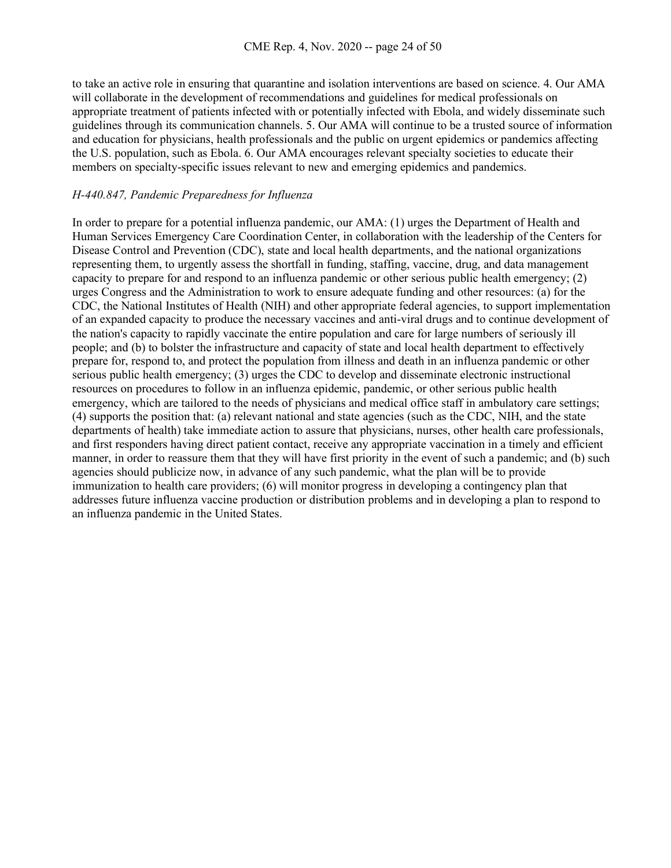to take an active role in ensuring that quarantine and isolation interventions are based on science. 4. Our AMA will collaborate in the development of recommendations and guidelines for medical professionals on appropriate treatment of patients infected with or potentially infected with Ebola, and widely disseminate such guidelines through its communication channels. 5. Our AMA will continue to be a trusted source of information and education for physicians, health professionals and the public on urgent epidemics or pandemics affecting the U.S. population, such as Ebola. 6. Our AMA encourages relevant specialty societies to educate their members on specialty-specific issues relevant to new and emerging epidemics and pandemics.

#### *H-440.847, Pandemic Preparedness for Influenza*

In order to prepare for a potential influenza pandemic, our AMA: (1) urges the Department of Health and Human Services Emergency Care Coordination Center, in collaboration with the leadership of the Centers for Disease Control and Prevention (CDC), state and local health departments, and the national organizations representing them, to urgently assess the shortfall in funding, staffing, vaccine, drug, and data management capacity to prepare for and respond to an influenza pandemic or other serious public health emergency; (2) urges Congress and the Administration to work to ensure adequate funding and other resources: (a) for the CDC, the National Institutes of Health (NIH) and other appropriate federal agencies, to support implementation of an expanded capacity to produce the necessary vaccines and anti-viral drugs and to continue development of the nation's capacity to rapidly vaccinate the entire population and care for large numbers of seriously ill people; and (b) to bolster the infrastructure and capacity of state and local health department to effectively prepare for, respond to, and protect the population from illness and death in an influenza pandemic or other serious public health emergency; (3) urges the CDC to develop and disseminate electronic instructional resources on procedures to follow in an influenza epidemic, pandemic, or other serious public health emergency, which are tailored to the needs of physicians and medical office staff in ambulatory care settings; (4) supports the position that: (a) relevant national and state agencies (such as the CDC, NIH, and the state departments of health) take immediate action to assure that physicians, nurses, other health care professionals, and first responders having direct patient contact, receive any appropriate vaccination in a timely and efficient manner, in order to reassure them that they will have first priority in the event of such a pandemic; and (b) such agencies should publicize now, in advance of any such pandemic, what the plan will be to provide immunization to health care providers; (6) will monitor progress in developing a contingency plan that addresses future influenza vaccine production or distribution problems and in developing a plan to respond to an influenza pandemic in the United States.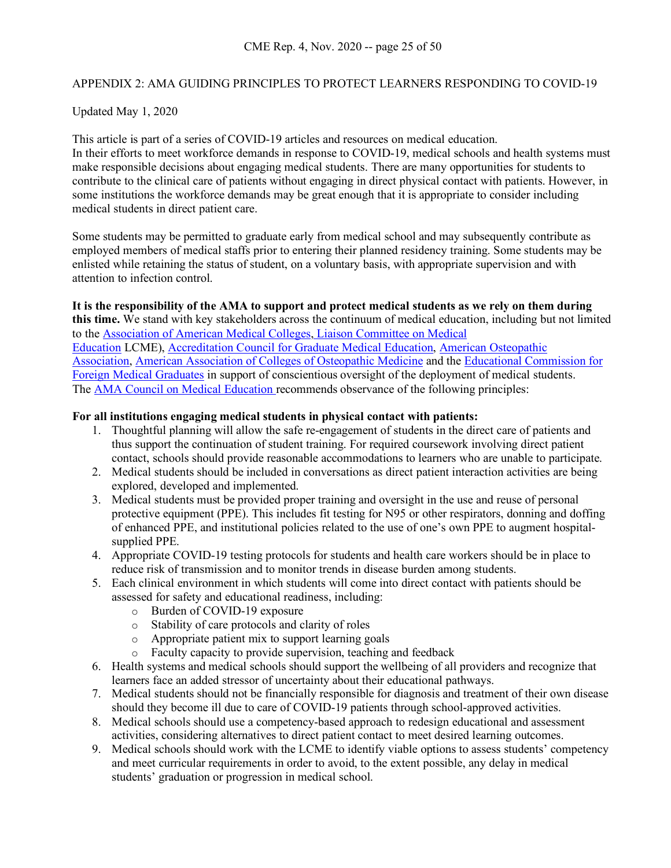### APPENDIX 2: AMA GUIDING PRINCIPLES TO PROTECT LEARNERS RESPONDING TO COVID-19

### Updated May 1, 2020

This article is part of a series of COVID-19 articles and resources on medical education. In their efforts to meet workforce demands in response to COVID-19, medical schools and health systems must make responsible decisions about engaging medical students. There are many opportunities for students to contribute to the clinical care of patients without engaging in direct physical contact with patients. However, in some institutions the workforce demands may be great enough that it is appropriate to consider including medical students in direct patient care.

Some students may be permitted to graduate early from medical school and may subsequently contribute as employed members of medical staffs prior to entering their planned residency training. Some students may be enlisted while retaining the status of student, on a voluntary basis, with appropriate supervision and with attention to infection control.

### **It is the responsibility of the AMA to support and protect medical students as we rely on them during**

**this time.** We stand with key stakeholders across the continuum of medical education, including but not limited to the [Association of American Medical Colleges,](https://www.aamc.org/coronavirus-covid-19-resource-hub) [Liaison Committee on Medical](https://lcme.org/covid-19/)  [Education](https://lcme.org/covid-19/) LCME), [Accreditation Council for Graduate Medical Education,](https://acgme.org/covid-19) [American Osteopathic](https://osteopathic.org/)  [Association,](https://osteopathic.org/) [American Association of Colleges of Osteopathic Medicine](https://www.aacom.org/) and the [Educational Commission for](https://www.ecfmg.org/news/category/coronavirus-updates/)  [Foreign Medical Graduates](https://www.ecfmg.org/news/category/coronavirus-updates/) in support of conscientious oversight of the deployment of medical students. The [AMA Council on Medical Education](https://www.ama-assn.org/councils/council-medical-education) recommends observance of the following principles:

### **For all institutions engaging medical students in physical contact with patients:**

- 1. Thoughtful planning will allow the safe re-engagement of students in the direct care of patients and thus support the continuation of student training. For required coursework involving direct patient contact, schools should provide reasonable accommodations to learners who are unable to participate.
- 2. Medical students should be included in conversations as direct patient interaction activities are being explored, developed and implemented.
- 3. Medical students must be provided proper training and oversight in the use and reuse of personal protective equipment (PPE). This includes fit testing for N95 or other respirators, donning and doffing of enhanced PPE, and institutional policies related to the use of one's own PPE to augment hospitalsupplied PPE.
- 4. Appropriate COVID-19 testing protocols for students and health care workers should be in place to reduce risk of transmission and to monitor trends in disease burden among students.
- 5. Each clinical environment in which students will come into direct contact with patients should be assessed for safety and educational readiness, including:
	- o Burden of COVID-19 exposure
	- o Stability of care protocols and clarity of roles
	- o Appropriate patient mix to support learning goals
	- o Faculty capacity to provide supervision, teaching and feedback
- 6. Health systems and medical schools should support the wellbeing of all providers and recognize that learners face an added stressor of uncertainty about their educational pathways.
- 7. Medical students should not be financially responsible for diagnosis and treatment of their own disease should they become ill due to care of COVID-19 patients through school-approved activities.
- 8. Medical schools should use a competency-based approach to redesign educational and assessment activities, considering alternatives to direct patient contact to meet desired learning outcomes.
- 9. Medical schools should work with the LCME to identify viable options to assess students' competency and meet curricular requirements in order to avoid, to the extent possible, any delay in medical students' graduation or progression in medical school.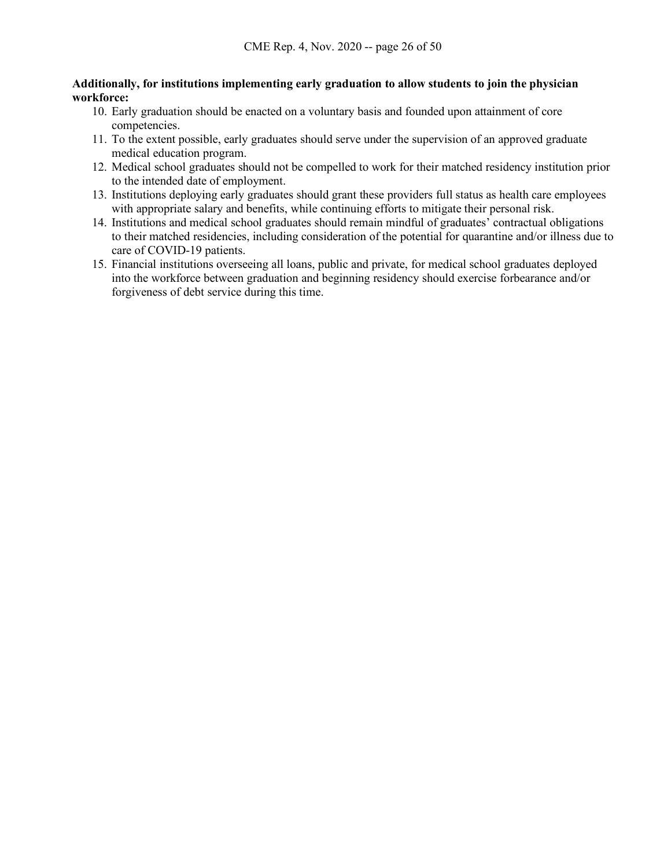#### **Additionally, for institutions implementing early graduation to allow students to join the physician workforce:**

- 10. Early graduation should be enacted on a voluntary basis and founded upon attainment of core competencies.
- 11. To the extent possible, early graduates should serve under the supervision of an approved graduate medical education program.
- 12. Medical school graduates should not be compelled to work for their matched residency institution prior to the intended date of employment.
- 13. Institutions deploying early graduates should grant these providers full status as health care employees with appropriate salary and benefits, while continuing efforts to mitigate their personal risk.
- 14. Institutions and medical school graduates should remain mindful of graduates' contractual obligations to their matched residencies, including consideration of the potential for quarantine and/or illness due to care of COVID-19 patients.
- 15. Financial institutions overseeing all loans, public and private, for medical school graduates deployed into the workforce between graduation and beginning residency should exercise forbearance and/or forgiveness of debt service during this time.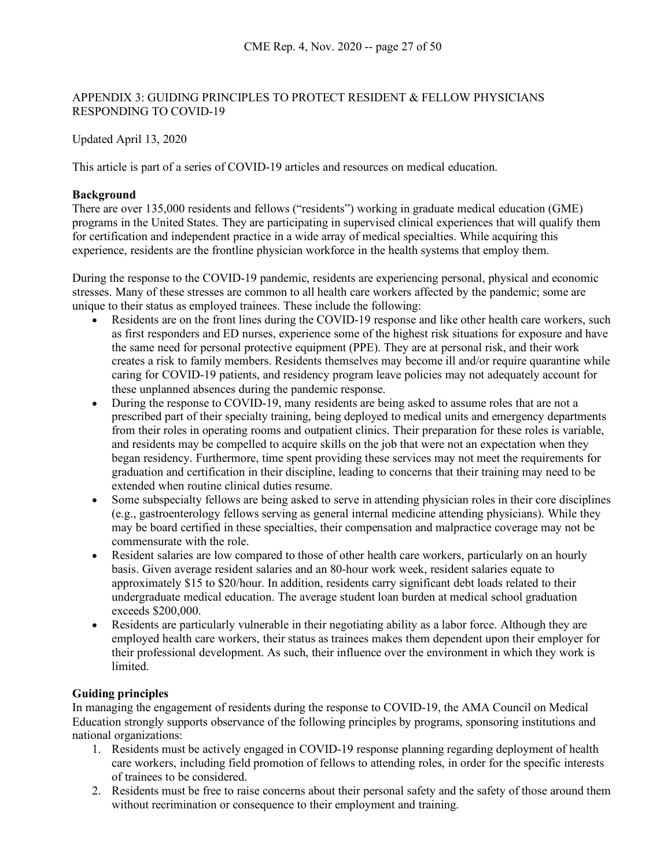### APPENDIX 3: GUIDING PRINCIPLES TO PROTECT RESIDENT & FELLOW PHYSICIANS RESPONDING TO COVID-19

Updated April 13, 2020

This article is part of a series of COVID-19 articles and resources on medical education.

### **Background**

There are over 135,000 residents and fellows ("residents") working in graduate medical education (GME) programs in the United States. They are participating in supervised clinical experiences that will qualify them for certification and independent practice in a wide array of medical specialties. While acquiring this experience, residents are the frontline physician workforce in the health systems that employ them.

During the response to the COVID-19 pandemic, residents are experiencing personal, physical and economic stresses. Many of these stresses are common to all health care workers affected by the pandemic; some are unique to their status as employed trainees. These include the following:

- Residents are on the front lines during the COVID-19 response and like other health care workers, such as first responders and ED nurses, experience some of the highest risk situations for exposure and have the same need for personal protective equipment (PPE). They are at personal risk, and their work creates a risk to family members. Residents themselves may become ill and/or require quarantine while caring for COVID-19 patients, and residency program leave policies may not adequately account for these unplanned absences during the pandemic response.
- During the response to COVID-19, many residents are being asked to assume roles that are not a prescribed part of their specialty training, being deployed to medical units and emergency departments from their roles in operating rooms and outpatient clinics. Their preparation for these roles is variable, and residents may be compelled to acquire skills on the job that were not an expectation when they began residency. Furthermore, time spent providing these services may not meet the requirements for graduation and certification in their discipline, leading to concerns that their training may need to be extended when routine clinical duties resume.
- Some subspecialty fellows are being asked to serve in attending physician roles in their core disciplines (e.g., gastroenterology fellows serving as general internal medicine attending physicians). While they may be board certified in these specialties, their compensation and malpractice coverage may not be commensurate with the role.
- Resident salaries are low compared to those of other health care workers, particularly on an hourly basis. Given average resident salaries and an 80-hour work week, resident salaries equate to approximately \$15 to \$20/hour. In addition, residents carry significant debt loads related to their undergraduate medical education. The average student loan burden at medical school graduation exceeds \$200,000.
- Residents are particularly vulnerable in their negotiating ability as a labor force. Although they are employed health care workers, their status as trainees makes them dependent upon their employer for their professional development. As such, their influence over the environment in which they work is limited.

### **Guiding principles**

In managing the engagement of residents during the response to COVID-19, the AMA Council on Medical Education strongly supports observance of the following principles by programs, sponsoring institutions and national organizations:

- 1. Residents must be actively engaged in COVID-19 response planning regarding deployment of health care workers, including field promotion of fellows to attending roles, in order for the specific interests of trainees to be considered.
- 2. Residents must be free to raise concerns about their personal safety and the safety of those around them without recrimination or consequence to their employment and training.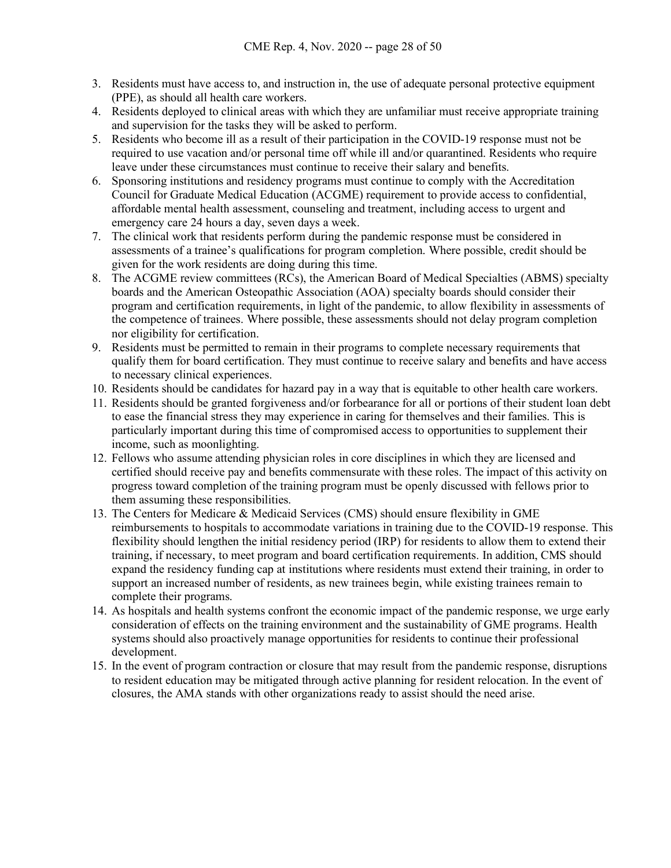- 3. Residents must have access to, and instruction in, the use of adequate personal protective equipment (PPE), as should all health care workers.
- 4. Residents deployed to clinical areas with which they are unfamiliar must receive appropriate training and supervision for the tasks they will be asked to perform.
- 5. Residents who become ill as a result of their participation in the COVID-19 response must not be required to use vacation and/or personal time off while ill and/or quarantined. Residents who require leave under these circumstances must continue to receive their salary and benefits.
- 6. Sponsoring institutions and residency programs must continue to comply with the Accreditation Council for Graduate Medical Education (ACGME) requirement to provide access to confidential, affordable mental health assessment, counseling and treatment, including access to urgent and emergency care 24 hours a day, seven days a week.
- 7. The clinical work that residents perform during the pandemic response must be considered in assessments of a trainee's qualifications for program completion. Where possible, credit should be given for the work residents are doing during this time.
- 8. The ACGME review committees (RCs), the American Board of Medical Specialties (ABMS) specialty boards and the American Osteopathic Association (AOA) specialty boards should consider their program and certification requirements, in light of the pandemic, to allow flexibility in assessments of the competence of trainees. Where possible, these assessments should not delay program completion nor eligibility for certification.
- 9. Residents must be permitted to remain in their programs to complete necessary requirements that qualify them for board certification. They must continue to receive salary and benefits and have access to necessary clinical experiences.
- 10. Residents should be candidates for hazard pay in a way that is equitable to other health care workers.
- 11. Residents should be granted forgiveness and/or forbearance for all or portions of their student loan debt to ease the financial stress they may experience in caring for themselves and their families. This is particularly important during this time of compromised access to opportunities to supplement their income, such as moonlighting.
- 12. Fellows who assume attending physician roles in core disciplines in which they are licensed and certified should receive pay and benefits commensurate with these roles. The impact of this activity on progress toward completion of the training program must be openly discussed with fellows prior to them assuming these responsibilities.
- 13. The Centers for Medicare & Medicaid Services (CMS) should ensure flexibility in GME reimbursements to hospitals to accommodate variations in training due to the COVID-19 response. This flexibility should lengthen the initial residency period (IRP) for residents to allow them to extend their training, if necessary, to meet program and board certification requirements. In addition, CMS should expand the residency funding cap at institutions where residents must extend their training, in order to support an increased number of residents, as new trainees begin, while existing trainees remain to complete their programs.
- 14. As hospitals and health systems confront the economic impact of the pandemic response, we urge early consideration of effects on the training environment and the sustainability of GME programs. Health systems should also proactively manage opportunities for residents to continue their professional development.
- 15. In the event of program contraction or closure that may result from the pandemic response, disruptions to resident education may be mitigated through active planning for resident relocation. In the event of closures, the AMA stands with other organizations ready to assist should the need arise.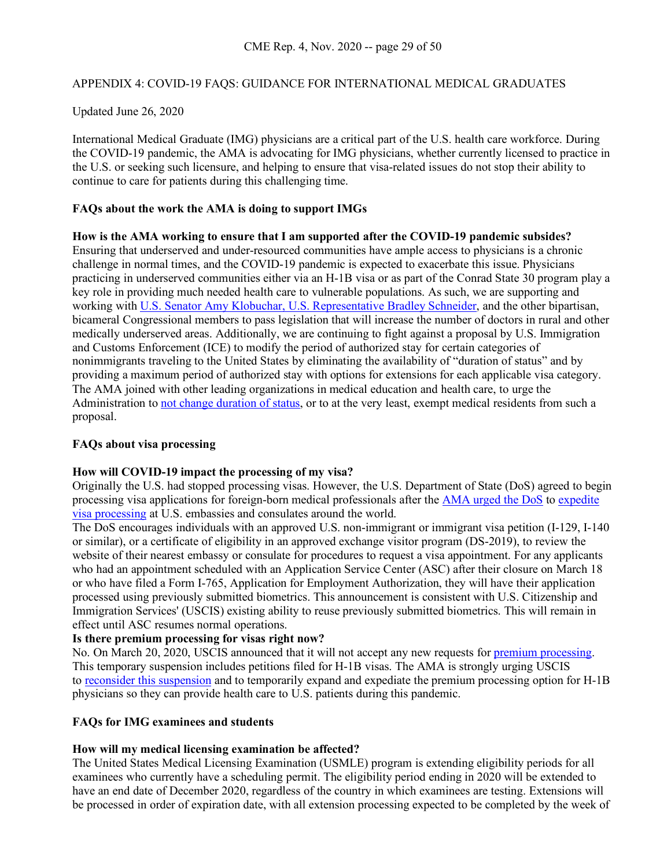### APPENDIX 4: COVID-19 FAQS: GUIDANCE FOR INTERNATIONAL MEDICAL GRADUATES

### Updated June 26, 2020

International Medical Graduate (IMG) physicians are a critical part of the U.S. health care workforce. During the COVID-19 pandemic, the AMA is advocating for IMG physicians, whether currently licensed to practice in the U.S. or seeking such licensure, and helping to ensure that visa-related issues do not stop their ability to continue to care for patients during this challenging time.

### **FAQs about the work the AMA is doing to support IMGs**

#### **How is the AMA working to ensure that I am supported after the COVID-19 pandemic subsides?**

Ensuring that underserved and under-resourced communities have ample access to physicians is a chronic challenge in normal times, and the COVID-19 pandemic is expected to exacerbate this issue. Physicians practicing in underserved communities either via an H-1B visa or as part of the Conrad State 30 program play a key role in providing much needed health care to vulnerable populations. As such, we are supporting and working with [U.S. Senator Amy Klobuchar, U.S. Representative Bradley Schneider,](https://www.klobuchar.senate.gov/public/_cache/files/2/5/25d21ee4-3ff6-485b-b53f-fd7a42fe0d52/163D64DD548684AC87E73A4FFC71D3E2.2020-04-06-letter-to-uscis.pdf) and the other bipartisan, bicameral Congressional members to pass legislation that will increase the number of doctors in rural and other medically underserved areas. Additionally, we are continuing to fight against a proposal by U.S. Immigration and Customs Enforcement (ICE) to modify the period of authorized stay for certain categories of nonimmigrants traveling to the United States by eliminating the availability of "duration of status" and by providing a maximum period of authorized stay with options for extensions for each applicable visa category. The AMA joined with other leading organizations in medical education and health care, to urge the Administration to [not change duration of status,](https://searchlf.ama-assn.org/undefined/documentDownload?uri=%2Funstructured%2Fbinary%2Fletter%2FLETTERS%2F2020-3-27-Signed-on-Joint-letter-to-Albence-Saba-re-Duration-of-Status-from-Academic-Medical-Orgs.pdf) or to at the very least, exempt medical residents from such a proposal.

#### **FAQs about visa processing**

#### **How will COVID-19 impact the processing of my visa?**

Originally the U.S. had stopped processing visas. However, the U.S. Department of State (DoS) agreed to begin processing visa applications for foreign-born medical professionals after the [AMA urged the DoS](https://searchlf.ama-assn.org/undefined/documentDownload?uri=%2Funstructured%2Fbinary%2Fletter%2FLETTERS%2F2020-3-24-AMA-Letter-to-DoS-and-DHS-re-COVID-19.pdf) to [expedite](https://travel.state.gov/content/travel/en/News/visas-news/update-on-h-and-j-visas-for-medical-professionals.html)  [visa processing](https://travel.state.gov/content/travel/en/News/visas-news/update-on-h-and-j-visas-for-medical-professionals.html) at U.S. embassies and consulates around the world.

The DoS encourages individuals with an approved U.S. non-immigrant or immigrant visa petition (I-129, I-140 or similar), or a certificate of eligibility in an approved exchange visitor program (DS-2019), to review the website of their nearest embassy or consulate for procedures to request a visa appointment. For any applicants who had an appointment scheduled with an Application Service Center (ASC) after their closure on March 18 or who have filed a Form I-765, Application for Employment Authorization, they will have their application processed using previously submitted biometrics. This announcement is consistent with U.S. Citizenship and Immigration Services' (USCIS) existing ability to reuse previously submitted biometrics. This will remain in effect until ASC resumes normal operations.

### **Is there premium processing for visas right now?**

No. On March 20, 2020, USCIS announced that it will not accept any new requests for [premium processing.](https://www.uscis.gov/working-united-states/temporary-workers/uscis-announces-temporary-suspension-premium-processing-all-i-129-and-i-140-petitions-due-coronavirus-pandemic) This temporary suspension includes petitions filed for H-1B visas. The AMA is strongly urging USCIS to [reconsider this suspension](https://searchlf.ama-assn.org/undefined/documentDownload?uri=%2Funstructured%2Fbinary%2Fletter%2FLETTERS%2F2020-3-24-AMA-Letter-to-USCIS-re-COVID%252019.pdf) and to temporarily expand and expediate the premium processing option for H-1B physicians so they can provide health care to U.S. patients during this pandemic.

#### **FAQs for IMG examinees and students**

#### **How will my medical licensing examination be affected?**

The United States Medical Licensing Examination (USMLE) program is extending eligibility periods for all examinees who currently have a scheduling permit. The eligibility period ending in 2020 will be extended to have an end date of December 2020, regardless of the country in which examinees are testing. Extensions will be processed in order of expiration date, with all extension processing expected to be completed by the week of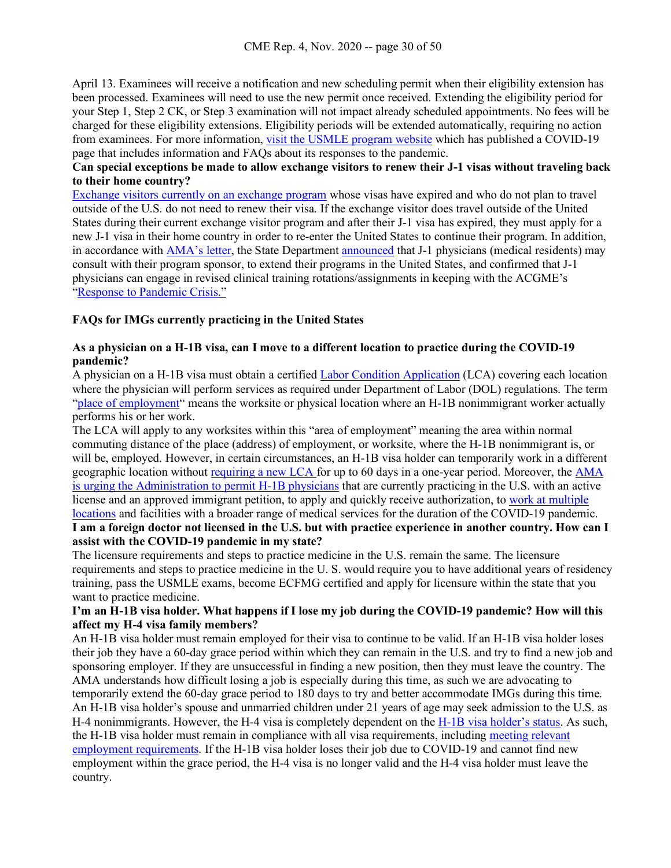April 13. Examinees will receive a notification and new scheduling permit when their eligibility extension has been processed. Examinees will need to use the new permit once received. Extending the eligibility period for your Step 1, Step 2 CK, or Step 3 examination will not impact already scheduled appointments. No fees will be charged for these eligibility extensions. Eligibility periods will be extended automatically, requiring no action from examinees. For more information, [visit the USMLE program website](https://www.usmle.org/frequently-asked-questions/#covid19) which has published a COVID-19 page that includes information and FAQs about its responses to the pandemic.

### **Can special exceptions be made to allow exchange visitors to renew their J-1 visas without traveling back to their home country?**

[Exchange visitors currently on an exchange program](https://j1visa.state.gov/covid-19/) whose visas have expired and who do not plan to travel outside of the U.S. do not need to renew their visa. If the exchange visitor does travel outside of the United States during their current exchange visitor program and after their J-1 visa has expired, they must apply for a new J-1 visa in their home country in order to re-enter the United States to continue their program. In addition, in accordance with [AMA's letter,](https://searchlf.ama-assn.org/undefined/documentDownload?uri=%2Funstructured%2Fbinary%2Fletter%2FLETTERS%2F2020-3-24-AMA-Letter-to-DoS-and-DHS-re-COVID-19.pdf) the State Department [announced](https://travel.state.gov/content/travel/en/News/visas-news/update-on-h-and-j-visas-for-medical-professionals.html) that J-1 physicians (medical residents) may consult with their program sponsor, to extend their programs in the United States, and confirmed that J-1 physicians can engage in revised clinical training rotations/assignments in keeping with the ACGME's ["Response to Pandemic Crisis.](https://www.acgme.org/covid-19)"

## **FAQs for IMGs currently practicing in the United States**

#### **As a physician on a H-1B visa, can I move to a different location to practice during the COVID-19 pandemic?**

A physician on a H-1B visa must obtain a certified [Labor Condition Application](https://webapps.dol.gov/elaws/elg/h1b.htm) (LCA) covering each location where the physician will perform services as required under Department of Labor (DOL) regulations. The term ["place of employment"](https://www.dol.gov/agencies/whd/fact-sheets/62j-h1b-worksite) means the worksite or physical location where an H-1B nonimmigrant worker actually performs his or her work.

The LCA will apply to any worksites within this "area of employment" meaning the area within normal commuting distance of the place (address) of employment, or worksite, where the H-1B nonimmigrant is, or will be, employed. However, in certain circumstances, an H-1B visa holder can temporarily work in a different geographic location without [requiring a new LCA](https://gov.ecfr.io/cgi-bin/text-idx?SID=2163de13181478f5684268235c73bf0e&mc=true&node=pt20.3.655&rgn=div5#se20.3.655_1735) for up to 60 days in a one-year period. Moreover, the [AMA](https://searchlf.ama-assn.org/undefined/documentDownload?uri=%2Funstructured%2Fbinary%2Fletter%2FLETTERS%2F2020-4-3-Letter-to-Pence-and-Cuccinelli-Re-COVID-19-and-IMGs.pdf)  [is urging the Administration to permit H-1B physicians](https://searchlf.ama-assn.org/undefined/documentDownload?uri=%2Funstructured%2Fbinary%2Fletter%2FLETTERS%2F2020-4-3-Letter-to-Pence-and-Cuccinelli-Re-COVID-19-and-IMGs.pdf) that are currently practicing in the U.S. with an active license and an approved immigrant petition, to apply and quickly receive authorization, to work at multiple [locations](https://www.ama-assn.org/delivering-care/public-health/ama-fix-immigration-issues-so-imgs-can-help-fight-covid-19) and facilities with a broader range of medical services for the duration of the COVID-19 pandemic. **I am a foreign doctor not licensed in the U.S. but with practice experience in another country. How can I assist with the COVID-19 pandemic in my state?**

The licensure requirements and steps to practice medicine in the U.S. remain the same. The licensure requirements and steps to practice medicine in the U. S. would require you to have additional years of residency training, pass the USMLE exams, become ECFMG certified and apply for licensure within the state that you want to practice medicine.

### **I'm an H-1B visa holder. What happens if I lose my job during the COVID-19 pandemic? How will this affect my H-4 visa family members?**

An H-1B visa holder must remain employed for their visa to continue to be valid. If an H-1B visa holder loses their job they have a 60-day grace period within which they can remain in the U.S. and try to find a new job and sponsoring employer. If they are unsuccessful in finding a new position, then they must leave the country. The AMA understands how difficult losing a job is especially during this time, as such we are advocating to temporarily extend the 60-day grace period to 180 days to try and better accommodate IMGs during this time. An H-1B visa holder's spouse and unmarried children under 21 years of age may seek admission to the U.S. as H-4 nonimmigrants. However, the H-4 visa is completely dependent on the [H-1B visa holder's status.](https://www.uscis.gov/working-united-states/temporary-workers/employment-authorization-certain-h-4-dependent-spouses) As such, the H-1B visa holder must remain in compliance with all visa requirements, including [meeting relevant](https://www.uscis.gov/working-united-states/temporary-workers/faqs-employment-authorization-certain-h-4-dependent-spouses)  [employment requirements.](https://www.uscis.gov/working-united-states/temporary-workers/faqs-employment-authorization-certain-h-4-dependent-spouses) If the H-1B visa holder loses their job due to COVID-19 and cannot find new employment within the grace period, the H-4 visa is no longer valid and the H-4 visa holder must leave the country.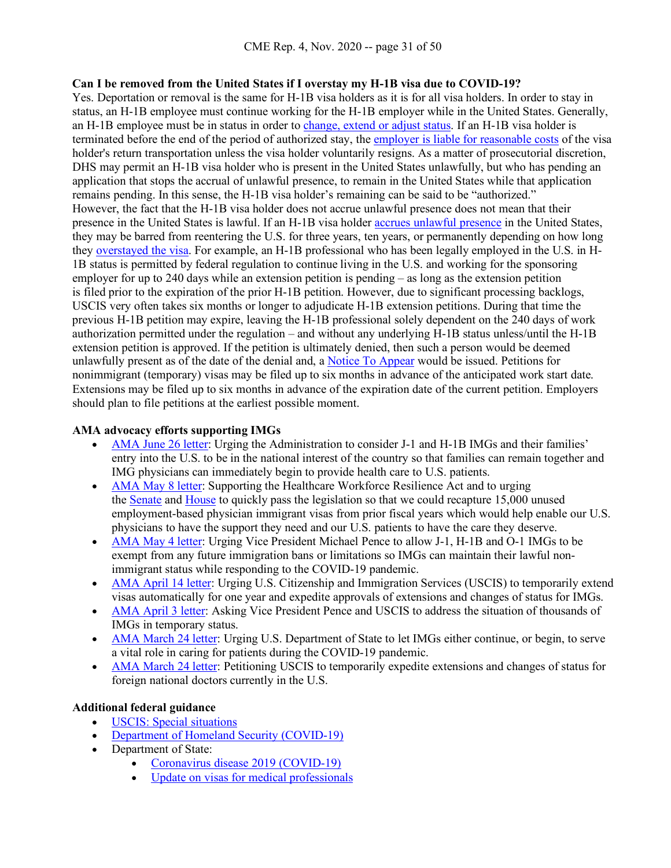#### **Can I be removed from the United States if I overstay my H-1B visa due to COVID-19?**

Yes. Deportation or removal is the same for H-1B visa holders as it is for all visa holders. In order to stay in status, an H-1B employee must continue working for the H-1B employer while in the United States. Generally, an H-1B employee must be in status in order to [change, extend or adjust status.](http://myattorneyusa.com/termination-of-h1b-employment) If an H-1B visa holder is terminated before the end of the period of authorized stay, the [employer is liable for reasonable costs](https://www.uscis.gov/working-united-states/temporary-workers/h-1b-specialty-occupations-dod-cooperative-research-and-development-project-workers-and-fashion-models) of the visa holder's return transportation unless the visa holder voluntarily resigns. As a matter of prosecutorial discretion, DHS may permit an H-1B visa holder who is present in the United States unlawfully, but who has pending an application that stops the accrual of unlawful presence, to remain in the United States while that application remains pending. In this sense, the H-1B visa holder's remaining can be said to be "authorized." However, the fact that the H-1B visa holder does not accrue unlawful presence does not mean that their presence in the United States is lawful. If an H-1B visa holder [accrues unlawful presence](https://www.uscis.gov/legal-resources/unlawful-presence-and-bars-admissibility) in the United States, they may be barred from reentering the U.S. for three years, ten years, or permanently depending on how long they [overstayed the visa.](https://www.uscis.gov/sites/default/files/USCIS/Laws/Memoranda/Static_Files_Memoranda/2009/revision_redesign_AFM.PDF) For example, an H-1B professional who has been legally employed in the U.S. in H-1B status is permitted by federal regulation to continue living in the U.S. and working for the sponsoring employer for up to 240 days while an extension petition is pending – as long as the extension petition is filed prior to the expiration of the prior H-1B petition. However, due to significant processing backlogs, USCIS very often takes six months or longer to adjudicate H-1B extension petitions. During that time the previous H-1B petition may expire, leaving the H-1B professional solely dependent on the 240 days of work authorization permitted under the regulation – and without any underlying H-1B status unless/until the H-1B extension petition is approved. If the petition is ultimately denied, then such a person would be deemed unlawfully present as of the date of the denial and, a [Notice To Appear](https://www.uscis.gov/sites/default/files/USCIS/Laws/Memoranda/2018/2018-06-28-PM-602-0050.1-Guidance-for-Referral-of-Cases-and-Issuance-of-NTA.pdf) would be issued. Petitions for nonimmigrant (temporary) visas may be filed up to six months in advance of the anticipated work start date. Extensions may be filed up to six months in advance of the expiration date of the current petition. Employers should plan to file petitions at the earliest possible moment.

### **AMA advocacy efforts supporting IMGs**

- [AMA June 26 letter:](https://searchlf.ama-assn.org/undefined/documentDownload?uri=%2Funstructured%2Fbinary%2Fletter%2FLETTERS%2F2020-6-26-Letter-to-Wolf-and-Pompeo-re-Presidential-EO-Entry-Ban.pdf) Urging the Administration to consider J-1 and H-1B IMGs and their families' entry into the U.S. to be in the national interest of the country so that families can remain together and IMG physicians can immediately begin to provide health care to U.S. patients.
- [AMA May 8](https://searchlf.ama-assn.org/undefined/documentDownload?uri=%2Funstructured%2Fbinary%2Fletter%2FLETTERS%2F2020-5-8-Letter-to-Senate-Leadership-re-Senate-Support-2.pdf) letter: Supporting the Healthcare Workforce Resilience Act and to urging the [Senate](https://searchlf.ama-assn.org/undefined/documentDownload?uri=%2Funstructured%2Fbinary%2Fletter%2FLETTERS%2F2020-5-8-Letter-to-Senate-Leadership-re-Senate-Support-2.pdf) and [House](https://searchlf.ama-assn.org/undefined/documentDownload?uri=%2Funstructured%2Fbinary%2Fletter%2FLETTERS%2F2020-5-8-Letter-to-House-Leadership-re-House-Support.pdf) to quickly pass the legislation so that we could recapture 15,000 unused employment-based physician immigrant visas from prior fiscal years which would help enable our U.S. physicians to have the support they need and our U.S. patients to have the care they deserve.
- [AMA May 4 letter:](https://searchlf.ama-assn.org/undefined/documentDownload?uri=%2Funstructured%2Fbinary%2Fletter%2FLETTERS%2F2020-5-4-Letter-to-Pence-re-Presidential-Proclamation-Non-Immigrants.pdf) Urging Vice President Michael Pence to allow J-1, H-1B and O-1 IMGs to be exempt from any future immigration bans or limitations so IMGs can maintain their lawful nonimmigrant status while responding to the COVID-19 pandemic.
- [AMA April 14 letter:](https://searchlf.ama-assn.org/undefined/documentDownload?uri=%2Funstructured%2Fbinary%2Fletter%2FLETTERS%2F2020-4-14-Letter-Cuccinelli-USCIS_Re-COVID-19-and-H-1Bs.pdf) Urging U.S. Citizenship and Immigration Services (USCIS) to temporarily extend visas automatically for one year and expedite approvals of extensions and changes of status for IMGs.
- [AMA April 3 letter:](https://searchlf.ama-assn.org/undefined/documentDownload?uri=%2Funstructured%2Fbinary%2Fletter%2FLETTERS%2F2020-4-3-Letter-to-Pence-and-Cuccinelli-Re-COVID-19-and-IMGs.pdf) Asking Vice President Pence and USCIS to address the situation of thousands of IMGs in temporary status.
- [AMA March 24 letter:](https://searchlf.ama-assn.org/undefined/documentDownload?uri=%2Funstructured%2Fbinary%2Fletter%2FLETTERS%2F2020-3-24-AMA-Letter-to-DoS-and-DHS-re-COVID-19.pdf) Urging U.S. Department of State to let IMGs either continue, or begin, to serve a vital role in caring for patients during the COVID-19 pandemic.
- [AMA March 24 letter:](https://searchlf.ama-assn.org/undefined/documentDownload?uri=%2Funstructured%2Fbinary%2Fletter%2FLETTERS%2F2020-3-24-AMA-Letter-to-USCIS-re-COVID%252019.pdf) Petitioning USCIS to temporarily expedite extensions and changes of status for foreign national doctors currently in the U.S.

### **Additional federal guidance**

- [USCIS: Special situations](https://uscis.gov/special-situations)
- [Department of Homeland Security \(COVID-19\)](https://dhs.gov/coronavirus)
- Department of State:
	- [Coronavirus disease 2019 \(COVID-19\)](https://urldefense.proofpoint.com/v2/url?u=https-3A__www.state.gov_coronavirus&d=DwMF-g&c=iqeSLYkBTKTEV8nJYtdW_A&r=JJ-YanS1tzpe5r0nSy03xYBmu_ABij3DdYJIOA_yN7s&m=8J2ZezbqsIKKA9dWcGD8HMHFnPTAP_xmcjxs4jjpHmE&s=USH6SUyQOVo6KPxY9KBIrWAZ0zfASHglHp5aoQQ0e0I&e=)
	- [Update on visas for medical professionals](https://travel.state.gov/content/travel/en/News/visas-news/update-on-h-and-j-visas-for-medical-professionals.html)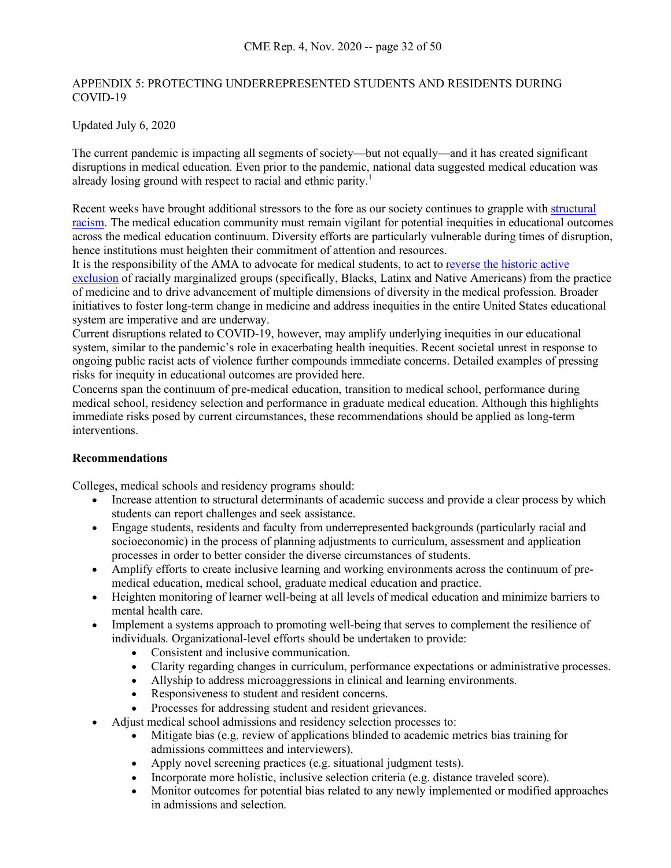### APPENDIX 5: PROTECTING UNDERREPRESENTED STUDENTS AND RESIDENTS DURING COVID-19

#### Updated July 6, 2020

The current pandemic is impacting all segments of society—but not equally—and it has created significant disruptions in medical education. Even prior to the pandemic, national data suggested medical education was already losing ground with respect to racial and ethnic parity.<sup>1</sup>

Recent weeks have brought additional stressors to the fore as our society continues to grapple with [structural](https://www.ama-assn.org/press-center/ama-statements/ama-board-trustees-pledges-action-against-racism-police-brutality)  [racism.](https://www.ama-assn.org/press-center/ama-statements/ama-board-trustees-pledges-action-against-racism-police-brutality) The medical education community must remain vigilant for potential inequities in educational outcomes across the medical education continuum. Diversity efforts are particularly vulnerable during times of disruption, hence institutions must heighten their commitment of attention and resources.

It is the responsibility of the AMA to advocate for medical students, to act to [reverse the historic active](https://www.ama-assn.org/about/ama-history/history-african-americans-and-organized-medicine)  [exclusion](https://www.ama-assn.org/about/ama-history/history-african-americans-and-organized-medicine) of racially marginalized groups (specifically, Blacks, Latinx and Native Americans) from the practice of medicine and to drive advancement of multiple dimensions of diversity in the medical profession. Broader initiatives to foster long-term change in medicine and address inequities in the entire United States educational system are imperative and are underway.

Current disruptions related to COVID-19, however, may amplify underlying inequities in our educational system, similar to the pandemic's role in exacerbating health inequities. Recent societal unrest in response to ongoing public racist acts of violence further compounds immediate concerns. Detailed examples of pressing risks for inequity in educational outcomes are provided here.

Concerns span the continuum of pre-medical education, transition to medical school, performance during medical school, residency selection and performance in graduate medical education. Although this highlights immediate risks posed by current circumstances, these recommendations should be applied as long-term interventions.

#### **Recommendations**

Colleges, medical schools and residency programs should:

- Increase attention to structural determinants of academic success and provide a clear process by which students can report challenges and seek assistance.
- Engage students, residents and faculty from underrepresented backgrounds (particularly racial and socioeconomic) in the process of planning adjustments to curriculum, assessment and application processes in order to better consider the diverse circumstances of students.
- Amplify efforts to create inclusive learning and working environments across the continuum of premedical education, medical school, graduate medical education and practice.
- Heighten monitoring of learner well-being at all levels of medical education and minimize barriers to mental health care.
- Implement a systems approach to promoting well-being that serves to complement the resilience of individuals. Organizational-level efforts should be undertaken to provide:
	- Consistent and inclusive communication.
	- Clarity regarding changes in curriculum, performance expectations or administrative processes.
	- Allyship to address microaggressions in clinical and learning environments.
	- Responsiveness to student and resident concerns.
	- Processes for addressing student and resident grievances.
- Adjust medical school admissions and residency selection processes to:
	- Mitigate bias (e.g. review of applications blinded to academic metrics bias training for admissions committees and interviewers).
	- Apply novel screening practices (e.g. situational judgment tests).
	- Incorporate more holistic, inclusive selection criteria (e.g. distance traveled score).
	- Monitor outcomes for potential bias related to any newly implemented or modified approaches in admissions and selection.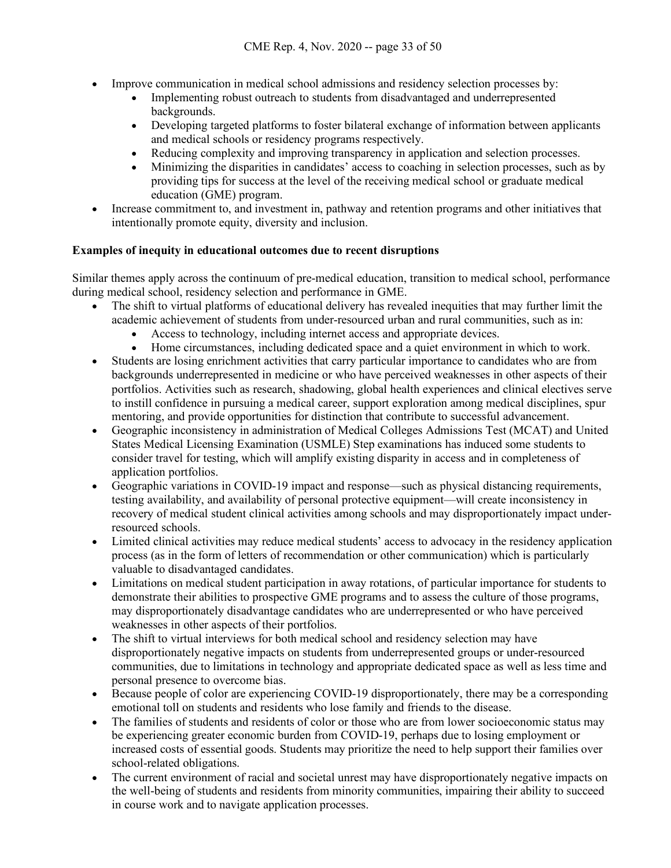- Improve communication in medical school admissions and residency selection processes by:
	- Implementing robust outreach to students from disadvantaged and underrepresented backgrounds.
	- Developing targeted platforms to foster bilateral exchange of information between applicants and medical schools or residency programs respectively.
	- Reducing complexity and improving transparency in application and selection processes.
	- Minimizing the disparities in candidates' access to coaching in selection processes, such as by providing tips for success at the level of the receiving medical school or graduate medical education (GME) program.
- Increase commitment to, and investment in, pathway and retention programs and other initiatives that intentionally promote equity, diversity and inclusion.

## **Examples of inequity in educational outcomes due to recent disruptions**

Similar themes apply across the continuum of pre-medical education, transition to medical school, performance during medical school, residency selection and performance in GME.

- The shift to virtual platforms of educational delivery has revealed inequities that may further limit the academic achievement of students from under-resourced urban and rural communities, such as in:
	- Access to technology, including internet access and appropriate devices.
	- Home circumstances, including dedicated space and a quiet environment in which to work.
- Students are losing enrichment activities that carry particular importance to candidates who are from backgrounds underrepresented in medicine or who have perceived weaknesses in other aspects of their portfolios. Activities such as research, shadowing, global health experiences and clinical electives serve to instill confidence in pursuing a medical career, support exploration among medical disciplines, spur mentoring, and provide opportunities for distinction that contribute to successful advancement.
- Geographic inconsistency in administration of Medical Colleges Admissions Test (MCAT) and United States Medical Licensing Examination (USMLE) Step examinations has induced some students to consider travel for testing, which will amplify existing disparity in access and in completeness of application portfolios.
- Geographic variations in COVID-19 impact and response—such as physical distancing requirements, testing availability, and availability of personal protective equipment—will create inconsistency in recovery of medical student clinical activities among schools and may disproportionately impact underresourced schools.
- Limited clinical activities may reduce medical students' access to advocacy in the residency application process (as in the form of letters of recommendation or other communication) which is particularly valuable to disadvantaged candidates.
- Limitations on medical student participation in away rotations, of particular importance for students to demonstrate their abilities to prospective GME programs and to assess the culture of those programs, may disproportionately disadvantage candidates who are underrepresented or who have perceived weaknesses in other aspects of their portfolios.
- The shift to virtual interviews for both medical school and residency selection may have disproportionately negative impacts on students from underrepresented groups or under-resourced communities, due to limitations in technology and appropriate dedicated space as well as less time and personal presence to overcome bias.
- Because people of color are experiencing COVID-19 disproportionately, there may be a corresponding emotional toll on students and residents who lose family and friends to the disease.
- The families of students and residents of color or those who are from lower socioeconomic status may be experiencing greater economic burden from COVID-19, perhaps due to losing employment or increased costs of essential goods. Students may prioritize the need to help support their families over school-related obligations.
- The current environment of racial and societal unrest may have disproportionately negative impacts on the well-being of students and residents from minority communities, impairing their ability to succeed in course work and to navigate application processes.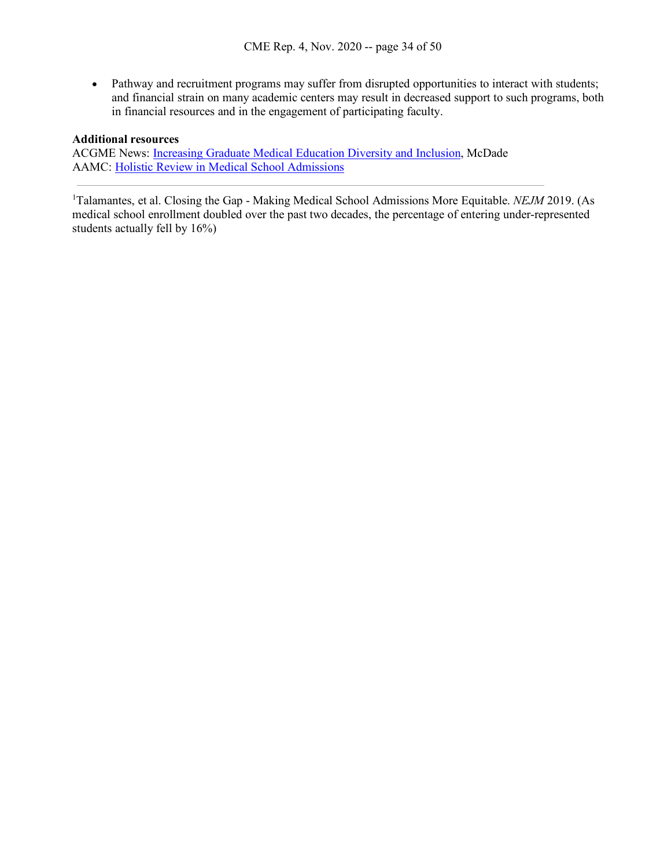• Pathway and recruitment programs may suffer from disrupted opportunities to interact with students; and financial strain on many academic centers may result in decreased support to such programs, both in financial resources and in the engagement of participating faculty.

#### **Additional resources**

ACGME News: [Increasing Graduate Medical Education Diversity and Inclusion,](https://www.jgme.org/doi/pdf/10.4300/JGME-D-19-00760.1) McDade AAMC: [Holistic Review in Medical School Admissions](https://students-residents.aamc.org/choosing-medical-career/article/holistic-review-medical-school-admissions/)

<sup>1</sup>Talamantes, et al. Closing the Gap - Making Medical School Admissions More Equitable. *NEJM* 2019. (As medical school enrollment doubled over the past two decades, the percentage of entering under-represented students actually fell by 16%)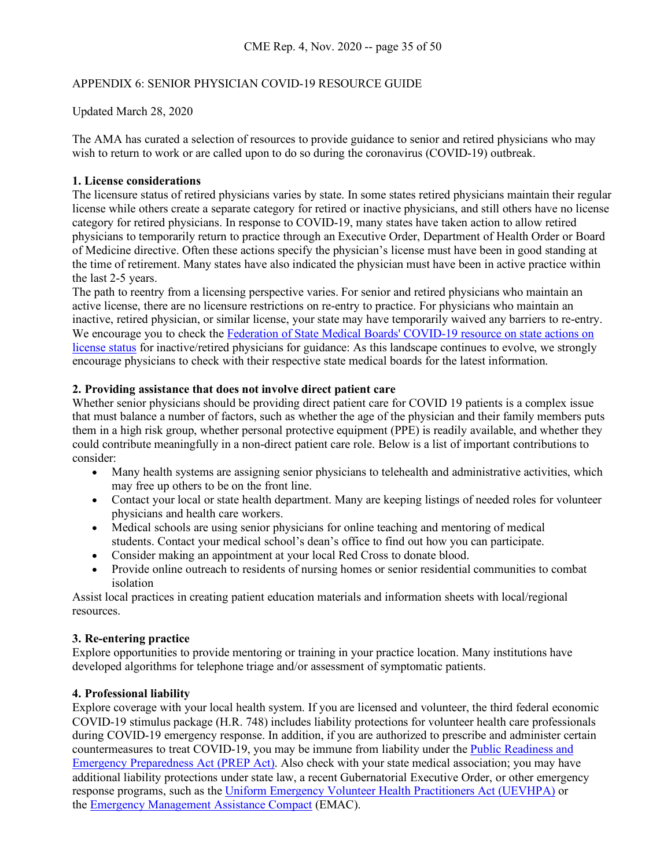### APPENDIX 6: SENIOR PHYSICIAN COVID-19 RESOURCE GUIDE

Updated March 28, 2020

The AMA has curated a selection of resources to provide guidance to senior and retired physicians who may wish to return to work or are called upon to do so during the coronavirus (COVID-19) outbreak.

#### **1. License considerations**

The licensure status of retired physicians varies by state. In some states retired physicians maintain their regular license while others create a separate category for retired or inactive physicians, and still others have no license category for retired physicians. In response to COVID-19, many states have taken action to allow retired physicians to temporarily return to practice through an Executive Order, Department of Health Order or Board of Medicine directive. Often these actions specify the physician's license must have been in good standing at the time of retirement. Many states have also indicated the physician must have been in active practice within the last 2-5 years.

The path to reentry from a licensing perspective varies. For senior and retired physicians who maintain an active license, there are no licensure restrictions on re-entry to practice. For physicians who maintain an inactive, retired physician, or similar license, your state may have temporarily waived any barriers to re-entry. We encourage you to check the Federation of State Medical Boards' [COVID-19 resource on state actions on](https://www.fsmb.org/advocacy/covid-19/)  [license status](https://www.fsmb.org/advocacy/covid-19/) for inactive/retired physicians for guidance: As this landscape continues to evolve, we strongly encourage physicians to check with their respective state medical boards for the latest information.

### **2. Providing assistance that does not involve direct patient care**

Whether senior physicians should be providing direct patient care for COVID 19 patients is a complex issue that must balance a number of factors, such as whether the age of the physician and their family members puts them in a high risk group, whether personal protective equipment (PPE) is readily available, and whether they could contribute meaningfully in a non-direct patient care role. Below is a list of important contributions to consider:

- Many health systems are assigning senior physicians to telehealth and administrative activities, which may free up others to be on the front line.
- Contact your local or state health department. Many are keeping listings of needed roles for volunteer physicians and health care workers.
- Medical schools are using senior physicians for online teaching and mentoring of medical students. Contact your medical school's dean's office to find out how you can participate.
- Consider making an appointment at your local Red Cross to donate blood.
- Provide online outreach to residents of nursing homes or senior residential communities to combat isolation

Assist local practices in creating patient education materials and information sheets with local/regional resources.

#### **3. Re-entering practice**

Explore opportunities to provide mentoring or training in your practice location. Many institutions have developed algorithms for telephone triage and/or assessment of symptomatic patients.

### **4. Professional liability**

Explore coverage with your local health system. If you are licensed and volunteer, the third federal economic COVID-19 stimulus package (H.R. 748) includes liability protections for volunteer health care professionals during COVID-19 emergency response. In addition, if you are authorized to prescribe and administer certain countermeasures to treat COVID-19, you may be immune from liability under the [Public Readiness and](https://s3.amazonaws.com/public-inspection.federalregister.gov/2020-05484.pdf) [Emergency Preparedness Act \(PREP Act\).](https://s3.amazonaws.com/public-inspection.federalregister.gov/2020-05484.pdf) Also check with your state medical association; you may have additional liability protections under state law, a recent Gubernatorial Executive Order, or other emergency response programs, such as the [Uniform Emergency Volunteer Health Practitioners Act \(UEVHPA\)](https://www.uniformlaws.org/committees/community-home?CommunityKey=565933ce-965f-4d3c-9c90-b00246f30f2d) or the [Emergency Management Assistance Compact](https://www.emacweb.org/) (EMAC).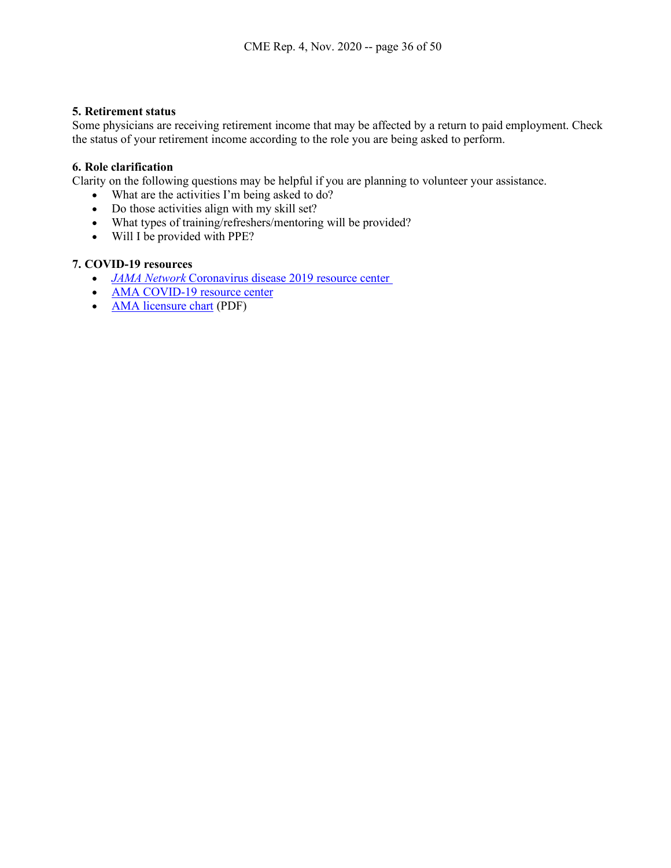### **5. Retirement status**

Some physicians are receiving retirement income that may be affected by a return to paid employment. Check the status of your retirement income according to the role you are being asked to perform.

#### **6. Role clarification**

Clarity on the following questions may be helpful if you are planning to volunteer your assistance.

- What are the activities I'm being asked to do?
- Do those activities align with my skill set?
- What types of training/refreshers/mentoring will be provided?
- Will I be provided with PPE?

### **7. COVID-19 resources**

- *JAMA Network* [Coronavirus disease 2019](https://jamanetwork.com/journals/jama/pages/coronavirus-alert) resource center
- [AMA COVID-19 resource center](https://www.ama-assn.org/delivering-care/public-health/covid-19-2019-novel-coronavirus-resource-center-physicians)
- [AMA licensure chart](https://www.ama-assn.org/system/files/2020-03/ama-arc-licensure-chart.pdf) (PDF)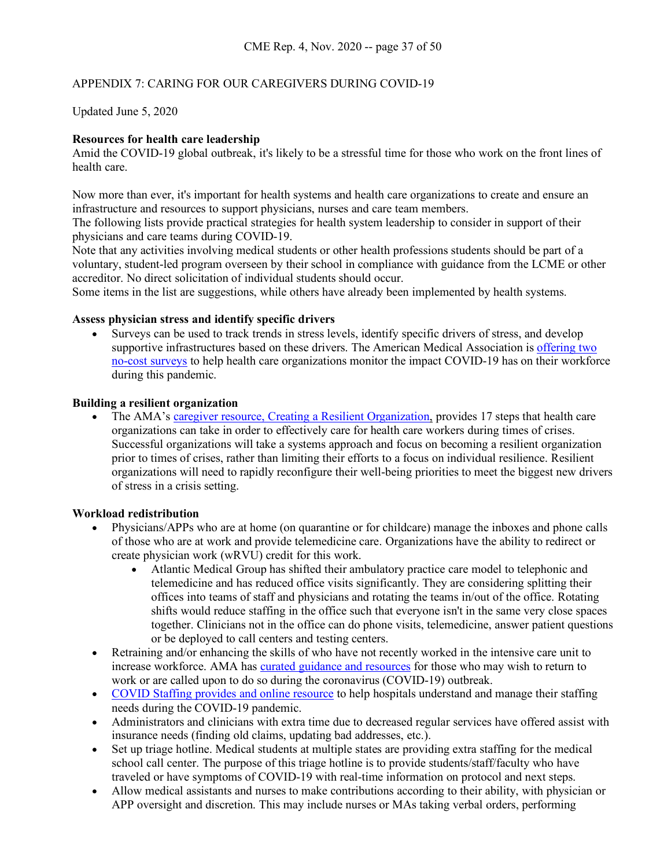### APPENDIX 7: CARING FOR OUR CAREGIVERS DURING COVID-19

Updated June 5, 2020

#### **Resources for health care leadership**

Amid the COVID-19 global outbreak, it's likely to be a stressful time for those who work on the front lines of health care.

Now more than ever, it's important for health systems and health care organizations to create and ensure an infrastructure and resources to support physicians, nurses and care team members.

The following lists provide practical strategies for health system leadership to consider in support of their physicians and care teams during COVID-19.

Note that any activities involving medical students or other health professions students should be part of a voluntary, student-led program overseen by their school in compliance with guidance from the LCME or other accreditor. No direct solicitation of individual students should occur.

Some items in the list are suggestions, while others have already been implemented by health systems.

#### **Assess physician stress and identify specific drivers**

• Surveys can be used to track trends in stress levels, identify specific drivers of stress, and develop supportive infrastructures based on these drivers. The American Medical Association is [offering two](https://clinician.health/)  [no-cost surveys](https://clinician.health/) to help health care organizations monitor the impact COVID-19 has on their workforce during this pandemic.

#### **Building a resilient organization**

• The AMA's [caregiver resource, Creating a Resilient Organization,](https://www.ama-assn.org/practice-management/sustainability/creating-resilient-organization-health-care-workers-during) provides 17 steps that health care organizations can take in order to effectively care for health care workers during times of crises. Successful organizations will take a systems approach and focus on becoming a resilient organization prior to times of crises, rather than limiting their efforts to a focus on individual resilience. Resilient organizations will need to rapidly reconfigure their well-being priorities to meet the biggest new drivers of stress in a crisis setting.

#### **Workload redistribution**

- Physicians/APPs who are at home (on quarantine or for childcare) manage the inboxes and phone calls of those who are at work and provide telemedicine care. Organizations have the ability to redirect or create physician work (wRVU) credit for this work.
	- Atlantic Medical Group has shifted their ambulatory practice care model to telephonic and telemedicine and has reduced office visits significantly. They are considering splitting their offices into teams of staff and physicians and rotating the teams in/out of the office. Rotating shifts would reduce staffing in the office such that everyone isn't in the same very close spaces together. Clinicians not in the office can do phone visits, telemedicine, answer patient questions or be deployed to call centers and testing centers.
- Retraining and/or enhancing the skills of who have not recently worked in the intensive care unit to increase workforce. AMA has [curated guidance and resources](https://www.ama-assn.org/delivering-care/public-health/senior-physician-covid-19-resource-guide) for those who may wish to return to work or are called upon to do so during the coronavirus (COVID-19) outbreak.
- [COVID Staffing provides and online resource](http://www.covidstaffing.org/) to help hospitals understand and manage their staffing needs during the COVID-19 pandemic.
- Administrators and clinicians with extra time due to decreased regular services have offered assist with insurance needs (finding old claims, updating bad addresses, etc.).
- Set up triage hotline. Medical students at multiple states are providing extra staffing for the medical school call center. The purpose of this triage hotline is to provide students/staff/faculty who have traveled or have symptoms of COVID-19 with real-time information on protocol and next steps.
- Allow medical assistants and nurses to make contributions according to their ability, with physician or APP oversight and discretion. This may include nurses or MAs taking verbal orders, performing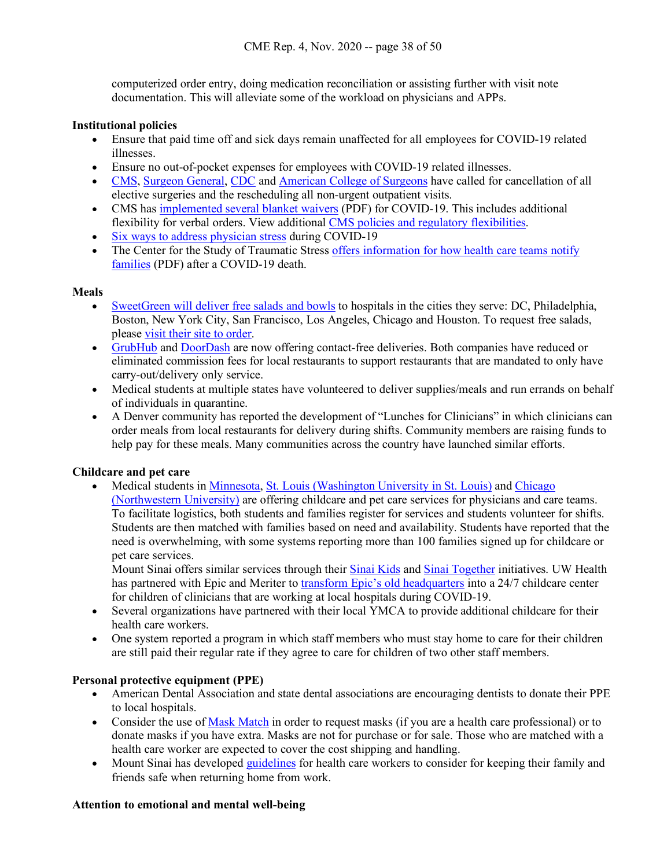computerized order entry, doing medication reconciliation or assisting further with visit note documentation. This will alleviate some of the workload on physicians and APPs.

#### **Institutional policies**

- Ensure that paid time off and sick days remain unaffected for all employees for COVID-19 related illnesses.
- Ensure no out-of-pocket expenses for employees with COVID-19 related illnesses.
- [CMS,](https://www.cms.gov/newsroom/press-releases/cms-releases-recommendations-adult-elective-surgeries-non-essential-medical-surgical-and-dental) [Surgeon General,](https://www.politico.com/news/2020/03/14/surgeon-general-elective-surgeries-coronavirus-129405) [CDC](https://www.cdc.gov/coronavirus/2019-ncov/healthcare-facilities/guidance-hcf.html) and [American College of Surgeons](https://www.facs.org/about-acs/covid-19/information-for-surgeons) have called for cancellation of all elective surgeries and the rescheduling all non-urgent outpatient visits.
- CMS has [implemented several blanket waivers](https://www.cms.gov/files/document/covid19-emergency-declaration-health-care-providers-fact-sheet.pdf) (PDF) for COVID-19. This includes additional flexibility for verbal orders. View additional [CMS policies and regulatory flexibilities.](https://www.ama-assn.org/practice-management/medicare/cms-payment-policies-regulatory-flexibilities-during-covid-19)
- [Six ways to address physician stress](https://www.ama-assn.org/delivering-care/public-health/6-ways-address-physician-stress-during-covid-19-pandemic) during COVID-19
- The Center for the Study of Traumatic Stress offers information for how health care teams notify [families](https://www.cstsonline.org/assets/media/documents/CSTS_FS_Notifying_Families_After_COVID19_Death.pdf) (PDF) after a COVID-19 death.

#### **Meals**

- [SweetGreen will deliver free salads and bowls](https://sweetgreen.typeform.com/to/TYjzzi) to hospitals in the cities they serve: DC, Philadelphia, Boston, New York City, San Francisco, Los Angeles, Chicago and Houston. To request free salads, please [visit their site to order.](https://sweetgreen.typeform.com/to/TYjzz)
- [GrubHub](https://www.grubhub.com/) and [DoorDash](https://www.doordash.com/) are now offering contact-free deliveries. Both companies have reduced or eliminated commission fees for local restaurants to support restaurants that are mandated to only have carry-out/delivery only service.
- Medical students at multiple states have volunteered to deliver supplies/meals and run errands on behalf of individuals in quarantine.
- A Denver community has reported the development of "Lunches for Clinicians" in which clinicians can order meals from local restaurants for delivery during shifts. Community members are raising funds to help pay for these meals. Many communities across the country have launched similar efforts.

#### **Childcare and pet care**

• Medical students in [Minnesota,](https://www.mncovidsitters.org/) [St. Louis \(Washington University in St. Louis\)](https://www.hcwchildcareco-op.com/) and Chicago [\(Northwestern University\)](https://docs.google.com/forms/d/e/1FAIpQLSewtTYn9cicsJ-UmZVi7mOPlXwb5XaKpq5qCqzUUnWOw_mgtQ/viewform) are offering childcare and pet care services for physicians and care teams. To facilitate logistics, both students and families register for services and students volunteer for shifts. Students are then matched with families based on need and availability. Students have reported that the need is overwhelming, with some systems reporting more than 100 families signed up for childcare or pet care services.

Mount Sinai offers similar services through their [Sinai Kids](https://www.mountsinai.org/about/covid19/staff-resources/faqs) and [Sinai Together](https://www.mountsinai.org/about/covid19/staff-resources/well-being/basic-needs) initiatives. UW Health has partnered with Epic and Meriter to [transform Epic's old headquarters](https://wkow.com/2020/03/25/an-epic-donation-local-tech-giant-transforms-former-headquarters-into-daycare-for-covid-19-frontline-workers/) into a 24/7 childcare center for children of clinicians that are working at local hospitals during COVID-19.

- Several organizations have partnered with their local YMCA to provide additional childcare for their health care workers.
- One system reported a program in which staff members who must stay home to care for their children are still paid their regular rate if they agree to care for children of two other staff members.

#### **Personal protective equipment (PPE)**

- American Dental Association and state dental associations are encouraging dentists to donate their PPE to local hospitals.
- Consider the use of [Mask Match](https://www.mask-match.com/) in order to request masks (if you are a health care professional) or to donate masks if you have extra. Masks are not for purchase or for sale. Those who are matched with a health care worker are expected to cover the cost shipping and handling.
- Mount Sinai has developed [guidelines](https://www.mountsinai.org/files/MSHealth/Assets/HS/About/Coronavirus/Guidelines-to-Protect-Family-Members-of-Healthcare-Workers.pdf) for health care workers to consider for keeping their family and friends safe when returning home from work.

#### **Attention to emotional and mental well-being**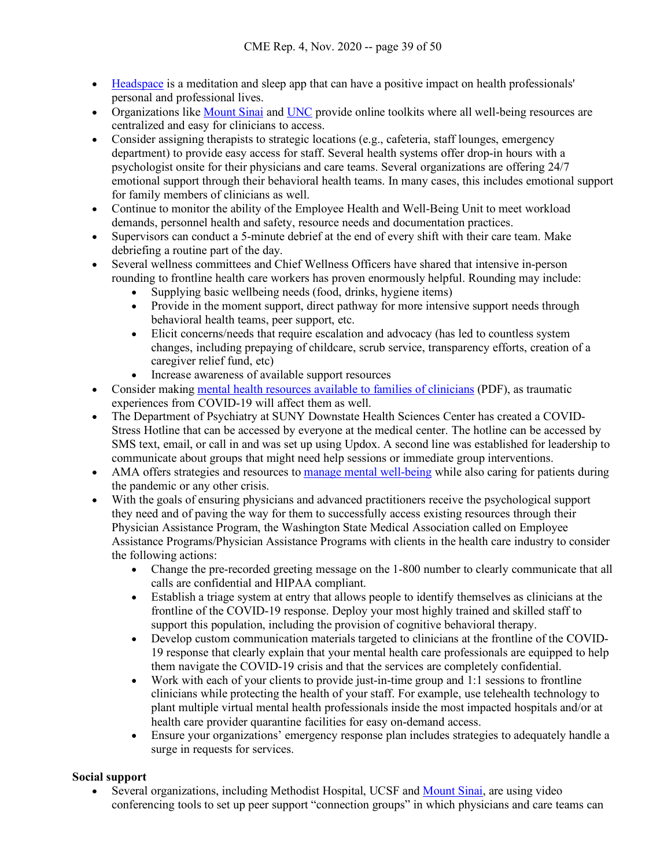- [Headspace](https://www.headspace.com/health-covid-19) is a meditation and sleep app that can have a positive impact on health professionals' personal and professional lives.
- Organizations like [Mount Sinai](https://www.mountsinai.org/about/covid19/staff-resources/well-being/basic-needs) and [UNC](https://www.unchealthcare.org/wellbeing/toolkit/toolkit-overview/mental-healthemotional-support-resources-for-co-workers-and-prov/) provide online toolkits where all well-being resources are centralized and easy for clinicians to access.
- Consider assigning therapists to strategic locations (e.g., cafeteria, staff lounges, emergency department) to provide easy access for staff. Several health systems offer drop-in hours with a psychologist onsite for their physicians and care teams. Several organizations are offering 24/7 emotional support through their behavioral health teams. In many cases, this includes emotional support for family members of clinicians as well.
- Continue to monitor the ability of the Employee Health and Well-Being Unit to meet workload demands, personnel health and safety, resource needs and documentation practices.
- Supervisors can conduct a 5-minute debrief at the end of every shift with their care team. Make debriefing a routine part of the day.
- Several wellness committees and Chief Wellness Officers have shared that intensive in-person rounding to frontline health care workers has proven enormously helpful. Rounding may include:
	- Supplying basic wellbeing needs (food, drinks, hygiene items)
	- Provide in the moment support, direct pathway for more intensive support needs through behavioral health teams, peer support, etc.
	- Elicit concerns/needs that require escalation and advocacy (has led to countless system changes, including prepaying of childcare, scrub service, transparency efforts, creation of a caregiver relief fund, etc)
	- Increase awareness of available support resources
- Consider making [mental health resources available to families of clinicians](https://www.cstsonline.org/assets/media/documents/CSTS_FS_Supporting_Families_of_Healthcare_Workers_Exposed_COVID19.pdf) (PDF), as traumatic experiences from COVID-19 will affect them as well.
- The Department of Psychiatry at SUNY Downstate Health Sciences Center has created a COVID-Stress Hotline that can be accessed by everyone at the medical center. The hotline can be accessed by SMS text, email, or call in and was set up using Updox. A second line was established for leadership to communicate about groups that might need help sessions or immediate group interventions.
- AMA offers strategies and resources to [manage mental well-being](https://www.ama-assn.org/delivering-care/public-health/managing-mental-health-during-covid-19) while also caring for patients during the pandemic or any other crisis.
- With the goals of ensuring physicians and advanced practitioners receive the psychological support they need and of paving the way for them to successfully access existing resources through their Physician Assistance Program, the Washington State Medical Association called on Employee Assistance Programs/Physician Assistance Programs with clients in the health care industry to consider the following actions:
	- Change the pre-recorded greeting message on the 1-800 number to clearly communicate that all calls are confidential and HIPAA compliant.
	- Establish a triage system at entry that allows people to identify themselves as clinicians at the frontline of the COVID-19 response. Deploy your most highly trained and skilled staff to support this population, including the provision of cognitive behavioral therapy.
	- Develop custom communication materials targeted to clinicians at the frontline of the COVID-19 response that clearly explain that your mental health care professionals are equipped to help them navigate the COVID-19 crisis and that the services are completely confidential.
	- Work with each of your clients to provide just-in-time group and 1:1 sessions to frontline clinicians while protecting the health of your staff. For example, use telehealth technology to plant multiple virtual mental health professionals inside the most impacted hospitals and/or at health care provider quarantine facilities for easy on-demand access.
	- Ensure your organizations' emergency response plan includes strategies to adequately handle a surge in requests for services.

### **Social support**

• Several organizations, including Methodist Hospital, UCSF and [Mount Sinai,](https://www.mountsinai.org/about/covid19/staff-resources/well-being/psychosocial-support) are using video conferencing tools to set up peer support "connection groups" in which physicians and care teams can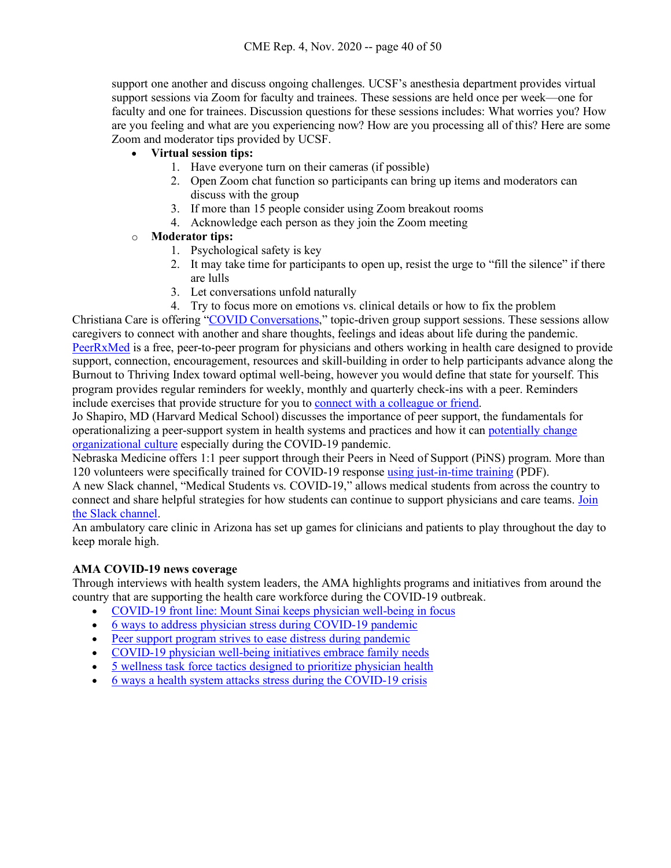support one another and discuss ongoing challenges. UCSF's anesthesia department provides virtual support sessions via Zoom for faculty and trainees. These sessions are held once per week—one for faculty and one for trainees. Discussion questions for these sessions includes: What worries you? How are you feeling and what are you experiencing now? How are you processing all of this? Here are some Zoom and moderator tips provided by UCSF.

### • **Virtual session tips:**

- 1. Have everyone turn on their cameras (if possible)
- 2. Open Zoom chat function so participants can bring up items and moderators can discuss with the group
- 3. If more than 15 people consider using Zoom breakout rooms
- 4. Acknowledge each person as they join the Zoom meeting

### o **Moderator tips:**

- 1. Psychological safety is key
- 2. It may take time for participants to open up, resist the urge to "fill the silence" if there are lulls
- 3. Let conversations unfold naturally

4. Try to focus more on emotions vs. clinical details or how to fix the problem Christiana Care is offering ["COVID Conversations,](http://bycell.mobi/wap/default/item.jsp?entryid=ECMjQ3Nw==&itemid=101808&_t=1587154371626#m)" topic-driven group support sessions. These sessions allow caregivers to connect with another and share thoughts, feelings and ideas about life during the pandemic. [PeerRxMed](https://www.peerrxmed.com/) is a free, peer-to-peer program for physicians and others working in health care designed to provide support, connection, encouragement, resources and skill-building in order to help participants advance along the Burnout to Thriving Index toward optimal well-being, however you would define that state for yourself. This program provides regular reminders for weekly, monthly and quarterly check-ins with a peer. Reminders include exercises that provide structure for you to [connect with a colleague or friend.](https://www.ama-assn.org/practice-management/physician-health/peer-support-program-strives-ease-distress-during-pandemic)

Jo Shapiro, MD (Harvard Medical School) discusses the importance of peer support, the fundamentals for operationalizing a peer-support system in health systems and practices and how it can [potentially change](https://www.youtube.com/watch?v=6XhcLkeCNYw)  [organizational culture](https://www.youtube.com/watch?v=6XhcLkeCNYw) especially during the COVID-19 pandemic.

Nebraska Medicine offers 1:1 peer support through their Peers in Need of Support (PiNS) program. More than 120 volunteers were specifically trained for COVID-19 response [using just-in-time training](https://repository.netecweb.org/files/original/610589e561c88a8ed928f997f678dd27.pdf) (PDF).

A new Slack channel, "Medical Students vs. COVID-19," allows medical students from across the country to connect and share helpful strategies for how students can continue to support physicians and care teams. [Join](https://medstudentsvscovid-19.slack.com/join/shared_invite/zt-cn48gdlt-qJFrV2a9rsDun0h4Di9nAQ)  [the Slack channel.](https://medstudentsvscovid-19.slack.com/join/shared_invite/zt-cn48gdlt-qJFrV2a9rsDun0h4Di9nAQ)

An ambulatory care clinic in Arizona has set up games for clinicians and patients to play throughout the day to keep morale high.

### **AMA COVID-19 news coverage**

Through interviews with health system leaders, the AMA highlights programs and initiatives from around the country that are supporting the health care workforce during the COVID-19 outbreak.

- [COVID-19 front line: Mount Sinai keeps physician](https://www.ama-assn.org/practice-management/physician-health/covid-19-front-line-mount-sinai-keeps-physician-well-being) well-being in focus
- [6 ways to address physician stress during COVID-19 pandemic](https://www.ama-assn.org/delivering-care/public-health/6-ways-address-physician-stress-during-covid-19-pandemic)
- [Peer support program strives to ease distress during pandemic](https://www.ama-assn.org/practice-management/physician-health/peer-support-program-strives-ease-distress-during-pandemic)
- [COVID-19 physician well-being initiatives embrace family needs](https://www.ama-assn.org/practice-management/physician-health/covid-19-physician-well-being-initiatives-embrace-family-needs)
- [5 wellness task force tactics designed to prioritize physician health](https://www.ama-assn.org/practice-management/physician-health/5-wellness-task-force-tactics-designed-prioritize-physician)
- [6 ways a health system attacks stress during the COVID-19 crisis](https://www.ama-assn.org/practice-management/physician-health/6-ways-health-system-attacks-stress-during-covid-19-crisis)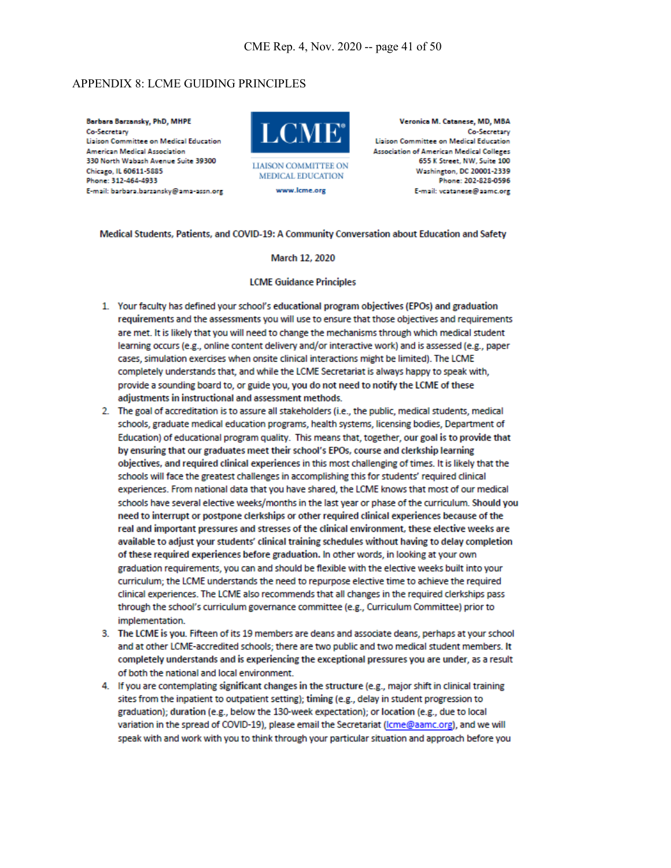#### APPENDIX 8: LCME GUIDING PRINCIPLES

Barbara Barzansky, PhD, MHPE Co-Secretary Liaison Committee on Medical Education American Medical Association 330 North Wabash Avenue Suite 39300 Chicago, IL 60611-5885 Phone: 312-464-4933 E-mail: barbara.barzansky@ama-assn.org



Veronica M. Catanese, MD, MBA Co-Secretary Liaison Committee on Medical Education **Association of American Medical Colleges** 655 K Street, NW, Suite 100 Washington, DC 20001-2339 Phone: 202-828-0596 E-mail: veatanese@aamc.org

Medical Students, Patients, and COVID-19: A Community Conversation about Education and Safety

March 12, 2020

#### **LCME Guidance Principles**

- 1. Your faculty has defined your school's educational program objectives (EPOs) and graduation requirements and the assessments you will use to ensure that those objectives and requirements are met. It is likely that you will need to change the mechanisms through which medical student learning occurs (e.g., online content delivery and/or interactive work) and is assessed (e.g., paper cases, simulation exercises when onsite clinical interactions might be limited). The LCME completely understands that, and while the LCME Secretariat is always happy to speak with, provide a sounding board to, or guide you, you do not need to notify the LCME of these adjustments in instructional and assessment methods.
- 2. The goal of accreditation is to assure all stakeholders (i.e., the public, medical students, medical schools, graduate medical education programs, health systems, licensing bodies, Department of Education) of educational program quality. This means that, together, our goal is to provide that by ensuring that our graduates meet their school's EPOs, course and clerkship learning objectives, and required clinical experiences in this most challenging of times. It is likely that the schools will face the greatest challenges in accomplishing this for students' required clinical experiences. From national data that you have shared, the LCME knows that most of our medical schools have several elective weeks/months in the last year or phase of the curriculum. Should you need to interrupt or postpone clerkships or other required clinical experiences because of the real and important pressures and stresses of the clinical environment, these elective weeks are available to adjust your students' clinical training schedules without having to delay completion of these required experiences before graduation. In other words, in looking at your own graduation requirements, you can and should be flexible with the elective weeks built into your curriculum; the LCME understands the need to repurpose elective time to achieve the required clinical experiences. The LCME also recommends that all changes in the required clerkships pass through the school's curriculum governance committee (e.g., Curriculum Committee) prior to implementation.
- 3. The LCME is you. Fifteen of its 19 members are deans and associate deans, perhaps at your school and at other LCME-accredited schools; there are two public and two medical student members. It completely understands and is experiencing the exceptional pressures you are under, as a result of both the national and local environment.
- 4. If you are contemplating significant changes in the structure (e.g., major shift in clinical training sites from the inpatient to outpatient setting); timing (e.g., delay in student progression to graduation); duration (e.g., below the 130-week expectation); or location (e.g., due to local variation in the spread of COVID-19), please email the Secretariat (Icme@aamc.org), and we will speak with and work with you to think through your particular situation and approach before you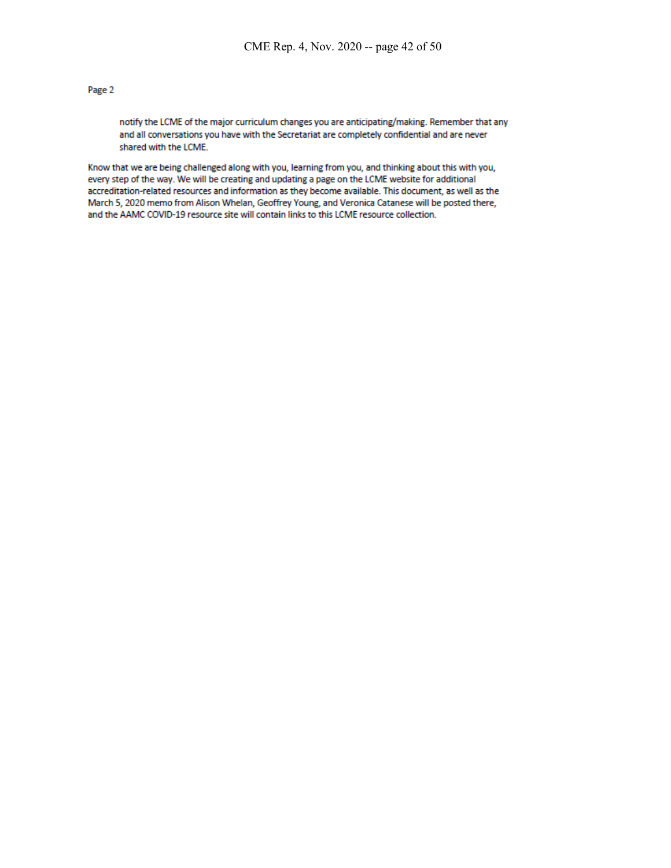#### Page 2

notify the LCME of the major curriculum changes you are anticipating/making. Remember that any and all conversations you have with the Secretariat are completely confidential and are never shared with the LCME.

Know that we are being challenged along with you, learning from you, and thinking about this with you, every step of the way. We will be creating and updating a page on the LCME website for additional accreditation-related resources and information as they become available. This document, as well as the March 5, 2020 memo from Alison Whelan, Geoffrey Young, and Veronica Catanese will be posted there, and the AAMC COVID-19 resource site will contain links to this LCME resource collection.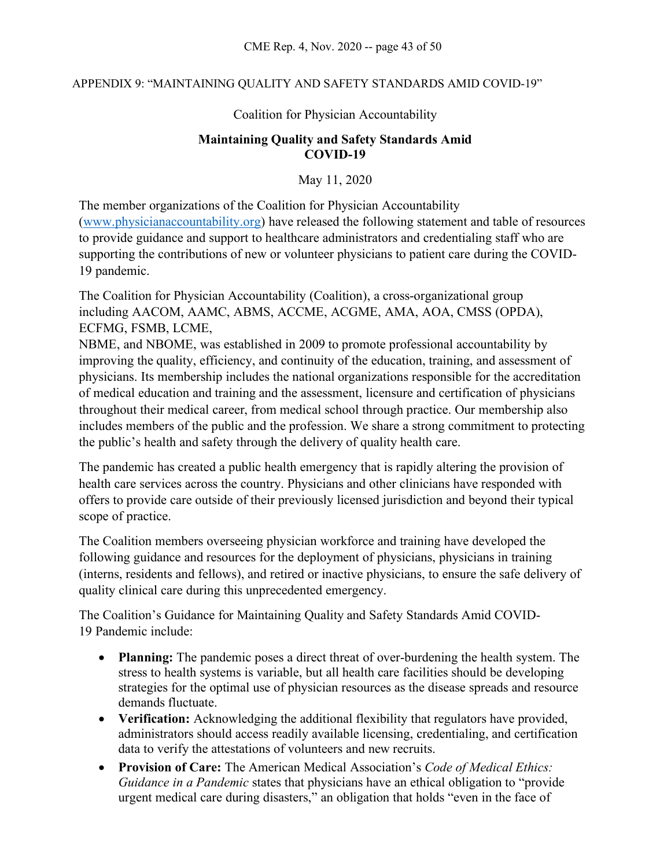### APPENDIX 9: "MAINTAINING QUALITY AND SAFETY STANDARDS AMID COVID-19"

### Coalition for Physician Accountability

# **Maintaining Quality and Safety Standards Amid COVID-19**

May 11, 2020

The member organizations of the Coalition for Physician Accountability [\(www.physicianaccountability.org\)](http://www.physicianaccountability.org/) have released the following statement and table of resources to provide guidance and support to healthcare administrators and credentialing staff who are supporting the contributions of new or volunteer physicians to patient care during the COVID-19 pandemic.

The Coalition for Physician Accountability (Coalition), a cross-organizational group including AACOM, AAMC, ABMS, ACCME, ACGME, AMA, AOA, CMSS (OPDA), ECFMG, FSMB, LCME,

NBME, and NBOME, was established in 2009 to promote professional accountability by improving the quality, efficiency, and continuity of the education, training, and assessment of physicians. Its membership includes the national organizations responsible for the accreditation of medical education and training and the assessment, licensure and certification of physicians throughout their medical career, from medical school through practice. Our membership also includes members of the public and the profession. We share a strong commitment to protecting the public's health and safety through the delivery of quality health care.

The pandemic has created a public health emergency that is rapidly altering the provision of health care services across the country. Physicians and other clinicians have responded with offers to provide care outside of their previously licensed jurisdiction and beyond their typical scope of practice.

The Coalition members overseeing physician workforce and training have developed the following guidance and resources for the deployment of physicians, physicians in training (interns, residents and fellows), and retired or inactive physicians, to ensure the safe delivery of quality clinical care during this unprecedented emergency.

The Coalition's Guidance for Maintaining Quality and Safety Standards Amid COVID-19 Pandemic include:

- **Planning:** The pandemic poses a direct threat of over-burdening the health system. The stress to health systems is variable, but all health care facilities should be developing strategies for the optimal use of physician resources as the disease spreads and resource demands fluctuate.
- **Verification:** Acknowledging the additional flexibility that regulators have provided, administrators should access readily available licensing, credentialing, and certification data to verify the attestations of volunteers and new recruits.
- **Provision of Care:** The American Medical Association's *Code of Medical Ethics: Guidance in a Pandemic* states that physicians have an ethical obligation to "provide urgent medical care during disasters," an obligation that holds "even in the face of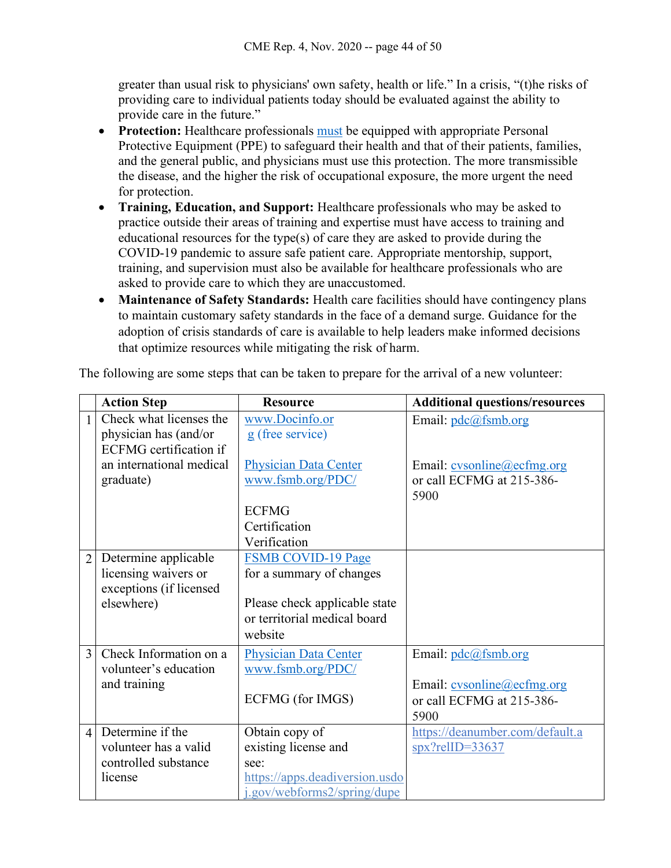greater than usual risk to physicians' own safety, health or life." In a crisis, "(t)he risks of providing care to individual patients today should be evaluated against the ability to provide care in the future."

- **Protection:** Healthcare professionals **[must](http://www.fsmb.org/siteassets/advocacy/pdf/coalition-for-physician-accountability-statement-on-safeguarding-the-public-and-health-care-workforce-during-covid-19.pdf)** be equipped with appropriate Personal Protective Equipment (PPE) to safeguard their health and that of their patients, families, and the general public, and physicians must use this protection. The more transmissible the disease, and the higher the risk of occupational exposure, the more urgent the need for protection.
- **Training, Education, and Support:** Healthcare professionals who may be asked to practice outside their areas of training and expertise must have access to training and educational resources for the type(s) of care they are asked to provide during the COVID-19 pandemic to assure safe patient care. Appropriate mentorship, support, training, and supervision must also be available for healthcare professionals who are asked to provide care to which they are unaccustomed.
- **Maintenance of Safety Standards:** Health care facilities should have contingency plans to maintain customary safety standards in the face of a demand surge. Guidance for the adoption of crisis standards of care is available to help leaders make informed decisions that optimize resources while mitigating the risk of harm.

|                | <b>Action Step</b>                                                                    | <b>Resource</b>                                                                                                        | <b>Additional questions/resources</b>                           |
|----------------|---------------------------------------------------------------------------------------|------------------------------------------------------------------------------------------------------------------------|-----------------------------------------------------------------|
| $\mathbf{1}$   | Check what licenses the<br>physician has (and/or<br><b>ECFMG</b> certification if     | www.Docinfo.or<br>g (free service)                                                                                     | Email: pdc@fsmb.org                                             |
|                | an international medical<br>graduate)                                                 | <b>Physician Data Center</b><br>www.fsmb.org/PDC/                                                                      | Email: cysonline@ecfmg.org<br>or call ECFMG at 215-386-<br>5900 |
|                |                                                                                       | <b>ECFMG</b><br>Certification<br>Verification                                                                          |                                                                 |
| $\overline{2}$ | Determine applicable<br>licensing waivers or<br>exceptions (if licensed<br>elsewhere) | <b>FSMB COVID-19 Page</b><br>for a summary of changes<br>Please check applicable state<br>or territorial medical board |                                                                 |
|                |                                                                                       | website                                                                                                                |                                                                 |
| 3              | Check Information on a<br>volunteer's education                                       | <b>Physician Data Center</b><br>www.fsmb.org/PDC/                                                                      | Email: pdc@fsmb.org                                             |
|                | and training                                                                          | ECFMG (for IMGS)                                                                                                       | Email: cvsonline@ecfmg.org<br>or call ECFMG at 215-386-<br>5900 |
| $\Delta$       | Determine if the                                                                      | Obtain copy of                                                                                                         | https://deanumber.com/default.a                                 |
|                | volunteer has a valid                                                                 | existing license and                                                                                                   | $spr?$ relID=33637                                              |
|                | controlled substance<br>license                                                       | see:<br>https://apps.deadiversion.usdo                                                                                 |                                                                 |
|                |                                                                                       | j.gov/webforms2/spring/dupe                                                                                            |                                                                 |

The following are some steps that can be taken to prepare for the arrival of a new volunteer: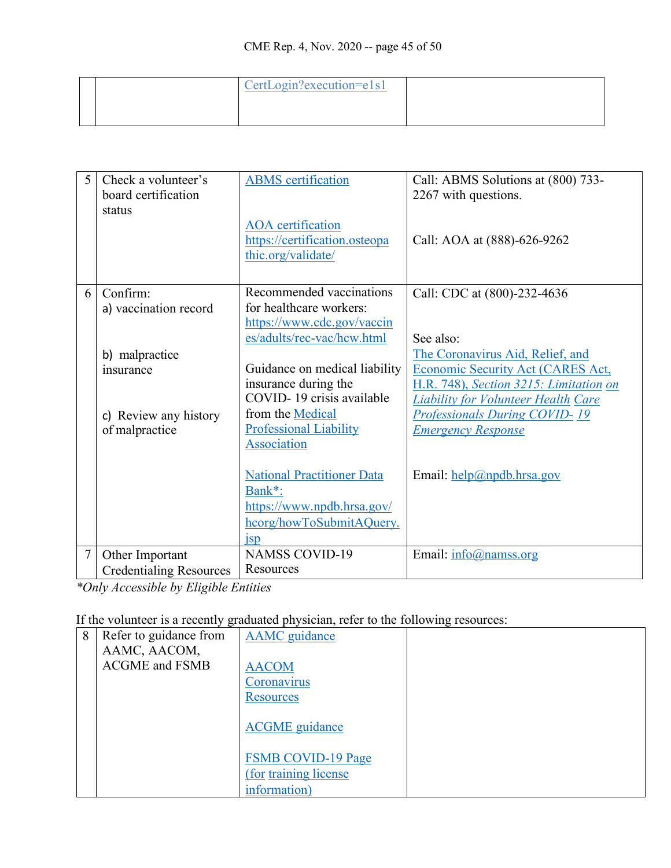|  | $CertLogin? execution=els1$ |  |
|--|-----------------------------|--|
|  |                             |  |
|  |                             |  |

| $\mathcal{F}$ | Check a volunteer's            | <b>ABMS</b> certification         | Call: ABMS Solutions at (800) 733-         |
|---------------|--------------------------------|-----------------------------------|--------------------------------------------|
|               | board certification            |                                   | 2267 with questions.                       |
|               | status                         |                                   |                                            |
|               |                                | <b>AOA</b> certification          |                                            |
|               |                                |                                   |                                            |
|               |                                | https://certification.osteopa     | Call: AOA at (888)-626-9262                |
|               |                                | thic.org/validate/                |                                            |
|               |                                |                                   |                                            |
| 6             | Confirm:                       | Recommended vaccinations          | Call: CDC at (800)-232-4636                |
|               | a) vaccination record          | for healthcare workers:           |                                            |
|               |                                | https://www.cdc.gov/vaccin        |                                            |
|               |                                | es/adults/rec-vac/hcw.html        | See also:                                  |
|               | b) malpractice                 |                                   | The Coronavirus Aid, Relief, and           |
|               | insurance                      | Guidance on medical liability     | Economic Security Act (CARES Act,          |
|               |                                | insurance during the              | H.R. 748), Section 3215: Limitation on     |
|               |                                | COVID-19 crisis available         | <b>Liability for Volunteer Health Care</b> |
|               |                                |                                   |                                            |
|               | c) Review any history          | from the Medical                  | <b>Professionals During COVID-19</b>       |
|               | of malpractice                 | <b>Professional Liability</b>     | <b>Emergency Response</b>                  |
|               |                                | Association                       |                                            |
|               |                                |                                   |                                            |
|               |                                | <b>National Practitioner Data</b> | Email: help@npdb.hrsa.gov                  |
|               |                                | Bank*:                            |                                            |
|               |                                | https://www.npdb.hrsa.gov/        |                                            |
|               |                                | hcorg/howToSubmitAQuery.          |                                            |
|               |                                | 1 <sub>Sp</sub>                   |                                            |
| 7             | Other Important                | <b>NAMSS COVID-19</b>             | Email: info@namss.org                      |
|               | <b>Credentialing Resources</b> | Resources                         |                                            |

*\*Only Accessible by Eligible Entities*

If the volunteer is a recently graduated physician, refer to the following resources:

| 8 | Refer to guidance from | <b>AAMC</b> guidance      |  |
|---|------------------------|---------------------------|--|
|   | AAMC, AACOM,           |                           |  |
|   | <b>ACGME</b> and FSMB  | <b>AACOM</b>              |  |
|   |                        | Coronavirus               |  |
|   |                        | <b>Resources</b>          |  |
|   |                        |                           |  |
|   |                        | <b>ACGME</b> guidance     |  |
|   |                        |                           |  |
|   |                        | <b>FSMB COVID-19 Page</b> |  |
|   |                        | (for training license)    |  |
|   |                        | information)              |  |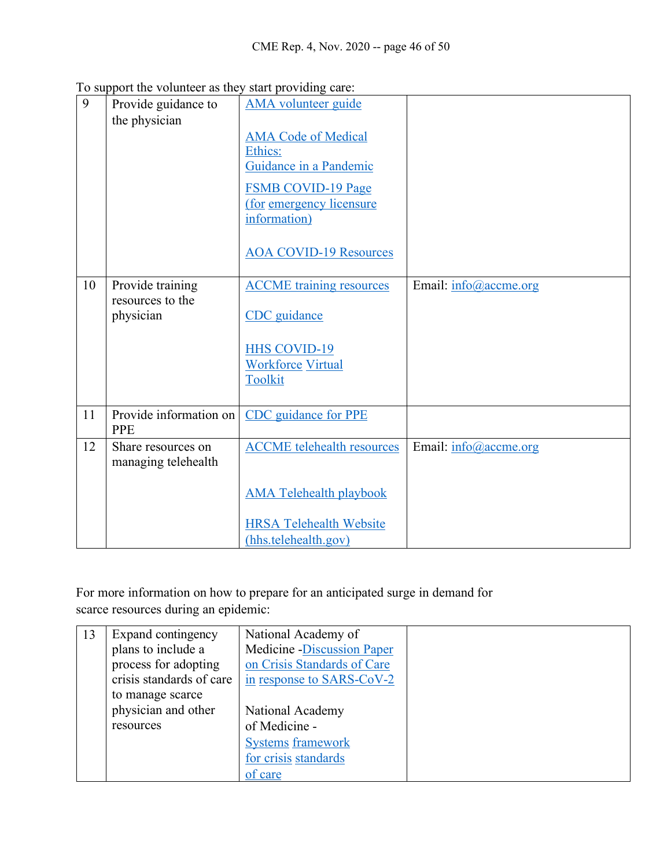To support the volunteer as they start providing care:

| 9  | Provide guidance to    | AMA volunteer guide               |                       |
|----|------------------------|-----------------------------------|-----------------------|
|    | the physician          |                                   |                       |
|    |                        | <b>AMA Code of Medical</b>        |                       |
|    |                        | Ethics:                           |                       |
|    |                        | Guidance in a Pandemic            |                       |
|    |                        | <b>FSMB COVID-19 Page</b>         |                       |
|    |                        | (for emergency licensure          |                       |
|    |                        | information)                      |                       |
|    |                        |                                   |                       |
|    |                        | <b>AOA COVID-19 Resources</b>     |                       |
|    |                        |                                   |                       |
| 10 | Provide training       | <b>ACCME</b> training resources   | Email: info@accme.org |
|    | resources to the       |                                   |                       |
|    | physician              | CDC guidance                      |                       |
|    |                        |                                   |                       |
|    |                        | <b>HHS COVID-19</b>               |                       |
|    |                        | <b>Workforce Virtual</b>          |                       |
|    |                        | Toolkit                           |                       |
|    |                        |                                   |                       |
| 11 | Provide information on | <b>CDC</b> guidance for PPE       |                       |
|    | <b>PPE</b>             |                                   |                       |
| 12 | Share resources on     | <b>ACCME</b> telehealth resources | Email: info@accme.org |
|    | managing telehealth    |                                   |                       |
|    |                        |                                   |                       |
|    |                        | <b>AMA Telehealth playbook</b>    |                       |
|    |                        |                                   |                       |
|    |                        | <b>HRSA Telehealth Website</b>    |                       |
|    |                        | (hhs.telehealth.gov)              |                       |

For more information on how to prepare for an anticipated surge in demand for scarce resources during an epidemic:

| 13 | Expand contingency       | National Academy of         |  |
|----|--------------------------|-----------------------------|--|
|    | plans to include a       | Medicine - Discussion Paper |  |
|    | process for adopting     | on Crisis Standards of Care |  |
|    | crisis standards of care | in response to SARS-CoV-2   |  |
|    | to manage scarce         |                             |  |
|    | physician and other      | National Academy            |  |
|    | resources                | of Medicine -               |  |
|    |                          | <b>Systems framework</b>    |  |
|    |                          | for crisis standards        |  |
|    |                          | of care                     |  |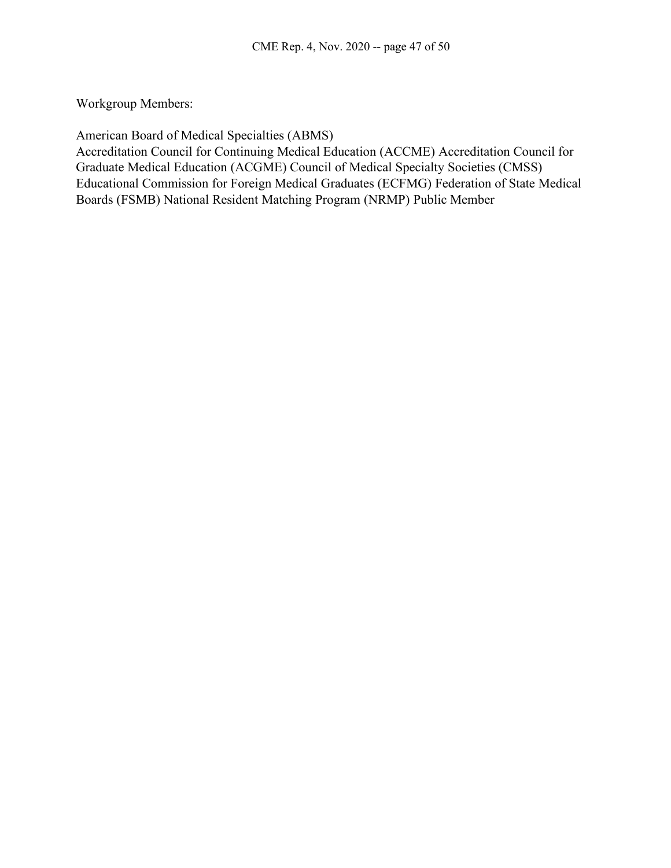Workgroup Members:

American Board of Medical Specialties (ABMS)

Accreditation Council for Continuing Medical Education (ACCME) Accreditation Council for Graduate Medical Education (ACGME) Council of Medical Specialty Societies (CMSS) Educational Commission for Foreign Medical Graduates (ECFMG) Federation of State Medical Boards (FSMB) National Resident Matching Program (NRMP) Public Member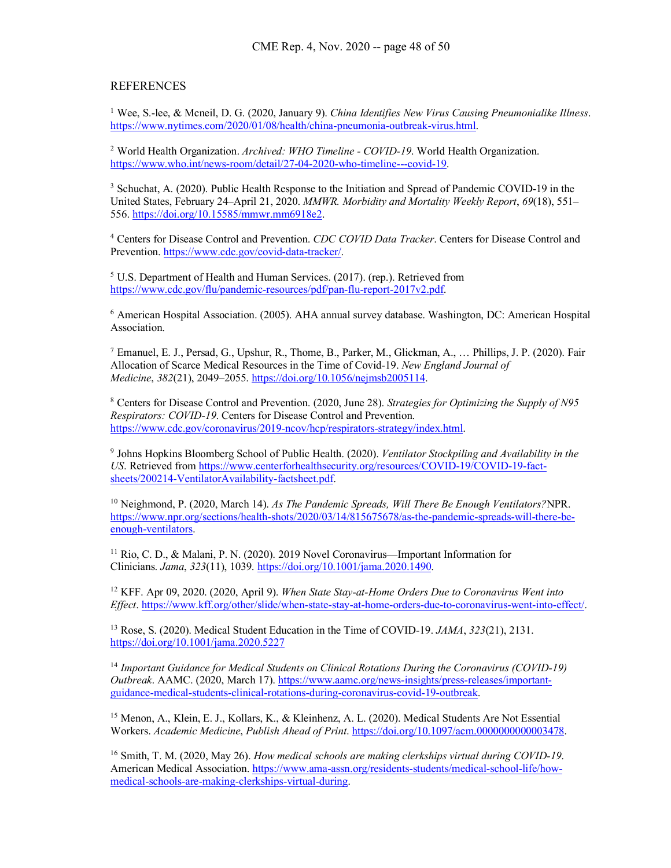#### REFERENCES

<sup>1</sup> Wee, S.-lee, & Mcneil, D. G. (2020, January 9). *China Identifies New Virus Causing Pneumonialike Illness*. [https://www.nytimes.com/2020/01/08/health/china-pneumonia-outbreak-virus.html.](https://www.nytimes.com/2020/01/08/health/china-pneumonia-outbreak-virus.html)

<sup>2</sup> World Health Organization. *Archived: WHO Timeline - COVID-19*. World Health Organization. [https://www.who.int/news-room/detail/27-04-2020-who-timeline---covid-19.](https://www.who.int/news-room/detail/27-04-2020-who-timeline---covid-19)

<sup>3</sup> Schuchat, A. (2020). Public Health Response to the Initiation and Spread of Pandemic COVID-19 in the United States, February 24–April 21, 2020. *MMWR. Morbidity and Mortality Weekly Report*, *69*(18), 551– 556. [https://doi.org/10.15585/mmwr.mm6918e2.](https://doi.org/10.15585/mmwr.mm6918e2)

<sup>4</sup> Centers for Disease Control and Prevention. *CDC COVID Data Tracker*. Centers for Disease Control and Prevention. [https://www.cdc.gov/covid-data-tracker/.](https://www.cdc.gov/covid-data-tracker/)

<sup>5</sup> U.S. Department of Health and Human Services. (2017). (rep.). Retrieved from [https://www.cdc.gov/flu/pandemic-resources/pdf/pan-flu-report-2017v2.pdf.](https://www.cdc.gov/flu/pandemic-resources/pdf/pan-flu-report-2017v2.pdf)

<sup>6</sup> American Hospital Association. (2005). AHA annual survey database. Washington, DC: American Hospital Association.

<sup>7</sup> Emanuel, E. J., Persad, G., Upshur, R., Thome, B., Parker, M., Glickman, A., … Phillips, J. P. (2020). Fair Allocation of Scarce Medical Resources in the Time of Covid-19. *New England Journal of Medicine*, *382*(21), 2049–2055[. https://doi.org/10.1056/nejmsb2005114.](https://doi.org/10.1056/nejmsb2005114)

<sup>8</sup> Centers for Disease Control and Prevention. (2020, June 28). *Strategies for Optimizing the Supply of N95 Respirators: COVID-19*. Centers for Disease Control and Prevention. [https://www.cdc.gov/coronavirus/2019-ncov/hcp/respirators-strategy/index.html.](https://www.cdc.gov/coronavirus/2019-ncov/hcp/respirators-strategy/index.html)

<sup>9</sup> Johns Hopkins Bloomberg School of Public Health. (2020). *Ventilator Stockpiling and Availability in the US*. Retrieved from [https://www.centerforhealthsecurity.org/resources/COVID-19/COVID-19-fact](https://www.centerforhealthsecurity.org/resources/COVID-19/COVID-19-fact-sheets/200214-VentilatorAvailability-factsheet.pdf)[sheets/200214-VentilatorAvailability-factsheet.pdf.](https://www.centerforhealthsecurity.org/resources/COVID-19/COVID-19-fact-sheets/200214-VentilatorAvailability-factsheet.pdf)

<sup>10</sup> Neighmond, P. (2020, March 14). *As The Pandemic Spreads, Will There Be Enough Ventilators?*NPR. [https://www.npr.org/sections/health-shots/2020/03/14/815675678/as-the-pandemic-spreads-will-there-be](https://www.npr.org/sections/health-shots/2020/03/14/815675678/as-the-pandemic-spreads-will-there-be-enough-ventilators)[enough-ventilators.](https://www.npr.org/sections/health-shots/2020/03/14/815675678/as-the-pandemic-spreads-will-there-be-enough-ventilators)

<sup>11</sup> Rio, C. D., & Malani, P. N. (2020). 2019 Novel Coronavirus—Important Information for Clinicians. *Jama*, *323*(11), 1039[. https://doi.org/10.1001/jama.2020.1490.](https://doi.org/10.1001/jama.2020.1490)

<sup>12</sup> KFF. Apr 09, 2020. (2020, April 9). *When State Stay-at-Home Orders Due to Coronavirus Went into Effect*. [https://www.kff.org/other/slide/when-state-stay-at-home-orders-due-to-coronavirus-went-into-effect/.](https://www.kff.org/other/slide/when-state-stay-at-home-orders-due-to-coronavirus-went-into-effect/)

<sup>13</sup> Rose, S. (2020). Medical Student Education in the Time of COVID-19. *JAMA*, *323*(21), 2131. <https://doi.org/10.1001/jama.2020.5227>

<sup>14</sup> *Important Guidance for Medical Students on Clinical Rotations During the Coronavirus (COVID-19) Outbreak*. AAMC. (2020, March 17). [https://www.aamc.org/news-insights/press-releases/important](https://www.aamc.org/news-insights/press-releases/important-guidance-medical-students-clinical-rotations-during-coronavirus-covid-19-outbreak)[guidance-medical-students-clinical-rotations-during-coronavirus-covid-19-outbreak.](https://www.aamc.org/news-insights/press-releases/important-guidance-medical-students-clinical-rotations-during-coronavirus-covid-19-outbreak)

<sup>15</sup> Menon, A., Klein, E. J., Kollars, K., & Kleinhenz, A. L. (2020). Medical Students Are Not Essential Workers. *Academic Medicine*, *Publish Ahead of Print*. [https://doi.org/10.1097/acm.0000000000003478.](https://doi.org/10.1097/acm.0000000000003478)

<sup>16</sup> Smith, T. M. (2020, May 26). *How medical schools are making clerkships virtual during COVID-19*. American Medical Association. [https://www.ama-assn.org/residents-students/medical-school-life/how](https://www.ama-assn.org/residents-students/medical-school-life/how-medical-schools-are-making-clerkships-virtual-during)[medical-schools-are-making-clerkships-virtual-during.](https://www.ama-assn.org/residents-students/medical-school-life/how-medical-schools-are-making-clerkships-virtual-during)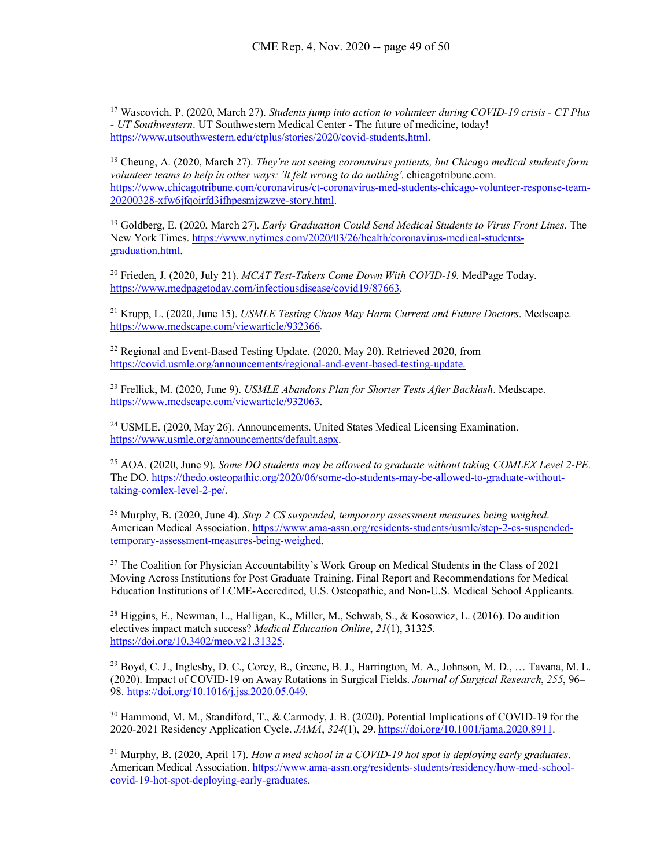<span id="page-49-0"></span><sup>17</sup> Wascovich, P. (2020, March 27). *Students jump into action to volunteer during COVID-19 crisis - CT Plus - UT Southwestern*. UT Southwestern Medical Center - The future of medicine, today! [https://www.utsouthwestern.edu/ctplus/stories/2020/covid-students.html.](https://www.utsouthwestern.edu/ctplus/stories/2020/covid-students.html) 

<span id="page-49-2"></span><span id="page-49-1"></span><sup>18</sup> Cheung, A. (2020, March 27). *They're not seeing coronavirus patients, but Chicago medical students form volunteer teams to help in other ways: 'It felt wrong to do nothing'*. chicagotribune.com. [https://www.chicagotribune.com/coronavirus/ct-coronavirus-med-students-chicago-volunteer-response-team-](https://www.chicagotribune.com/coronavirus/ct-coronavirus-med-students-chicago-volunteer-response-team-20200328-xfw6jfqoirfd3ifhpesmjzwzye-story.html)[20200328-xfw6jfqoirfd3ifhpesmjzwzye-story.html.](https://www.chicagotribune.com/coronavirus/ct-coronavirus-med-students-chicago-volunteer-response-team-20200328-xfw6jfqoirfd3ifhpesmjzwzye-story.html)

<span id="page-49-3"></span><sup>19</sup> Goldberg, E. (2020, March 27). *Early Graduation Could Send Medical Students to Virus Front Lines*. The New York Times. [https://www.nytimes.com/2020/03/26/health/coronavirus-medical-students](https://www.nytimes.com/2020/03/26/health/coronavirus-medical-students-graduation.html)[graduation.html.](https://www.nytimes.com/2020/03/26/health/coronavirus-medical-students-graduation.html)

<span id="page-49-4"></span><sup>20</sup> Frieden, J. (2020, July 21). *MCAT Test-Takers Come Down With COVID-19.* MedPage Today. [https://www.medpagetoday.com/infectiousdisease/covid19/87663.](https://www.medpagetoday.com/infectiousdisease/covid19/87663)

<span id="page-49-5"></span><sup>21</sup> Krupp, L. (2020, June 15). *USMLE Testing Chaos May Harm Current and Future Doctors*. Medscape. [https://www.medscape.com/viewarticle/932366.](https://www.medscape.com/viewarticle/932366)

<span id="page-49-6"></span><sup>22</sup> Regional and Event-Based Testing Update. (2020, May 20). Retrieved 2020, from [https://covid.usmle.org/announcements/regional-and-event-based-testing-update.](https://covid.usmle.org/announcements/regional-and-event-based-testing-update)

<span id="page-49-7"></span><sup>23</sup> Frellick, M. (2020, June 9). *USMLE Abandons Plan for Shorter Tests After Backlash*. Medscape. [https://www.medscape.com/viewarticle/932063.](https://www.medscape.com/viewarticle/932063)

<sup>24</sup> USMLE. (2020, May 26). Announcements. United States Medical Licensing Examination. [https://www.usmle.org/announcements/default.aspx.](https://www.usmle.org/announcements/default.aspx)

<span id="page-49-8"></span><sup>25</sup> AOA. (2020, June 9). *Some DO students may be allowed to graduate without taking COMLEX Level 2-PE.*  The DO. [https://thedo.osteopathic.org/2020/06/some-do-students-may-be-allowed-to-graduate-without](https://thedo.osteopathic.org/2020/06/some-do-students-may-be-allowed-to-graduate-without-taking-comlex-level-2-pe/)[taking-comlex-level-2-pe/.](https://thedo.osteopathic.org/2020/06/some-do-students-may-be-allowed-to-graduate-without-taking-comlex-level-2-pe/)

<span id="page-49-9"></span><sup>26</sup> Murphy, B. (2020, June 4). *Step 2 CS suspended, temporary assessment measures being weighed*. American Medical Association. [https://www.ama-assn.org/residents-students/usmle/step-2-cs-suspended](https://www.ama-assn.org/residents-students/usmle/step-2-cs-suspended-temporary-assessment-measures-being-weighed)[temporary-assessment-measures-being-weighed.](https://www.ama-assn.org/residents-students/usmle/step-2-cs-suspended-temporary-assessment-measures-being-weighed)

<span id="page-49-10"></span><sup>27</sup> The Coalition for Physician Accountability's Work Group on Medical Students in the Class of 2021 Moving Across Institutions for Post Graduate Training. Final Report and Recommendations for Medical Education Institutions of LCME-Accredited, U.S. Osteopathic, and Non-U.S. Medical School Applicants.

<span id="page-49-12"></span><span id="page-49-11"></span><sup>28</sup> Higgins, E., Newman, L., Halligan, K., Miller, M., Schwab, S., & Kosowicz, L. (2016). Do audition electives impact match success? *Medical Education Online*, *21*(1), 31325. [https://doi.org/10.3402/meo.v21.31325.](https://doi.org/10.3402/meo.v21.31325) 

<span id="page-49-13"></span><sup>29</sup> Boyd, C. J., Inglesby, D. C., Corey, B., Greene, B. J., Harrington, M. A., Johnson, M. D., … Tavana, M. L. (2020). Impact of COVID-19 on Away Rotations in Surgical Fields. *Journal of Surgical Research*, *255*, 96– 98. [https://doi.org/10.1016/j.jss.2020.05.049.](https://doi.org/10.1016/j.jss.2020.05.049)

<span id="page-49-14"></span><sup>30</sup> Hammoud, M. M., Standiford, T., & Carmody, J. B. (2020). Potential Implications of COVID-19 for the 2020-2021 Residency Application Cycle. *JAMA*, *324*(1), 29[. https://doi.org/10.1001/jama.2020.8911.](https://doi.org/10.1001/jama.2020.8911)

<span id="page-49-15"></span><sup>31</sup> Murphy, B. (2020, April 17). *How a med school in a COVID-19 hot spot is deploying early graduates*. American Medical Association. [https://www.ama-assn.org/residents-students/residency/how-med-school](https://www.ama-assn.org/residents-students/residency/how-med-school-covid-19-hot-spot-deploying-early-graduates)[covid-19-hot-spot-deploying-early-graduates.](https://www.ama-assn.org/residents-students/residency/how-med-school-covid-19-hot-spot-deploying-early-graduates)